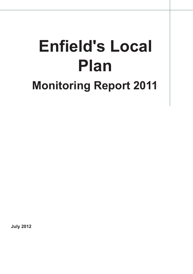# **Enfield's Local Plan Monitoring Report 2011**

**July 2012**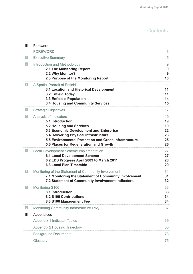# **Contents**

| ۰                | Foreword                                                                                                                                                                                                                                                              |                                        |
|------------------|-----------------------------------------------------------------------------------------------------------------------------------------------------------------------------------------------------------------------------------------------------------------------|----------------------------------------|
|                  | <b>FOREWORD</b>                                                                                                                                                                                                                                                       | 3                                      |
| $\vert 1 \vert$  | <b>Executive Summary</b>                                                                                                                                                                                                                                              | 5                                      |
| 2                | Introduction and Methodology<br>2.1 The Monitoring Report<br>2.2 Why Monitor?<br>2.3 Purpose of the Monitoring Report                                                                                                                                                 | 9<br>9<br>9<br>10                      |
| 3                | A Spatial Portrait of Enfield<br>3.1 Location and Historical Development<br>3.2 Enfield Today<br>3.3 Enfield's Population<br>3.4 Housing and Community Services                                                                                                       | 11<br>11<br>11<br>14<br>15             |
| $\vert 4 \vert$  | <b>Strategic Objectives</b>                                                                                                                                                                                                                                           | 17                                     |
| $\vert 5 \vert$  | Analysis of Indicators<br>5.1 Introduction<br><b>5.2 Housing and Services</b><br>5.3 Economic Development and Enterprise<br>5.4 Delivering Physical Infrastructure<br>5.5 Environmental Protection and Green Infrastructure<br>5.6 Places for Regeneration and Growth | 19<br>19<br>19<br>22<br>23<br>25<br>26 |
| 6                | <b>Local Development Scheme Implementation</b><br><b>6.1 Local Development Scheme</b><br>6.2 LDS Progress April 2009 to March 2011<br><b>6.3 Local Plan Timetable</b>                                                                                                 | 27<br>27<br>28<br>29                   |
| 7                | Monitoring of the Statement of Community Involvement<br>7.1 Monitoring the Statement of Community Involvement<br>7.2 Statement of Community Involvement Indicators                                                                                                    | 31<br>31<br>32                         |
| $\boldsymbol{8}$ | Monitoring S106<br>8.1 Introduction<br>8.2 S106 Contributions<br>8.3 S106 Management Fee                                                                                                                                                                              | 33<br>33<br>34<br>34                   |
| 9                | Monitoring Community Infrastructure Levy                                                                                                                                                                                                                              | 37                                     |
|                  | Appendices                                                                                                                                                                                                                                                            |                                        |
|                  | <b>Appendix 1 Indicator Tables</b>                                                                                                                                                                                                                                    | 39                                     |
|                  | Appendix 2 Housing Trajectory                                                                                                                                                                                                                                         | 65                                     |
|                  | <b>Background Documents</b>                                                                                                                                                                                                                                           | 73                                     |
|                  | Glossary                                                                                                                                                                                                                                                              | 75                                     |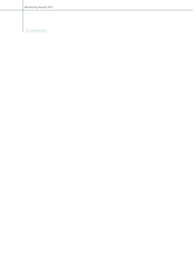# **Contents**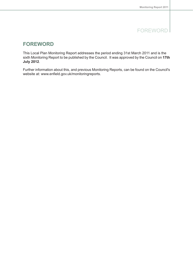### FOREWORD

### <span id="page-4-0"></span>**FOREWORD**

This Local Plan Monitoring Report addresses the period ending 31st March 2011 and is the sixth Monitoring Report to be published by the Council. It was approved by the Council on **17th July 2012**.

Further information about this, and previous Monitoring Reports, can be found on the Council's website at: www.enfield.gov.uk/monitoringreports.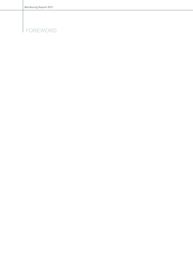# FOREWORD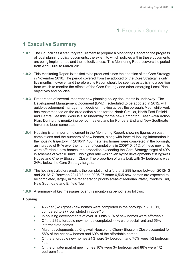### <span id="page-6-0"></span>**1 Executive Summary**

- **1.0.1** The Council has a statutory requirement to prepare a Monitoring Report on the progress of local planning policy documents, the extent to which policies within these documents are being implemented and their effectiveness. This Monitoring Report covers the period from April 2009 to March 2011.
- **1.0.2** This Monitoring Report is the first to be produced since the adoption of the Core Strategy in November 2010. The period covered from the adopted of the Core Strategy is only five months, however, and therefore this Report should be seen as establishing a position from which to monitor the effects of the Core Strategy and other emerging Local Plan objectives and policies.
- **1.0.3** Preparation of several important new planning policy documents is underway. The Development Management Document (DMD), scheduled to be adopted in 2012, will guide development management decision-making across the borough. Meanwhile work has recommenced on the area action plans for the North Circular, North East Enfield and Central Leeside. Work is also underway for the new Edmonton Green Area Action Plan. During this monitoring period masterplans for Ponders End and New Southgate have also been completed.
- **1.0.4** Housing is an important element in the Monitoring Report, showing figures on past completions and the numbers of new homes, along with forward-looking information in the housing trajectory. In 2010/11 455 (net) new homes were completed in the borough, an increase of 64% over the number of completions in 2009/10. 61% of these new units were affordable new homes, the proportion exceeding the Core Strategy target of 40% in schemes of over 10 units. This higher rate was driven by the developments at Kingswell House and Cherry Blossom Close. The proportion of units built with 3+ bedrooms was 24%, below the Core Strategy targets.
- **1.0.5** The housing trajectory predicts the completion of a further 2,299 homes between 2012/13 and 2016/17. Between 2017/18 and 2026/27 some 6,565 new homes are expected to be completed, largely in the regeneration priority areas of Meridian Water, Ponders End, New Southgate and Enfield Town.
- **1.0.6** A summary of key messages over this monitoring period is as follows:

#### **Housing**

- 455 net (628 gross) new homes were completed in the borough in 2010/11,  $\bullet$ compared to 277 completed in 2009/10
- In housing developments of over 10 units 61% of new homes were affordable  $\bullet$
- Of the 239 affordable new homes completed 44% were social rent and 56%  $\mathbf{r}$ intermediate homes
- Major developments at Kingswell House and Cherry Blossom Close accounted for  $\blacksquare$ 58% of the net new homes and 69% of the affordable homes
- Of the affordable new homes 24% were 3+ bedroom and 75% were 1/2 bedroom flats
- Of the private/ market new homes 10% were 3+ bedroom and 86% were 1/2 bedroom flats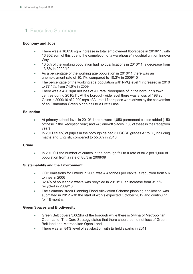#### **Economy and Jobs**

- $\bullet$ There was a 18,056 sqm increase in total employment floorspace in 2010/11, with 16,802 sqm of this due to the completion of a warehouse/ industrial unit on Innova **Way**
- 10.5% of the working population had no qualifications in 2010/11, a decrease from  $\bullet$ 13.8% in 2009/10
- $\bullet$ As a percentage of the working age population in 2010/11 there was an unemployment rate of 10.1%, compared to 10.3% in 2009/10
- The percentage of the working age population with NVQ level 1 increased in 2010  $\bullet$ to 77.1%, from 74.6% in 2009
- There was a 426 sqm net loss of A1 retail floorspace of in the borough's town  $\bullet$ centres during 2010/11. At the borough-wide level there was a loss of 198 sqm. Gains in 2009/10 of 2,200 sqm of A1 retail floorspace were driven by the conversion of an Edmonton Green bingo hall to A1 retail use

#### **Education**

- At primary school level in 2010/11 there were 1,050 permanent places added (150  $\bullet$ of these in the Reception year) and 245 one-off places (180 of these in the Reception year)
- In 2011 59.5% of pupils in the borough gained 5+ GCSE grades A\* to C , including  $\bullet$ maths and English, compared to 55.3% in 2010

#### **Crime**

 $\bullet$ In 2010/11 the number of crimes in the borough fell to a rate of 80.2 per 1,000 of population from a rate of 85.3 in 2008/09

#### **Sustainability and the Environment**

- $\ddot{\phantom{0}}$ CO2 emissions for Enfield in 2009 was 4.4 tonnes per capita, a reduction from 5.6 tonnes in 2006
- 32.4% of household waste was recycled in 2010/11, an increase from 31.1%  $\bullet$ recycled in 2009/10
- $\bullet$ The Salmons Brook Planning Flood Alleviation Scheme planning application was submitted in 2012 with the start of works expected October 2012 and continuing for 18 months

#### **Green Spaces and Biodiversity**

- $\bullet$ Green Belt covers 3,062ha of the borough while there is 544ha of Metropolitan Open Land. The Core Strategy states that there should be no net loss of Green Belt land and Metropolitan Open Land
- There was an 84% level of satisfaction with Enfield's parks in 2011  $\bullet$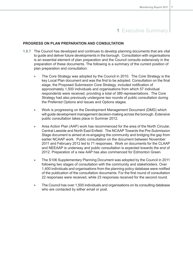#### **PROGRESS ON PLAN PREPARATION AND CONSULTATION**

- **1.0.7** The Council has developed and continues to develop planning documents that are vital to guide and deliver future developments in the borough. Consultation with organisations is an essential element of plan preparation and the Council consults extensively in the preparation of these documents. The following is a summary of the current position of plan preparation and consultation:
	- The Core Strategy was adopted by the Council in 2010. The Core Strategy is the  $\bullet$ key Local Plan document and was the first to be adopted. Consultation on the final stage, the Proposed Submission Core Strategy, included notification of approximately 1,500 individuals and organisations from which 57 individual respondents were received, providing a total of 389 representations. The Core Strategy had also previously undergone two rounds of public consultation during the Preferred Options and Issues and Options stages.
	- Work is progressing on the Development Management Document (DMD) which  $\blacksquare$ will guide development management decision-making across the borough. Extensive public consultation takes place in Summer 2012.
	- Area Action Plan (AAP) work has recommenced for the area of the North Circular,  $\bullet$ Central Leeside and North East Enfield. The NCAAP Towards the Pre-Submission Stage document is aimed at re-engaging the community and bridging the gap from earlier NCAAP work. Public consultation on the document between November 2011 and February 2012 led to 71 responses. Work on documents for the CLAAP and NEEAAP is underway and public consultation is expected towards the end of 2012. Preparation of a new AAP has also commenced for Edmonton Green.
	- The S106 Supplementary Planning Document was adopted by the Council in 2011  $\bullet$ following two stages of consultation with the community and stakeholders. Over 1,400 individuals and organisations from the planning policy database were notified of the publication of the consultation documents. For the first round of consultation 22 responses were received, while 23 responses received for the second round.
	- The Council has over 1,500 individuals and organisations on its consulting database  $\bullet$ who are contacted by either email or post.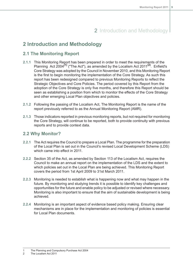# 2 Introduction and Methodology

# <span id="page-10-1"></span><span id="page-10-0"></span>**2 Introduction and Methodology**

### **2.1 The Monitoring Report**

- **2.1.1** This Monitoring Report has been prepared in order to meet the requirements of the Planning Act 2004**(1)** ("The Act"), as amended by the Localism Act 2011 **(2)** . Enfield's Core Strategy was adopted by the Council in November 2010, and this Monitoring Report is the first to begin monitoring the implementation of the Core Strategy. As such this report has been redesigned compared to previous Monitoring Reports to reflect the Strategic Objectives and Core Policies. The period covered by this Report from the adoption of the Core Strategy is only five months, and therefore this Report should be seen as establishing a position from which to monitor the effects of the Core Strategy and other emerging Local Plan objectives and policies.
- **2.1.2** Following the passing of the Localism Act, The Monitoring Report is the name of the report previously referred to as the Annual Monitoring Report (AMR).
- <span id="page-10-2"></span>**2.1.3** Those indicators reported in previous monitoring reports, but not required for monitoring the Core Strategy, will continue to be reported, both to provide continuity with previous reports and to provide context data.

### **2.2 Why Monitor?**

- **2.2.1** The Act requires the Council to prepare a Local Plan. The programme for the preparation of the Local Plan is set out in the Council's revised Local Development Scheme (LDS) which came into effect in 2011.
- **2.2.2** Section 35 of the Act, as amended by Section 113 of the Localism Act, requires the Council to make an annual report on the implementation of the LDS and the extent to which policies set out in the Local Plan are being achieved. This Monitoring Report covers the period from 1st April 2009 to 31st March 2011.
- **2.2.3** Monitoring is needed to establish what is happening now and what may happen in the future. By monitoring and studying trends it is possible to identify key challenges and opportunities for the future and enable policy to be adjusted or revised where necessary. Monitoring is also important to ensure that the aim of sustainable development is being achieved.
- **2.2.4** Monitoring is an important aspect of evidence based policy making. Ensuring clear mechanisms are in place for the implementation and monitoring of policies is essential for Local Plan documents.

1 The Planning and Compulsory Purchase Act 2004

2 The Localism Act 2011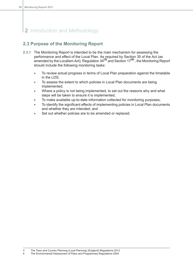# 2 Introduction and Methodology

### <span id="page-11-0"></span>**2.3 Purpose of the Monitoring Report**

- **2.3.1** The Monitoring Report is intended to be the main mechanism for assessing the performance and effect of the Local Plan. As required by Section 35 of the Act (as amended by the Localism Act), Regulation 34**(3)** and Section 17**(4)** , the Monitoring Report should include the following monitoring tasks:
	- To review actual progress in terms of Local Plan preparation against the timetable  $\bullet$ in the LDS;
	- To assess the extent to which policies in Local Plan documents are being  $\bullet$ implemented;
	- Where a policy is not being implemented, to set out the reasons why and what  $\bullet$ steps will be taken to ensure it is implemented;
	- To make available up-to-date information collected for monitoring purposes;  $\bullet$
	- To identify the significant effects of implementing policies in Local Plan documents  $\bullet$ and whether they are intended; and
	- Set out whether policies are to be amended or replaced.  $\blacksquare$

<sup>3</sup> The Town and Country Planning (Local Planning) (England) Regulations 2012

<sup>4</sup> The Environmental Assessment of Plans and Programmes Regulations 2004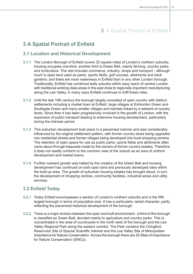### <span id="page-12-1"></span><span id="page-12-0"></span>**3 A Spatial Portrait of Enfield**

### **3.1 Location and Historical Development**

- **3.1.1** The London Borough of Enfield covers 32 square miles of London's northern suburbs; housing occupies one-third, another third is Green Belt, mainly farming, country parks and horticulture. The rest includes commerce, industry, shops and transport - although much is open land used as parks, sports fields, golf courses, allotments and back gardens; and there are more waterways in Enfield than in any other London borough. Traditionally, Enfield has combined leafy suburbs within easy reach of central London with traditional working class areas in the east close to regionally important manufacturing along the Lee Valley, in many ways Enfield continues to fulfil these roles.
- **3.1.2** Until the late 19th century the borough largely consisted of open country with distinct settlements including a market town at Enfield, large villages at Edmonton Green and Southgate Green and many smaller villages and hamlets linked by a network of country lanes. Since then it has been progressively involved in the growth of London, with the expansion of public transport leading to extensive housing development, particularly during the interwar period.
- **3.1.3** This suburban development took place in a piecemeal manner and was considerably influenced by the original settlement pattern, with former country lanes being upgraded into residential streets and former villages being developed into local shopping centres. The retention of open space for use as public parks, sports fields and allotments often came about through bequests made by the owners of former country estates. Therefore it does not readily conform to the common view of the suburb as an area of uniform development and market towns.
- <span id="page-12-2"></span>**3.1.4** Further outward growth was halted by the creation of the Green Belt and housing development has continued on both open land and previously developed sites within the built-up area. The growth of suburban housing estates has brought about, in turn, the development of shopping centres, community facilities, industrial areas and utility services.

### **3.2 Enfield Today**

- **3.2.1** Today Enfield encompasses a section of London's northern suburbs and is the fifth largest borough in terms of population size. It has a particularly varied character, partly reflecting the piecemeal historical development of the borough.
- **3.2.2** There is a major division between the open and built environment a third of the borough is classified as Green Belt, devoted mainly to agriculture and country parks. This is concentrated in the area of countryside in the north west of the borough and the Lea Valley Regional Park along the eastern corridor. The Park contains the Chingford Reservoirs Site of Special Scientific Interest and the Lea Valley Site of Metropolitan Importance for Nature Conservation. Across the borough there are 25 Sites of Importance for Nature Conservation (SINCs).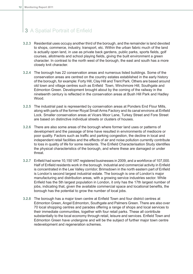- **3.2.3** Residential uses occupy another third of the borough, and the remainder is land devoted to shops, commerce, industry, transport, etc. Within the urban fabric much of the land is actually open land, in use as private back gardens, public parks, sports fields, golf courses, allotments and school playing fields, giving the built environment a green character. In contrast to the north west of the borough, the east and south has a more closely knit character.
- **3.2.4** The borough has 22 conservation areas and numerous listed buildings. Some of the conservation areas are centred on the country estates established in the early history of the borough, for example: Forty Hill, Clay Hill and Trent Park. Others are based around old town and village centres such as Enfield Town, Winchmore Hill, Southgate and Edmonton Green. Development brought about by the coming of the railway in the nineteenth century is reflected in the conservation areas at Bush Hill Park and Hadley Wood.
- **3.2.5** The industrial past is represented by conservation areas at Ponders End Flour Mills, along with parts of the former Royal Small Arms Factory and its canal environs at Enfield Lock. Smaller conservation areas at Vicars Moor Lane, Turkey Street and Fore Street are based on distinctive individual streets or clusters of houses.
- **3.2.6** There are also some areas of the borough where former land uses or patterns of development and the passage of time have resulted in environments of mediocre or poor quality. Factors such as traffic and parking congestion, the decline in local and independent retail facilities and the effects of air and noise pollution currently contribute to loss in quality of life for some residents. The Enfield Characterisation Study identifies the physical characteristics of the borough, and where these are damaged or under threat.
- **3.2.7** Enfield had some 10,150 VAT registered businesses in 2009, and a workforce of 107,000. Half of Enfield residents work in the borough. Industrial and commercial activity in Enfield is concentrated in the Lee Valley corridor; Brimsdown in the north eastern part of Enfield is London's second largest industrial estate. The borough is one of London's major manufacturing and distribution areas, with a growing service industries sector. While Enfield has the 5th largest population in London, it only has the 17th largest number of jobs, indicating that, given the available commercial space and locational benefits, the borough has the potential to grow the number of local jobs.
- **3.2.8** The borough has a major town centre at Enfield Town and four district centres at Edmonton Green, Angel Edmonton, Southgate and Palmers Green. There are also over 70 local shopping centres and parades offering a range of shops and local services to their immediate communities, together with four retail parks. These all contribute substantially to the local economy through retail, leisure and services. Enfield Town and Edmonton Green have undergone and will be the subject of further major town centre redevelopment and regeneration schemes.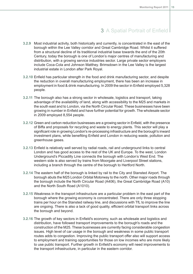- **3.2.9** Most industrial activity, both historically and currently, is concentrated in the east of the borough within the Lee Valley corridor and Great Cambridge Road. Whilst it suffered from a structural decline of its traditional industrial base towards the end of the 20th Century, today the borough is one of London's major centres of manufacturing and distribution, with a growing service industries sector. Large private sector employers include Coca-Cola and Johnson Matthey. Brimsdown in the Lee Valley is the largest industrial estate in London after Park Royal.
- **3.2.10** Enfield has particular strength in the food and drink manufacturing sector, and despite the reduction in overall manufacturing employment, there has been an increase in employment in food & drink manufacturing. In 2009 the sector in Enfield employed 5,328 people.
- **3.2.11** The borough also has a strong sector in wholesale, logistics and transport, taking advantage of the availablility of land, along with accessibility to the M25 and markets in the south east and to London, via the North Circular Road. These businesses have been growing in number in Enfield and have further potential for growth. The wholesale sector in 2009 employed 8,554 people.
- **3.2.12** Green and carbon reduction businesses are a growing sector in Enfield, with the presence of Biffa and proposals for recycling and waste to energy plants. This sector will play a significant role in growing London's re-processing infrastructure and the borough's inward investment plans, while benefiting Enfield and London in reducing waste, pollution and greenhouse gases.
- **3.2.13** Enfield is relatively well served by radial roads, rail and underground links to central London and has good access to the rest of the UK and Europe. To the west, London Underground's Piccadilly Line connects the borough with London's West End. The western side is also served by trains from Moorgate and Liverpool Street stations, including a branch through the centre of the borough to Hertford North.
- **3.2.14** The eastern half of the borough is linked by rail to the City and Stansted Airport. The borough abuts the M25 London Orbital Motorway to the north. Other major roads through the borough include the North Circular Road (A406), the Great Cambridge Road (A10) and the North South Road (A1010).
- **3.2.15** Weakness in the transport infrastructure are a particular problem in the east part of the borough where the growing economy is concentrated. There are only three stopping trains per hour on the Stansted railway line, and discussions with TfL to improve the line are ongoing. There is also a lack of good quality, efficient orbital transport links across the borough and beyond.
- **3.2.16** The growth of key sectors in Enfield's economy, such as wholesale and logistics and distribution, have followed transport improvements to the borough's roads and the construction of the M25. These businesses are currently facing considerable congestion issues. High level of car usage in the borough and weakness in some public transport routes adds to congestion. Improving the public transport offer also will support access to employment and training opportunities for those on low incomes who are more likely to use public transport. Further growth in Enfield's economy will need improvements to the transport infrastructure, in particular in the eastern corridor.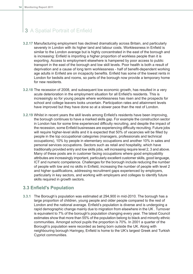- **3.2.17** Manufacturing employment has declined dramatically across Britain, and particularly severely in London with its higher land and labour costs. Worklessness in Enfield is similar to the London average but is highly concentrated in the east of the borough and is increasing: Enfield is importing a higher proportion of workless people than it is exporting. Access to employment elsewhere is hampered by poor access to public transport in the east of the borough and low skill levels. Poor health is both a result of deprivation and a cause of long term worklessness - half of benefit-dependent working age adults in Enfield are on incapacity benefits. Enfield has some of the lowest rents in London for bedsits and rooms, so parts of the borough now provide a temporary home for new residents.
- **3.2.18** The recession of 2008, and subsequent low economic growth, has resulted in a very acute deterioration in the employment situation for all Enfield's residents. This is increasingly so for young people where worklessness has risen and the prospects for school and college leavers looks uncertain. Participation rates and attainment levels have improved but they have done so at a slower pace than the rest of London.
- **3.2.19** Whilst in recent years the skill levels among Enfield's residents have been improving, the borough continues to have a marked skills gap. For example the construction sector in London has for some time experienced difficulty recruiting, and despite the impact of the recession, some Enfield businesses are experiencing difficulty recruiting. Future jobs will require higher-level skills and it is expected that 50% of vacancies will be filled by people in the top occupational categories (managers, professionals and technical occupations), 10% by people in elementary occupations and another 10% in sales and personal services occupations. Sectors such as retail and hospitality, which have traditionally provided entry and low skills jobs, will increasing require level 2, 3 and above. Many of these posts are in customer facing occupations where good employability attributes are increasingly important, particularly excellent customer skills, good language, ICT and numeric competence. Challenges for the borough include reducing the number of people with low and no skills in Enfield, increasing the number of people with level 2 and higher qualifications, addressing recruitment gaps experienced by employers, particularly in key sectors, and working with employers and colleges to identify future skills required in growth sectors.

### <span id="page-15-0"></span>**3.3 Enfield's Population**

**3.3.1** The Borough's population was estimated at 294,900 in mid-2010. The borough has a large proportion of children, young people and older people compared to the rest of London and the national average. Enfield's population is diverse and is undergoing a rapid demographic change mainly due to migration from elsewhere in the UK . Turnover is equivalent to 7% of the borough's population changing every year. The latest Council estimates show that more than 55% of the population belong to black and minority ethnic communities. Amongst school pupils the proportion is 70%. In 2001 a quarter of the Borough's population were recorded as being born outside the UK. Along with neighbouring borough Haringey, Enfield is home to the UK's largest Greek and Turkish Cypriot communities.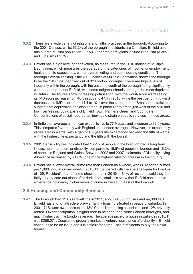- **3.3.2** There are a wide variety of religions and faiths practised in the borough. According to the 2001 Census, whilst 63.2% of the borough's residents are Christian, Enfield also has a large Muslim population (9.6%). Other major religions include Hinduism (3.35%) and Judaism (1.95%).
- **3.3.3** Enfield has a high level of deprivation, as measured in the 2010 Indices of Multiple Deprivation, which measures the average of the categories of income, unemployment, health and life expectancy, crime, overcrowding and poor housing conditions. The borough's overall ranking in the 2010 Indices of Multiple Deprivation showed the borough to be the 10th most deprived out of 32 London boroughs. There are high levels of inequality within the borough, with the east and south of the borough faring significantly worse than the rest of Enfield, with some neighbourhoods amongst the most deprived in Britain. The figures show increasing polarisation, with the worst-score ward seeing its IMD score increase from 46.3 in 2007 to 47.1 in 2010, while the best performing ward decreased its IMD score from 11.4 to 10.1 over the same period. Small area statistics suggest that deprivation has also spread, in particular to areas just west of the A10 and town centres including parts of Enfield Town, Palmers Green and Southgate. Concentrations of social need put an inevitable strain on public services in these areas.
- **3.3.4** In Enfield on average a man can expect to live to 77.9 years and a woman to 82.0 years. This compares favourably with England and London averages. However, life expectancy varies across wards, with a gap of 4.9 years life expectancy between the fifth of wards with the highest life expectancy and the fifth with the lowest.
- **3.3.5** 2001 Census figures indicated that 16.2% of people in the borough had a long term illness, health problem or disability, compared to 15.5% of people in London and 18.2% of people in England and Wales. Between 2002 and 2007, claimants of Disability Living Allowance increased by 21.8%, one of the highest rates of increase in the country.
- <span id="page-16-0"></span>**3.3.6** Enfield has a lower overall crime rate than London as a whole, with 80 reported crimes per 1,000 population recorded in 2010/11, compared with the average figure for London of 105. Resident's fear of crime showed that in 2010/11 61% of residents said they felt fairly or very safe out alone after dark. Local statistics show that Enfield continues to experience noticeably higher levels of crime in the south east of the borough.

### **3.4 Housing and Community Services**

**3.4.1** The borough had 118,600 dwellings in 2011; about 74,000 houses and 44,000 flats. Enfield has a lot of attractive pre-war family housing situated in peaceful suburbs. In 2001, 71% were owner occupied, 18% Council or housing association and 12% privately rented. Owner occupation is higher than in neighbouring North London boroughs, and much higher than the London average. The average price of a house in Enfield in 2010/11 was £258,071. Despite the property market downturn, house price affordability in Enfield continues to be an issue and it is difficult for some Enfield residents to buy their own homes.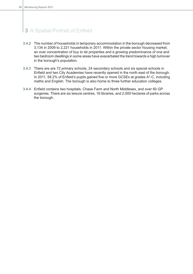- **3.4.2** The number of households in temporary accommodation in the borough decreased from 3,134 in 2009 to 2,221 households in 2011. Within the private sector housing market, an over concentration of buy to let properties and a growing predominance of one and two bedroom dwellings in some areas have exacerbated the trend towards a high turnover in the borough's population.
- **3.4.3** There are are 72 primary schools, 24 secondary schools and six special schools in Enfield and two City Academies have recently opened in the north east of the borough. In 2011, 58.2% of Enfield's pupils gained five or more GCSEs at grades A\*-C, including maths and English. The borough is also home to three further education colleges.
- **3.4.4** Enfield contains two hospitals, Chase Farm and North Middlesex, and over 60 GP surgeries. There are six leisure centres, 16 libraries, and 2,000 hectares of parks across the borough.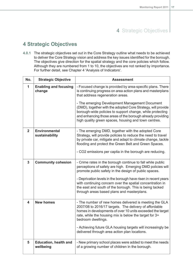# 4 Strategic Objectives

# <span id="page-18-0"></span>**4 Strategic Objectives**

**4.0.1** The strategic objectives set out in the Core Strategy outline what needs to be achieved to deliver the Core Strategy vision and address the key issues identified for the borough. The objectives give direction for the spatial strategy and the core policies which follow. Although they are numbered from 1 to 10, the objectives are not ranked by importance. For further detail, see Chapter 4 'Analysis of Indicators'.

| No.            | <b>Strategic Objective</b>                | <b>Assessment</b>                                                                                                                                                                                                                                                                                                                                                                                                                                                  |
|----------------|-------------------------------------------|--------------------------------------------------------------------------------------------------------------------------------------------------------------------------------------------------------------------------------------------------------------------------------------------------------------------------------------------------------------------------------------------------------------------------------------------------------------------|
| 1              | <b>Enabling and focusing</b><br>change    | - Focused change is provided by area-specific plans. There<br>is continuing progress on area action plans and masterplans<br>that address regeneration areas.<br>- The emerging Development Management Document<br>(DMD), together with the adopted Core Strategy, will provide<br>borough-wide policies to support change, while protecting<br>and enhancing those areas of the borough already providing<br>high quality green spaces, housing and town centres. |
| $\overline{2}$ | <b>Environmental</b><br>sustainability    | - The emerging DMD, together with the adopted Core<br>Strategy, will provide policies to reduce the need to travel<br>by private car, mitigate and adapt to climate change, tackle<br>flooding and protect the Green Belt and Green Spaces.<br>- CO2 emissions per captia in the borough are reducing.                                                                                                                                                             |
| $\overline{3}$ | <b>Community cohesion</b>                 | - Crime rates in the borough continue to fall while public<br>perceptions of safety are high. Emerging DMD policies will<br>promote public safety in the design of public spaces.<br>- Deprivation levels in the borough have risen in recent years<br>with continuing concern over the spatial concentration in<br>the east and south of the borough. This is being tacked<br>through areas based plans and masterplans.                                          |
| 4              | <b>New homes</b>                          | - The number of new homes delivered is meeting the GLA<br>2007/08 to 2016/17 targets. The delivery of affordable<br>homes in developments of over 10 units exceeded the target<br>rate, while the housing mix is below the target for 3+<br>bedroom dwellings.<br>- Achieving future GLA housing targets will increasingly be<br>delivered through area action plan locations.                                                                                     |
| 5              | <b>Education, health and</b><br>wellbeing | - New primary school places were added to meet the needs<br>of a growing number of children in the borough.                                                                                                                                                                                                                                                                                                                                                        |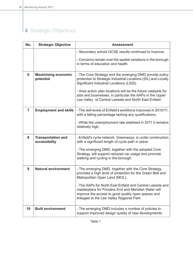# 4 Strategic Objectives

| No.            | <b>Strategic Objective</b>                 | <b>Assessment</b>                                                                                                                                                                                                                                                                                  |
|----------------|--------------------------------------------|----------------------------------------------------------------------------------------------------------------------------------------------------------------------------------------------------------------------------------------------------------------------------------------------------|
|                |                                            | - Secondary school GCSE results continued to improve.                                                                                                                                                                                                                                              |
|                |                                            | - Concerns remain over the spatial variations in the borough<br>in terms of education and health.                                                                                                                                                                                                  |
| 6              | <b>Maximising economic</b><br>potential    | - The Core Strategy and the emerging DMD provide policy<br>protection to Strategic Industrial Locations (SIL) and Locally<br>Significant Industrial Locations (LSIS).<br>- Area action plan locations will be the future catalysts for<br>jobs and businesses, in particular the AAPs in the Upper |
|                |                                            | Lee Valley of Central Leeside and North East Enfield.                                                                                                                                                                                                                                              |
| $\overline{7}$ | <b>Employment and skills</b>               | - The skill levels of Enfield's workforce improved in 2010/11,<br>with a falling percentage lacking any qualifications.                                                                                                                                                                            |
|                |                                            | - While the unemployment rate stablised in 2011 it remains<br>relatively high.                                                                                                                                                                                                                     |
| 8              | <b>Transportation and</b><br>accessibility | - Enfield's cycle network, Greenways, is under construction<br>with a significant length of cycle path in place.                                                                                                                                                                                   |
|                |                                            | - The emerging DMD, together with the adopted Core<br>Strategy, will support reduced car usage and promote<br>walking and cycling in the borough.                                                                                                                                                  |
| 9              | <b>Natural environment</b>                 | - The emerging DMD, together with the Core Strategy,<br>provides a high level of protection for the Green Belt and<br>Metropolitan Open Land (MOL).                                                                                                                                                |
|                |                                            | - The AAPs for North East Enfield and Central Leeside and<br>masterplans for Ponders End and Meridian Water will<br>improve the access to good quality open spaces and<br>linkages to the Lee Valley Regional Park.                                                                                |
| 10             | <b>Built environment</b>                   | - The emerging DMD includes a number of policies to<br>support improved design quality of new developments.                                                                                                                                                                                        |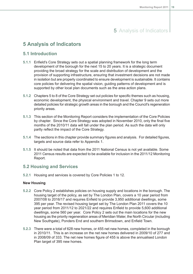### <span id="page-20-1"></span><span id="page-20-0"></span>**5 Analysis of Indicators**

### **5.1 Introduction**

- **5.1.1** Enfield's Core Strategy sets out a spatial planning framework for the long term development of the borough for the next 15 to 20 years. It is a strategic document providing the broad strategy for the scale and distribution of development and the provision of supporting infrastructure, ensuring that investment decisions are not made in isolation but are properly coordinated to ensure development is sustainable. It contains core policies for delivering the spatial vision, guiding patterns of development and is supported by other local plan documents such as the area action plans.
- **5.1.2** Chapters 5 to 8 of the Core Strategy set out policies for specific themes such as housing, economic development, the physical environment and travel. Chapter 9 sets out more detailed policies for strategic growth areas in the borough and the Council's regeneration priority areas.
- **5.1.3** This section of the Monitoring Report considers the implementation of the Core Policies by chapter. Since the Core Strategy was adopted in November 2010, only the final five months of the 2010/11 data will fall under the plan period. As such the data will only partly reflect the impact of the Core Strategy.
- **5.1.4** The sections in this chapter provide summary figures and analysis. For detailed figures, targets and source data refer to Appendix 1.
- <span id="page-20-2"></span>**5.1.5** It should be noted that data from the 2011 National Census is not yet available. Some 2011 Census results are expected to be available for inclusion in the 2011/12 Monitoring Report.

### **5.2 Housing and Services**

**5.2.1** Housing and services is covered by Core Policies 1 to 12.

#### **New Housing**

- **5.2.2** Core Policy 2 establishes policies on housing supply and locations in the borough. The housing target of the policy, as set by The London Plan, covers a 10 year period from 2007/08 to 2016/17 and requires Enfield to provide 3,950 additional dwellings, some 395 per year. The revised housing target set by The London Plan 2011 covers the 10 year period from 2011/12 to 2021/22 and requires Enfield to provide 5,600 additional dwellings, some 560 per year. Core Policy 2 sets out the main locations for the new housing as the priority regeneration areas of Meridian Water, the North Circular (including New Southgate), Ponders End and southern Brimsdown, and Enfield Town.
- **5.2.3** There were a total of 628 new homes, or 455 net new homes, completed in the borough in 2010/11. This is an increase on the net new homes delivered in 2009/10 of 277 and in 2008/09 of 333. The net new homes figure of 455 is above the annualised London Plan target of 395 new homes.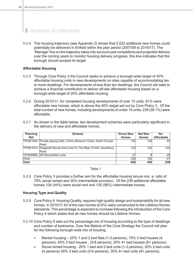**5.2.4** The housing trajectory (see Appendix 2) shows that 2,522 additional new homes could potentially be delivered in Enfield within the plan period (2007/08 to 2016/17). The "Manage" line on the trajectory takes into account past completions and projected delivery over the coming years to monitor housing delivery progress; this line indicates that the borough should exceed its target.

#### **Affordable Housing**

- **5.2.5** Through Core Policy 3 the Council seeks to achieve a borough-wide target of 40% affordable housing units in new developments on sites capable of accommodating ten or more dwellings. For developments of less than ten dwellings, the Council will seek to achieve a financial contribution to deliver off-site affordable housing based on a borough-wide target of 20% affordable housing.
- **5.2.6** During 2010/11, for completed housing developments of over 10 units, 61% were affordable new homes, which is above the 40% target set out by Core Policy 3. Of the total number of new homes, including developments of under 10 units, 239 (38.1%) were affordable.
- **5.2.7** As shown in the table below, two development schemes were particularly significant in the delivery of new and affordable homes:

| <b>Planning</b> | <b>Scheme</b>                                                          | <b>Gross New</b> | <b>Net New</b> | No.               |
|-----------------|------------------------------------------------------------------------|------------------|----------------|-------------------|
| <b>Ref</b>      |                                                                        | <b>Homes</b>     | <b>Homes</b>   | <b>Affordable</b> |
|                 | TP/06/1845 Private playing field, Cherry Blossom Close, North Circular | 142              | 142            | 43                |
|                 | Road                                                                   |                  |                |                   |
|                 | TP/06/1912 Kingswell House And Land To The Rear Of 453, Southbury      | 123              | 123            | 123               |
|                 | Road                                                                   |                  |                |                   |
|                 | TP/08/0960 253 Broomfield Lane                                         | 27               |                | 26                |
| Other           |                                                                        | 336              | 182            | 47                |
| <b>Total</b>    |                                                                        | 628              | 455            | 239               |

#### Table 1

**5.2.8** Core Policy 3 provides a further aim for the affordable housing tenure mix: a ratio of 70% social rented and 30% intermediate provision. Of the 239 additional affordable homes 104 (44%) were social rent and 135 (56%) intermediate homes.

#### **Housing Type and Quality**

- **5.2.9** Core Policy 4: Housing Quality, requires high quality design and sustainability for all new homes. In 2010/11 43 of the new homes (6.8%) were constructed to the Lifetime Homes standards. This percentage is expected to increase following the introduction of the Core Policy 4 which states that all new homes should be Lifetime Homes.
- **5.2.10** Core Policy 5 sets out the percentage mix of housing according to the type of dwellings and number of bedrooms. Over the lifetime of the Core Strategy the Council will plan for the following borough-wide mix of housing:
	- Market housing 20% 1 and 2 bed flats (1-3 persons), 15% 2 bed houses (4  $\bullet$ persons), 45% 3 bed houses , (5-6 persons), 20% 4+ bed houses (6+ persons);
	- Social rented housing 20% 1 bed and 2 bed units (1-3 persons), 20% 2 bed units (4 persons) 30% 3 bed units (5-6 persons), 30% 4+ bed units (6+ persons).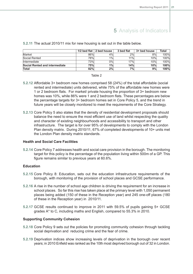|                                |      | 1/2 bed flat $\vert$ 2 bed house | 3 bed flat | 3+ bed house | Total |
|--------------------------------|------|----------------------------------|------------|--------------|-------|
| Market                         | 86%  | 4%                               | 2%         | 8%l          | 100%  |
| Social Rented                  | 78%l | $1\%$                            | 11%        | 10%          | 100%  |
| <b>Intermediate</b>            | 73%  | 0%l                              | 17%        | 10%          | 100%  |
| Social Rented and intermediate | 75%  | 1%                               | 14%        | 10%          | 100%  |
| Total                          | 82%  | 2%                               | 7%         | 9%           | 100%  |

#### **5.2.11** The actual 2010/11 mix for new housing is set out in the table below.

#### Table 2

- **5.2.12** Affordable 3+ bedroom new homes comprised 58 (24%) of the total affordable (social rented and intermediate) units delivered, while 75% of the affordable new homes were 1 or 2 bedroom flats. For market/ private housing the proportion of 3+ bedroom new homes was 10%, while 86% were 1 and 2 bedroom flats. These percentages are below the percentage targets for 3+ bedroom homes set in Core Policy 5, and the trend in future years will be closely monitored to meet the requirements of the Core Strategy.
- **5.2.13** Core Policy 5 also states that the density of residential development proposals should balance the need to ensure the most efficient use of land whilst respecting the quality and character of existing neighbourhoods and accessibility to transport and other infrastructure. The target is for over 95% of developments to comply with the London Plan density matrix. During 2010/11, 67% of completed developments of 10+ units met the London Plan density matrix standards.

#### **Health and Social Care Facilities**

**5.2.14** Core Policy 7 addresses health and social care provision in the borough. The monitoring target for this policy is the percentage of the population living within 500m of a GP. This figure remains similar to previous years at 60.6%.

#### **Education**

- **5.2.15** Core Policy 8: Education, sets out the education infrastructure requirements of the borough, with monitoring of the provision of school places and GCSE performance.
- **5.2.16** A rise in the number of school age children is driving the requirement for an increase in school places. So far this rise has taken place at the primary level with 1,050 permanent places being added (150 of these in the Reception year) and 245 one-off places (180 of these in the Reception year) in 2010/11.
- **5.2.17** GCSE results continued to improve in 2011 with 59.5% of pupils gaining 5+ GCSE grades A\* to C, including maths and English, compared to 55.3% in 2010.

#### **Supporting Community Cohesion**

- **5.2.18** Core Policy 9 sets out the policies for promoting community cohesion through tackling social deprivation and reducing crime and the fear of crime.
- **5.2.19** Deprivation indices show increasing levels of deprivation in the borough over recent years; in 2010 Enfield was ranked as the 10th most deprived borough out of 32 in London.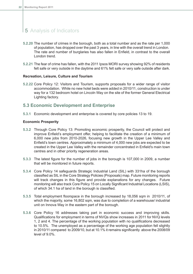- **5.2.20** The number of crimes in the borough, both as a total number and as the rate per 1,000 of population, has dropped over the past 3 years, in line with the overall trend in London. The rate and number of burglaries has also fallen in Enfield, in contrast to the overall London trend.
- **5.2.21** The fear of crime has fallen, with the 2011 Ipsos MORI survey showing 92% of residents felt safe or very outside in the daytime and 61% felt safe or very safe outside after dark.

#### **Recreation, Leisure, Culture and Tourism**

<span id="page-23-0"></span>**5.2.22** Core Policy 12: Visitors and Tourism, supports proposals for a wider range of visitor accommodation. While no new hotel beds were added in 2010/11, construction is under way for a 132 bedroom hotel on Lincoln Way on the site of the former General Electrical Lighting factory.

### **5.3 Economic Development and Enterprise**

**5.3.1** Economic development and enterprise is covered by core policies 13 to 19.

#### **Economic Prosperity**

- **5.3.2** Through Core Policy 13: Promoting economic prosperity, the Council will protect and improve Enfield's employment offer, helping to facilitate the creation of a minimum of 6,000 new jobs from 2010-2026, focusing new growth in the Upper Lee Valley and Enfield's town centres. Approximately a minimum of 4,000 new jobs are expected to be created in the Upper Lee Valley with the remainder concentrated in Enfield's main town centres and in other priority regeneration areas.
- **5.3.3** The latest figure for the number of jobs in the borough is 107,000 in 2009, a number that will be monitored in future reports.
- **5.3.4** Core Policy 14 safeguards Strategic Industrial Land (SIL) with 331ha of the borough classified as SIL in the Core Strategy Policies (Proposals) map. Future monitoring reports will track changes in this figure and provide explanations for any changes. Future monitoring will also track Core Policy 15 on Locally Significant Industrial Locations (LSIS), of which 34.1 ha of land in the borough is classified.
- **5.3.5** Total employment floorspace in the borough increased by 18,056 sqm in 2010/11, of which the majority, some 16,802 sqm, was due to completion of a warehouse/ industrial unit on Innova Way in the eastern part of the borough.
- **5.3.6** Core Policy 16 addresses taking part in economic success and improving skills. Qualifications for employment in terms of NVQs show increases in 2011 for NVQ levels 1, 2 and 4. The percentage of the working population with no qualifications decreased to 10.5%. The unemployed as a percentage of the working age population fell slightly in 2010/11 compared to 2009/10, but at 10.1% it remains significantly above the 2008/09 level of 9.0%.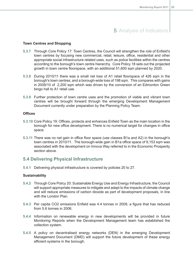#### **Town Centres and Shopping**

- **5.3.7** Through Core Policy 17: Town Centres, the Council will strengthen the role of Enfield's town centres by focusing new commercial, retail, leisure, office, residential and other appropriate social infrastructure related uses, such as police facilities within the centres according to the borough's town centre hierarchy. Core Policy 18 sets out the projected growth in town centre floorspace, with an additional 51,600 sqm planned by 2020.
- **5.3.8** During 2010/11 there was a small net loss of A1 retail floorspace of 426 sqm in the borough's town centres, and a borough-wide loss of 198 sqm. This compares with gains in 2009/10 of 2,200 sqm which was driven by the conversion of an Edmonton Green bingo hall to A1 retail use.
- **5.3.9** Further protection of town centre uses and the promotion of viable and vibrant town centres will be brought forward through the emerging Development Management Document currently under preparation by the Planning Policy Team.

#### **Offices**

- **5.3.10** Core Policy 19: Offices, protects and enhances Enfield Town as the main location in the borough for new office development. There is no numerical target for changes in office space.
- <span id="page-24-0"></span>**5.3.11** There was no net gain in office floor space (use classes B1a and A2) in the borough's town centres in 2010/11. The borough-wide gain in B1a office space of 9,153 sqm was associated with the development on Innova Way referred to in the Economic Prosperity section above.

#### **5.4 Delivering Physical Infrastructure**

**5.4.1** Delivering physical infrastructure is covered by policies 20 to 27.

#### **Sustainability**

- **5.4.2** Through Core Policy 20: Sustainable Energy Use and Energy Infrastructure, the Council will support appropriate measures to mitigate and adapt to the impacts of climate change and will reduce emissions of carbon dioxide as part of development proposals, in line with the London Plan.
- **5.4.3** Per capita CO2 emissions Enfield was 4.4 tonnes in 2009, a figure that has reduced from 5.6 tonnes in 2006.
- **5.4.4** Information on renewable energy in new developments will be provided in future Monitoring Reports when the Development Management team has established the collection system.
- **5.4.5** A policy on decentralised energy networks (DEN) in the emerging Development Management Document (DMD) will support the future development of these energy efficient systems in the borough.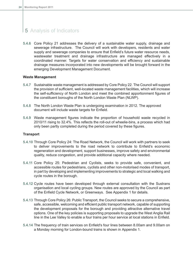**5.4.6** Core Policy 21 addresses the delivery of a sustainable water supply, drainage and sewerage infrastructure. The Council will work with developers, residents and water supply and sewerage companies to ensure that Enfield's future water resource needs, wastewater treatment and drainage infrastructure are managed effectively in a coordinated manner. Targets for water conservation and efficiency and sustainable drainage measures incorporated into new developments will be brought forward in the emerging Development Management Document.

#### **Waste Management**

- **5.4.7** Sustainable waste management is addressed by Core Policy 22. The Council will support the provision of sufficient, well-located waste management facilities, which will increase the self-sufficiency of North London and meet the combined apportionment figures of the constituent boroughs of the North London Waste Plan (NLWP).
- **5.4.8** The North London Waste Plan is undergoing examination in 2012. The approved document will include waste targets for Enfield.
- **5.4.9** Waste management figures indicate the proportion of household waste recycled in 2010/11 rising to 32.4%. This reflects the roll-out of wheelie-bins, a process which had only been partly completed during the period covered by these figures.

#### **Transport**

- **5.4.10** Through Core Policy 24: The Road Network, the Council will work with partners to seek to deliver improvements to the road network to contribute to Enfield's economic regeneration and development, support businesses, improve safety and environmental quality, reduce congestion, and provide additional capacity where needed.
- **5.4.11** Core Policy 25: Pedestrian and Cyclists, seeks to provide safe, convenient, and accessible routes for pedestrians, cyclists and other non-motorised modes of transport, in part by developing and implementing improvements to strategic and local walking and cycle routes in the borough.
- **5.4.12** Cycle routes have been developed through external consultation with the Sustrans organisation and local cycling groups. New routes are approved by the Council as part of the Enfield Cycle Network, or Greenways. See Appendix 1 for details.
- **5.4.13** Through Core Policy 26: Public Transport, the Council seeks to secure a comprehensive, safe, accessible, welcoming and efficient public transport network, capable of supporting the development proposals for the borough and providing attractive alternative travel options. One of the key policies is supporting proposals to upgrade the West Anglia Rail line in the Lee Valley to enable a four trains per hour service at local stations in Enfield.
- **5.4.14** The frequency of train services on Enfield's four lines between 8.00am and 9.00am on a Monday morning for London-bound trains is shown in Appendix 1.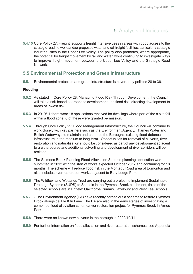**5.4.15** Core Policy 27: Freight, supports freight intensive uses in areas with good access to the strategic road network and/or proposed water and rail freight facilities, particularly strategic industrial sites in the Upper Lee Valley. The policy also promotes, where appropriate, the potential for freight movement by rail and water, while continuing to investigate ways to improve freight movement between the Upper Lee Valley and the Strategic Road Network.

### <span id="page-26-0"></span>**5.5 Environmental Protection and Green Infrastructure**

**5.5.1** Environmental protection and green infrastructure is covered by policies 28 to 36.

#### **Flooding**

- **5.5.2** As stated in Core Policy 28: Managing Flood Risk Through Development, the Council will take a risk-based approach to development and flood risk, directing development to areas of lowest risk.
- **5.5.3** In 2010/11 there were 18 applications received for dwellings where part of the a site fell within a flood zone; 6 of these were granted permission.
- **5.5.4** Through Core Policy 29: Flood Management Infrastructure, the Council will continue to work closely with key partners such as the Environment Agency, Thames Water and British Waterways to maintain and enhance the Borough's existing flood defence infrastructure in the medium to long term. Opportunities for removal of culverts, river restoration and naturalisation should be considered as part of any development adjacent to a watercourse and additional culverting and development of river corridors will be resisted.
- **5.5.5** The Salmons Brook Planning Flood Alleviation Scheme planning application was submitted in 2012 with the start of works expected October 2012 and continuing for 18 months. The scheme will reduce flood risk in the Montagu Road area of Edmonton and also includes river restoration works adjacent to Bury Lodge Park.
- **5.5.6** The Wildfowl and Wetlands Trust are carrying out a project to implement Sustainable Drainage Systems (SUDS) to Schools in the Pymmes Brook catchment, three of the selected schools are in Enfield: Oakthorpe Primary,Hazelbury and West Lea Schools.
- **5.5.7** The Environment Agency (EA) have recently carried out a scheme to restore Pymmes Brook alongside Tile Kiln Lane. The EA are also in the early stages of investigating a combined flood alleviation scheme/river restoration project for Pymmes Brook in Arnos Park.
- **5.5.8** There were no known new culverts in the borough in 2009/10/11.
- **5.5.9** For further information on flood alleviation and river restoration schemes, see Appendix 1.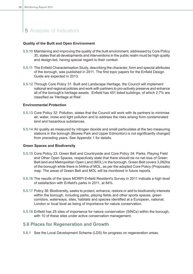#### **Quality of the Built and Open Environment**

- **5.5.10** Maintaining and improving the quality of the built environment, addressed by Core Policy 30, states that all developments and interventions in the public realm must be high quality and design-led, having special regard to their context.
- **5.5.11** The Enfield Characterisation Study, describing the character, form and special attributes of the borough, was published in 2011. The first topic papers for the Enfield Design Guide are expected in 2013.
- **5.5.12** Through Core Policy 31: Built and Landscape Heritage, the Council will implement national and regional policies and work with partners to pro-actively preserve and enhance all of the borough's heritage assets. Enfield has 451 listed buildings, of which 2.7% are classified as 'Heritage at Risk'.

#### **Environmental Protection**

- **5.5.13** Core Policy 32: Pollution, states that the Council will work with its partners to minimise air, water, noise and light pollution and to address the risks arising from contaminated land and hazardous substances.
- **5.5.14** Air quality as measured by nitrogen dioxide and small particulates at the two measuring stations in the borough (Bowes Park and Upper Edmonton) is not significantly changed from preceding years. See Appendix 1 for details.

#### **Green Spaces and Biodiversity**

- **5.5.15** Core Policy 33: Green Belt and Countryside and Core Policy 34: Parks, Playing Field and Other Open Spaces, respectively state that there should be no net loss of Green Belt land and Metropolitan Open Land (MOL) in the borough. Green Belt covers 3,062ha of the borough while there is 544ha of MOL, as per the adopted Core Policy (Proposals) map. The areas of Green Belt and MOL will be monitored in future reports.
- **5.5.16** The results of the Ipsos MORPI Enfield Resident's Survey in 2011 indicate a high level of satisfaction with Enfield's parks in 2011, at 84%.
- **5.5.17** Policy 36: Biodiversity, seeks to protect, enhance, restore or add to biodiversity interests within the borough, including parks, playing fields and other sports spaces, green corridors, waterways, sites, habitats and species identified at a European, national, London or local level as being of importance for nature conservation.
- <span id="page-27-0"></span>**5.5.18** Enfield has 25 sites of importance for nature conservation (SINCs) within the borough, with 10 of these sites under active conservation management.

### **5.6 Places for Regeneration and Growth**

**5.6.1** See the Local Development Scheme (LDS) for progress on regeneration areas.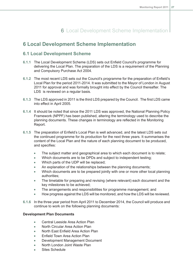# 6 Local Development Scheme Implementation

### <span id="page-28-1"></span><span id="page-28-0"></span>**6 Local Development Scheme Implementation**

### **6.1 Local Development Scheme**

- **6.1.1** The Local Development Scheme (LDS) sets out Enfield Council's programme for delivering the Local Plan. The preparation of the LDS is a requirement of the Planning and Compulsory Purchase Act 2004.
- **6.1.2** The most recent LDS sets out the Council's programme for the preparation of Enfield's Local Plan for the period 2011-2014. It was submitted to the Mayor of London in August 2011 for approval and was formally brought into effect by the Council thereafter. The LDS is reviewed on a regular basis.
- **6.1.3** The LDS approved in 2011 is the third LDS prepared by the Council. The first LDS came into effect in April 2005.
- **6.1.4** It should be noted that since the 2011 LDS was approved, the National Planning Policy Framework (NPPF) has been published, altering the terminology used to describe the planning documents. These changes in terminology are reflected in the Monitoring Report.
- **6.1.5** The preparation of Enfield's Local Plan is well advanced, and the latest LDS sets out the continued programme for its production for the next three years. It summarises the content of the Local Plan and the nature of each planning document to be produced, and specifies:
	- $\bullet$ The subject matter and geographical area to which each document is to relate;
	- Which documents are to be DPDs and subject to independent testing;  $\bullet$
	- $\bullet$ Which parts of the UDP will be replaced;
	- An explanation of the relationships between the planning documents;  $\bullet$
	- Which documents are to be prepared jointly with one or more other local planning  $\bullet$ authorities;
	- The timetable for preparing and revising (where relevant) each document and the  $\bullet$ key milestones to be achieved;
	- The arrangements and responsibilities for programme management; and  $\bullet$
	- How progress against the LDS will be monitored, and how the LDS will be reviewed.  $\bullet$
- **6.1.6** In the three year period from April 2011 to December 2014, the Council will produce and continue to work on the following planning documents:

#### **Development Plan Documents**

- $\bullet$ Central Leeside Area Action Plan
- North Circular Area Action Plan  $\bullet$
- North East Enfield Area Action Plan Ä
- Enfield Town Area Action Plan  $\blacksquare$
- $\overline{\phantom{a}}$ Development Management Document
- North London Joint Waste Plan  $\blacksquare$
- Sites Schedule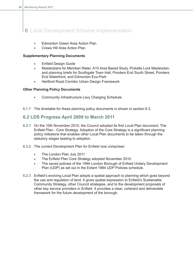# 6 Local Development Scheme Implementation

- Edmonton Green Area Action Plan  $\bullet$
- Crews Hill Area Action Plan  $\bullet$

#### **Supplementary Planning Documents**

- Enfield Design Guide  $\bullet$
- Masterplans for Meridian Water, A10 Area Based Study, Picketts Lock Masterplan,  $\bullet$ and planning briefs for Southgate Town Hall, Ponders End South Street, Ponders End Waterfront, and Edmonton Eco-Park
- $\blacksquare$ Hertford Road Corridor Urban Design Framework

#### **Other Planning Policy Documents**

- $\bullet$ Community Infrastructure Levy Charging Schedule
- <span id="page-29-0"></span>**6.1.7** The timetable for these planning policy documents is shown in section 6.3.

### **6.2 LDS Progress April 2009 to March 2011**

- **6.2.1** On the 10th November 2010, the Council adopted its first Local Plan document, The Enfield Plan - Core Strategy. Adoption of the Core Strategy is a significant planning policy milestone that enables other Local Plan documents to be taken through the statutory stages leading to adoption.
- **6.2.2** The current Development Plan for Enfield now comprises:
	- $\bullet$ The London Plan July 2011
	- The Enfield Plan Core Strategy adopted November 2010  $\bullet$
	- The saved policies of the 1994 London Borough of Enfield Unitary Development Plan (UDP) as set out in the Extant 1994 UDP Policies schedule.
- **6.2.3** Enfield's evolving Local Plan adopts a spatial approach to planning which goes beyond the use and regulation of land. It gives spatial expression to Enfield's Sustainable Community Strategy, other Council strategies, and to the development proposals of other key service providers in Enfield. It provides a clear, coherent and deliverable framework for the future development of the borough.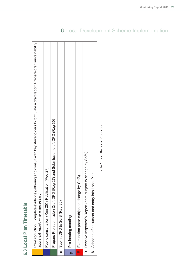<span id="page-30-0"></span>**6.3 Local Plan Timetable**

|   | Pre-Production (Complete evidence gathering and consult with key stakeholders to formulate a draft report. Prepare draft sustainability<br>appraisal report, where necessary) |
|---|-------------------------------------------------------------------------------------------------------------------------------------------------------------------------------|
|   | Public consultation (Reg 25) / Publication (Reg 27)                                                                                                                           |
|   | Prepare Pre-submission Draft DPD (Reg 27) and Submission draft DPD (Reg 30)                                                                                                   |
|   | Submit DPD to SofS (Reg 30)                                                                                                                                                   |
|   | Pre-hearing meeting                                                                                                                                                           |
| w | SofS)<br>Examination (date subject to change by                                                                                                                               |
|   | R   Receive Inspector's Report (date subject to change by SofS)                                                                                                               |
|   | A   Adoption of document and entry into Local Plan                                                                                                                            |
|   | Table 1 Key: Stages of Production                                                                                                                                             |

# 6 Local Development Scheme Implementation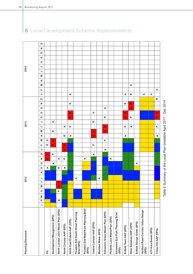

# 6 Local Development Scheme Implementation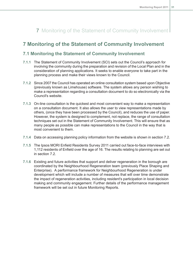# 7 Monitoring of the Statement of Community Involvement

### <span id="page-32-1"></span><span id="page-32-0"></span>**7 Monitoring of the Statement of Community Involvement**

### **7.1 Monitoring the Statement of Community Involvement**

- **7.1.1** The Statement of Community Involvement (SCI) sets out the Council's approach for involving the community during the preparation and revision of the Local Plan and in the consideration of planning applications. It seeks to enable everyone to take part in the planning process and make their views known to the Council.
- **7.1.2** Since 2007 the Council has operated an online consultation system based upon Objective (previously known as Limehouse) software. The system allows any person wishing to make a representation regarding a consultation document to do so electronically via the Council's website.
- **7.1.3** On-line consultation is the quickest and most convenient way to make a representation on a consultation document. It also allows the user to view representations made by others, (once they have been processed by the Council), and reduces the use of paper. However, the system is designed to complement, not replace, the range of consultation techniques set out in the Statement of Community Involvement. This will ensure that as many people as possible can make representations to the Council in the way that is most convenient to them.
- **7.1.4** Data on accessing planning policy information from the website is shown in section 7.2.
- **7.1.5** The Ipsos MORI Enfield Residents Survey 2011 carried out face-to-face interviews with 1,112 residents of Enfield over the age of 16. The results relating to planning are set out in section 7.2.
- **7.1.6** Existing and future activities that support and deliver regeneration in the borough are coordinated by the Neighbourhood Regeneration team (previously Place Shaping and Enterprise). A performance framework for Neighbourhood Regeneration is under development which will include a number of measures that will over time demonstrate the impact of regeneration activities, including resident's participation in local decision making and community engagement. Further details of the performance management framework will be set out in future Monitoring Reports.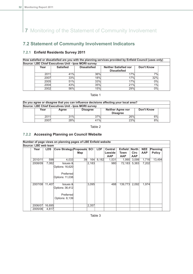**7** Monitoring of the Statement of Community Involvement

### <span id="page-33-0"></span>**7.2 Statement of Community Involvement Indicators**

#### **7.2.1 Enfield Residents Survey 2011**

**How satisfied or dissatisfied are you with the planning services provided by Enfield Council (uses only) Source: LBE Chief Executives Unit - Ipos MORI survey**

| Year | <b>Satisfied</b> | <b>Dissatisfied</b> | <b>Neither Satisfied nor</b> | Don't Know |
|------|------------------|---------------------|------------------------------|------------|
|      |                  |                     | <b>Dissatisfied</b>          |            |
| 2011 | 41%              | 36%                 | 7%                           | 7%         |
| 2007 | 33%              | <b>18%</b>          | 17%                          | 32%        |
| 2005 | 51%              | 33%                 | 7%                           | 0%         |
| 2004 | 43%              | <b>35%</b>          | 21%                          | 1%         |
| 2002 | 56%              | 15%                 | 29%                          | 0%         |

#### Table 1

| Do you agree or disagree that you can influence decisions affecting your local area? |                                                                                               |     |     |     |    |  |  |  |  |  |
|--------------------------------------------------------------------------------------|-----------------------------------------------------------------------------------------------|-----|-----|-----|----|--|--|--|--|--|
| Source: LBE Chief Executives Unit - Ipos MORI survey                                 |                                                                                               |     |     |     |    |  |  |  |  |  |
|                                                                                      | <b>Neither Agree nor</b><br>Don't Know<br><b>Disagree</b><br>Year<br>Agree<br><b>Disagree</b> |     |     |     |    |  |  |  |  |  |
|                                                                                      | 2011                                                                                          | 31% | 37% | 26% | 6% |  |  |  |  |  |
|                                                                                      | 2007                                                                                          | 28% | 41% | 23% | 8% |  |  |  |  |  |

#### Table 2

#### **7.2.2 Accessing Planning on Council Website**

| Number of page views on planning pages of LBE Enfield website |                                                                                                                                                      |        |                                                                       |     |       |       |            |            |             |            |               |
|---------------------------------------------------------------|------------------------------------------------------------------------------------------------------------------------------------------------------|--------|-----------------------------------------------------------------------|-----|-------|-------|------------|------------|-------------|------------|---------------|
| Source: LBE web team                                          |                                                                                                                                                      |        |                                                                       |     |       |       |            |            |             |            |               |
|                                                               | <b>LDF</b><br><b>Core Strategy Proposals SCI</b><br><b>Enfield</b><br><b>NEE</b><br><b>LDS</b><br><b>Central</b><br><b>North</b><br>Planning<br>Year |        |                                                                       |     |       |       |            |            |             |            |               |
|                                                               |                                                                                                                                                      |        |                                                                       | Map |       |       | Leeside    | Town       | <b>Circ</b> | <b>AAP</b> | <b>Policy</b> |
|                                                               |                                                                                                                                                      |        |                                                                       |     |       |       | <b>AAP</b> | <b>AAP</b> | <b>AAP</b>  |            |               |
|                                                               | 2010/11                                                                                                                                              | 598    | 4,033                                                                 | 39  | 164   | 8,182 | 1,531      | 1,990      | 3,099       | 1,716      | 13,494        |
|                                                               | 2008/09                                                                                                                                              | 7,082  | <b>Issues &amp;</b><br>Options: 16,620                                |     | 2,183 |       | 980        | 72,183     | 5,383       | 7,202      |               |
|                                                               |                                                                                                                                                      |        | Preferred<br>Options: 11,038                                          |     |       |       |            |            |             |            |               |
|                                                               | 2007/08                                                                                                                                              | 11.407 | <b>Issues &amp;</b><br>Options: 36,412<br>Preferred<br>Options: 8,139 |     | 3,095 |       | 488        | 139,773    | 2,092       | 1.974      |               |
|                                                               | 2006/07                                                                                                                                              | 16,695 |                                                                       |     | 2,357 |       |            |            |             |            |               |
|                                                               | 2005/06                                                                                                                                              | 4,817  |                                                                       |     |       |       |            |            |             |            |               |

Table 3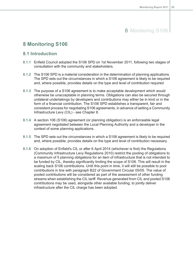# 8 Monitoring S106

### <span id="page-34-1"></span><span id="page-34-0"></span>**8 Monitoring S106**

### **8.1 Introduction**

- **8.1.1** Enfield Council adopted the S106 SPD on 1st November 2011, following two stages of consultation with the community and stakeholders.
- **8.1.2** The S106 SPD is a material consideration in the determination of planning applications. The SPD sets out the circumstances in which a S106 agreement is likely to be required and, where possible, provides details on the type and level of contribution required
- **8.1.3** The purpose of a S106 agreement is to make acceptable development which would otherwise be unacceptable in planning terms. Obligations can also be secured through unilateral undertakings by developers and contributions may either be in kind or in the form of a financial contribution. The S106 SPD establishes a transparent, fair and consistent process for negotiating S106 agreements, in advance of setting a Community Infrastructure Levy (CIL) - see Chapter 8.
- **8.1.4** A section 106 (S106) agreement (or planning obligation) is an enforceable legal agreement negotiated between the Local Planning Authority and a developer in the context of some planning applications.
- **8.1.5** The SPD sets out the circumstances in which a S106 agreement is likely to be required and, where possible, provides details on the type and level of contribution necessary.
- **8.1.6** On adoption of Enfield's CIL or after 6 April 2014 (whichever is first) the Regulations (Community Infrastructure Levy Regulations 2010) restrict the pooling of obligations to a maximum of 5 planning obligations for an item of infrastructure that is not intended to be funded by CIL, thereby significantly limiting the scope of S106. This will result in the scaling back S106 contributions. Until this point in time, it will still be possible to pool contributions in line with paragraph B22 of Government Circular 05/05. The value of pooled contributions will be considered as part of the assessment of other funding streams when establishing the CIL tariff. Revenue generated from CIL and pooled S106 contributions may be used, alongside other available funding, to jointly deliver infrastructure after the CIL charge has been adopted.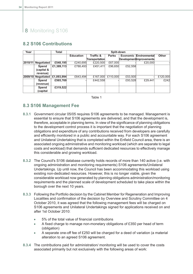# 8 Monitoring S106

### <span id="page-35-0"></span>**8.2 S106 Contributions**

| Year    |                   | Total      | Split-down       |                      |              |         |                               |              |  |  |
|---------|-------------------|------------|------------------|----------------------|--------------|---------|-------------------------------|--------------|--|--|
|         |                   |            | <b>Education</b> | <b>Traffic &amp;</b> | <b>Parks</b> |         | <b>Economic Environmental</b> | <b>Other</b> |  |  |
|         |                   |            |                  | Transportation       |              |         | Development Improvements      |              |  |  |
| 2010/11 | <b>Negotiated</b> | £548,195   | £240,695         | £220,500             | £67,000      |         | £20,000                       |              |  |  |
|         | <b>Spend</b>      | £1,389,113 | £788,493         | £451,411             | £96,650      | £52,558 |                               |              |  |  |
|         | capital &         |            |                  |                      |              |         |                               |              |  |  |
|         | revenue)          |            |                  |                      |              |         |                               |              |  |  |
| 2009/10 | <b>Negotiated</b> | £1,093,994 | £643.494         | £167,000             | £110,000     | £53,500 |                               | £120,000     |  |  |
|         | <b>Spend</b>      | £565,769   |                  | £442,558             |              | £93,528 | £29.441                       | £242         |  |  |
|         | (revenue)         |            |                  |                      |              |         |                               |              |  |  |
|         | Spend             | £319,522   |                  |                      |              |         |                               |              |  |  |
|         | (capital          |            |                  |                      |              |         |                               |              |  |  |

Table 1

### <span id="page-35-1"></span>**8.3 S106 Management Fee**

- **8.3.1** Government circular 05/05 requires S106 agreements to be managed. Management is essential to ensure that S106 agreements are delivered, and that the development is, therefore, acceptable in planning terms. In view of the significance of planning obligations to the development control process it is important that the negotiation of planning obligations and expenditure of any contributions received from developers are carefully and efficiently monitored in a public and accountable way. For each S106 agreement and Unilateral Undertaking that is completed within the Enfield Council area, there is an associated ongoing administrative and monitoring workload (which are separate to legal costs and workload) that demands sufficient dedicated resources to effectively manage this considerable and growing workload.
- **8.3.2** The Council's S106 database currently holds records of more than 140 active (i.e. with ongoing administration and monitoring requirements) S106 agreements/Unilateral Undertakings. Up until now, the Council has been accommodating this workload using existing non-dedicated resources. However, this is no longer viable, given the considerable workload now generated by planning obligations administration/monitoring requirements and the planned scale of development scheduled to take place within the borough over the next 10 years.
- **8.3.3** Following the Portfolio decision by the Cabinet Member for Regeneration and Improving Localities and confirmation of the decision by Overview and Scrutiny Committee on 4 October 2010, it was agreed that the following management fees will be charged on S106 agreements and Unilateral Undertakings signed for applications received on and after 1st October 2010:
	- 5% of the total value of financial contributions  $\bullet$
	- A fixed charge to manage non-monetary obligations of £350 per head of term Ä (obligation)
	- A separate one-off fee of £250 will be charged for a deed of variation (a material alteration to an agreed S106 agreement.
- **8.3.4** The contributions paid for administration/ monitoring will be used to cover the costs associated primarily but not exclusively with the following areas of work: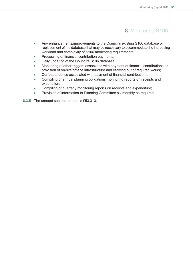# 8 Monitoring S106

- Any enhancements/improvements to the Council's existing S106 database or  $\bullet$ replacement of the database that may be necessary to accommodate the increasing workload and complexity of S106 monitoring requirements;
- Processing of financial contribution payments;  $\bullet$
- Daily updating of the Council's S106 database;  $\bullet$
- Monitoring of other triggers associated with payment of financial contributions or  $\bullet$ provision of on-site/off-site infrastructure and carrying out of required works;
- Correspondence associated with payment of financial contributions;  $\bullet$
- Compiling of annual planning obligations monitoring reports on receipts and  $\bullet$ expenditure;
- Compiling of quarterly monitoring reports on receipts and expenditure;  $\blacksquare$
- Provision of information to Planning Committee six monthly as required.  $\bullet$

**8.3.5** The amount secured to date is £53,313.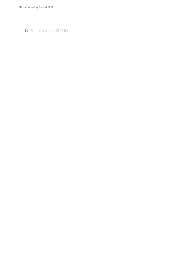# Monitoring S106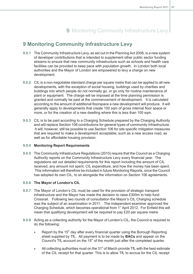# 9 Monitoring Community Infrastructure Levy

## **9 Monitoring Community Infrastructure Levy**

- **9.0.1** The Community Infrastructure Levy, as set out in the Planning Act 2008, is a new system of developer contributions that is intended to supplement other public sector funding streams to ensure that new community infrastructure such as schools and health care facilities can be provided to keep pace with population growth. In London both local authorities and the Mayor of London are empowered to levy a charge on new development.
- **9.0.2** CIL is a non-negotiable standard charge per square metre that can be applied to all new developments, with the exception of social housing, buildings used by charities and buildings into which people do not normally go, or go only for routine maintenance of plant or equipment. The charge will be imposed at the time planning permission is granted and normally be paid at the commencement of development. It is calculated according to the amount of additional floorspace a new development will produce. It will generally apply to developments that create 100 sqm of gross internal floor space or more, or for the creation of a new dwelling where this is less than 100 sqm.
- **9.0.3** CIL is to be paid according to a Charging Schedule prepared by the Charging Authority and will replace Section 106 contributions for general types of community infrastructure. It will, however, still be possible to use Section 106 for site specific mitigation measures that are required to make a development acceptable, such as a new access road, as well as for affordable housing provision.

## **9.0.4 Monitoring Report Requirements**

**9.0.5** The Community Infrastructure Regulations (2010) require that the Council as a Charging Authority reports on the Community Infrastructure Levy every financial year. The regulations set out detailed requirements for this report including the amount of CIL received, any amount not spent, CIL expenditure, and how the money has been spent. This information will therefore be included in future Monitoring Reports, once the Council has adopted its own CIL, to sit alongside the information on Section 106 agreements.

### **9.0.6 The Mayor of London's CIL**

- **9.0.7** The Mayor of London's CIL must be used for the provision of strategic transport infrastructure and the Mayor has made the decision to raise £300m to help fund Crossrail. Following two rounds of consultation the Mayor's CIL Charging schedule was the subject of an examination in 2011. The independent examiner approved the Charging Schedule, which becomes operational from 1<sup>st</sup> April 2012. For Enfield this will mean that qualifying development will be required to pay  $£20$  per square metre.
- **9.0.8** Acting as a collecting authority for the Mayor of London's CIL, the Council is required to do the following:
	- Report by the  $15<sup>th</sup>$  day after every financial quarter using the Borough Reporting  $\bullet$ sheet supplied by TfL. All payment is to be made by **BACs** and appear on the Council's TfL account on the  $15<sup>th</sup>$  of the month just after the completed quarter.
	- All collecting authorities must on the  $31<sup>st</sup>$  of March provide TfL with the best estimate  $\Delta$ of the CIL receipt for that quarter. This is to allow TfL to accrue for the CIL receipt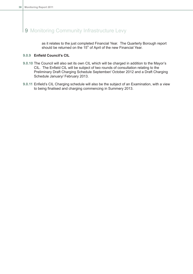# 9 Monitoring Community Infrastructure Levy

as it relates to the just completed Financial Year. The Quarterly Borough report should be returned on the  $15<sup>th</sup>$  of April of the new Financial Year.

## **9.0.9 Enfield Council's CIL**

- **9.0.10** The Council will also set its own CIL which will be charged in addition to the Mayor's CIL. The Enfield CIL will be subject of two rounds of consultation relating to the Preliminary Draft Charging Schedule September/ October 2012 and a Draft Charging Schedule January/ February 2013.
- **9.0.11** Enfield's CIL Charging schedule will also be the subject of an Examination, with a view to being finalised and charging commencing in Summery 2013.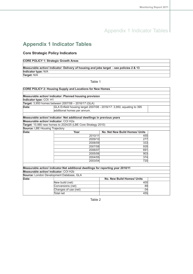# **Appendix 1 Indicator Tables**

## **Core Strategic Policy Indicators**

### **CORE POLICY 1: Strategic Growth Areas**

## **Measurable action/ indicator: Delivery of housing and jobs target - see policies 2 & 13 Indicator type:** N/A

**Target:** N/A

Table 1

|                                       | Measurable action/ indicator: Planned housing provision                           |                                |  |
|---------------------------------------|-----------------------------------------------------------------------------------|--------------------------------|--|
| Indicator type: COI: H1               |                                                                                   |                                |  |
|                                       | Target: 3,950 homes between 2007/08 - 2016/17 (GLA)                               |                                |  |
| Data:                                 | GLA Enfield housing target 2007/08 - 2016/17: 3,950, equating to 395              |                                |  |
|                                       | additional homes per annum.                                                       |                                |  |
|                                       |                                                                                   |                                |  |
|                                       | Measurable action/ indicator: Net additional dwellings in previous years          |                                |  |
| Measurable action/ indicator: COI H2a |                                                                                   |                                |  |
|                                       | Target: 10,980 new homes to 2024/25 (LBE Core Strategy 2010)                      |                                |  |
| <b>Source: LBE Housing Trajectory</b> |                                                                                   |                                |  |
| Data:                                 | Year                                                                              | No. Net New Build Homes/ Units |  |
|                                       | 2010/11                                                                           | 455                            |  |
|                                       |                                                                                   | 277                            |  |
|                                       | 2009/10                                                                           |                                |  |
|                                       | 2008/09                                                                           | 333                            |  |
|                                       | 2007/08                                                                           | 935                            |  |
|                                       | 2006/07                                                                           | 691                            |  |
|                                       | 2005/06                                                                           | 903                            |  |
|                                       | 2004/05                                                                           | 374                            |  |
|                                       | 2003/04                                                                           | 720                            |  |
|                                       |                                                                                   |                                |  |
|                                       | Measurable action/ indicator: Net additional dwellings for reporting year 2010/11 |                                |  |

**Source:** London Development Database, GLA

| Data: |                      | No. New Build Homes/ Units |  |
|-------|----------------------|----------------------------|--|
|       | New build (net)      | 400                        |  |
|       | Conversions (net)    | 89                         |  |
|       | Changes of use (net) | -34                        |  |
|       | Total net            | 455                        |  |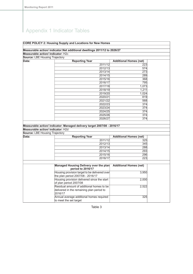### **CORE POLICY 2: Housing Supply and Locations for New Homes**

### **Measurable action/ indicator:Net additional dwellings 2011/12 to 2026/27 Measurable action/ indicator:** H2c

**Source:** LBE Housing Trajectory

| Data: | <b>Reporting Year</b> | <b>Additional Homes (net)</b> |
|-------|-----------------------|-------------------------------|
|       | 2011/12               | 223                           |
|       | 2012/13               | 574                           |
|       | 2013/14               | 273                           |
|       | 2014/15               | 289                           |
|       | 2015/16               | 368                           |
|       | 2016/17               | 795                           |
|       | 2017/18               | 1,073                         |
|       | 2018/19               | 1,211                         |
|       | 2019/20               | 1,024                         |
|       | 2020/21               | 819                           |
|       | 2021/22               | 568                           |
|       | 2022/23               | 374                           |
|       | 2023/24               | 374                           |
|       | 2024/25               | 374                           |
|       | 2025/26               | 374                           |
|       | 2026/27               | 374                           |

### **Measurable action/ indicator: Managed delivery target 2007/08 - 2016/17 Measurable action/ indicator:** H2d

| <b>Source: LBE Housing Trajectory</b> |                       |                               |
|---------------------------------------|-----------------------|-------------------------------|
| Data:                                 | <b>Reporting Year</b> | <b>Additional Homes (net)</b> |
|                                       | 2011/12               | 325                           |
|                                       | 2012/13               | 345                           |
|                                       | 2013/14               | 288                           |
|                                       | 2014/15               | 293                           |
|                                       | 2015/16               | 296                           |
|                                       | 2016/17               | 223                           |

| Managed Housing Delivery over the plan        | <b>Additional Homes (net)</b> |
|-----------------------------------------------|-------------------------------|
| period to 2016/17                             |                               |
| Housing provision target to be delivered over | 3,950                         |
| the plan period 2007/08 - 2016/17             |                               |
| Housing provision delivered since the start   | 2,000                         |
| of plan period 2007/08                        |                               |
| Residual amount of additional homes to be     | 2,522                         |
| delivered in the remaining plan period to     |                               |
| 2016/17                                       |                               |
| Annual average additional homes required      | 325                           |
| to meet the set target                        |                               |
|                                               |                               |

Table 3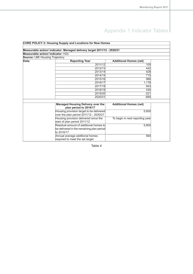|                                       | <b>CORE POLICY 2: Housing Supply and Locations for New Homes</b>        |                                 |  |
|---------------------------------------|-------------------------------------------------------------------------|---------------------------------|--|
|                                       |                                                                         |                                 |  |
|                                       | Measurable action/ indicator: Managed delivery target 2011/12 - 2020/21 |                                 |  |
| Measurable action/ indicator: H2d     |                                                                         |                                 |  |
| <b>Source: LBE Housing Trajectory</b> |                                                                         |                                 |  |
| Data:                                 | <b>Reporting Year</b>                                                   | <b>Additional Homes (net)</b>   |  |
|                                       | 2011/12                                                                 | 105                             |  |
|                                       | 2012/13                                                                 | 442                             |  |
|                                       | 2013/14                                                                 | 428                             |  |
|                                       | 2014/15                                                                 | 715                             |  |
|                                       | 2015/16                                                                 | 986                             |  |
|                                       | 2016/17                                                                 | 1,178                           |  |
|                                       | 2017/18                                                                 | 943                             |  |
|                                       | 2018/19                                                                 | 430                             |  |
|                                       | 2019/20                                                                 | $-221$                          |  |
|                                       | 2020/21                                                                 | $-685$                          |  |
|                                       |                                                                         |                                 |  |
|                                       | <b>Managed Housing Delivery over the</b>                                | <b>Additional Homes (net)</b>   |  |
|                                       | plan period to 2016/17                                                  |                                 |  |
|                                       | Housing provision target to be delivered                                | 5,600                           |  |
|                                       | over the plan period 2011/12 - 2020/21                                  |                                 |  |
|                                       | Housing provision delivered since the                                   | To begin in next reporting year |  |
|                                       | start of plan period 2011/12                                            |                                 |  |
|                                       | Residual amount of additional homes to                                  | 5,600                           |  |
|                                       | be delivered in the remaining plan period                               |                                 |  |
|                                       | to 2016/17                                                              |                                 |  |
|                                       | Annual average additional homes                                         | 560                             |  |
|                                       | required to meet the set target                                         |                                 |  |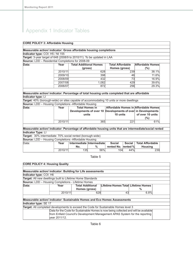## **CORE POLICY 3: Affordable Housing**

| Measurable action/ indicator: Gross affordable housing completions                                       |                               |                               |       |                         |               |                                                              |  |
|----------------------------------------------------------------------------------------------------------|-------------------------------|-------------------------------|-------|-------------------------|---------------|--------------------------------------------------------------|--|
| Indicator type: COI: H5 / NI 155                                                                         |                               |                               |       |                         |               |                                                              |  |
| Target: 3-year target of 648 (2008/9 to 2010/11). To be updated in LAA                                   |                               |                               |       |                         |               |                                                              |  |
| Source: LDD - Residential Completions for 2008-09                                                        |                               |                               |       |                         |               |                                                              |  |
| Data:                                                                                                    | Year                          | <b>Total Additional Homes</b> |       | <b>Total Affordable</b> |               | Affordable Homes                                             |  |
|                                                                                                          |                               | (gross)                       |       | Homes (gross)           |               | $(\%)$                                                       |  |
|                                                                                                          | 2010/11                       |                               | 628   |                         | 239           | 38.1%                                                        |  |
|                                                                                                          | 2009/10<br>11.6%<br>398<br>46 |                               |       |                         |               |                                                              |  |
|                                                                                                          | 2008/09                       |                               | 432   |                         | 73            | 16.9%                                                        |  |
|                                                                                                          | 2007/08                       |                               | 1,082 |                         | 429           | 39.6%                                                        |  |
|                                                                                                          | 2006/07                       |                               | 872   |                         | 256           | 29.3%                                                        |  |
|                                                                                                          |                               |                               |       |                         |               |                                                              |  |
| Measurable action/ indicator: Percentage of total housing units completed that are affordable            |                               |                               |       |                         |               |                                                              |  |
| Indicator type: LI                                                                                       |                               |                               |       |                         |               |                                                              |  |
| Target: 40% (borough-wide) on sites capable of accommodating 10 units or more dwellings                  |                               |                               |       |                         |               |                                                              |  |
| <b>Source:</b> LDD - Housing Completions - Affordable Housing                                            |                               |                               |       |                         |               |                                                              |  |
| Data:                                                                                                    | Year                          | <b>Total Homes in</b>         |       |                         |               | Affordable Homes in Affordable Homes                         |  |
|                                                                                                          |                               |                               |       |                         |               | Developments of over 10 Developments of over in Developments |  |
|                                                                                                          |                               | units                         |       | 10 units                |               | of over 10 units                                             |  |
|                                                                                                          |                               |                               |       |                         |               | (%)                                                          |  |
|                                                                                                          | 2010/11                       |                               | 365   |                         | 221           | 61%                                                          |  |
|                                                                                                          |                               |                               |       |                         |               |                                                              |  |
| Measurable action/ indicator: Percentage of affordable housing units that are intermediate/social rented |                               |                               |       |                         |               |                                                              |  |
| <b>Indicator Type: LI</b>                                                                                |                               |                               |       |                         |               |                                                              |  |
| Target: 30% intermediate: 70% social rented (borough-wide)                                               |                               |                               |       |                         |               |                                                              |  |
| <b>Source:</b> LDD - Housing Completions - Affordable Housing                                            |                               |                               |       |                         |               |                                                              |  |
| Data:                                                                                                    | Year                          | Intermediate Intermediate     |       | <b>Social</b>           | <b>Social</b> | <b>Total Affordable</b>                                      |  |
|                                                                                                          |                               | No.                           | %     | rented No.              | rented %      | <b>Housing</b>                                               |  |
|                                                                                                          | 2010/11                       | 135                           | 56%   | 104                     | 44%           | 239                                                          |  |

| <b>CORE POLICY 4: Housing Quality</b>                      |               |                                                                                      |                                     |      |  |
|------------------------------------------------------------|---------------|--------------------------------------------------------------------------------------|-------------------------------------|------|--|
|                                                            |               |                                                                                      |                                     |      |  |
|                                                            |               | Measurable action/ indicator: Building for Life assessments                          |                                     |      |  |
| Indicator type: COI: H6                                    |               |                                                                                      |                                     |      |  |
| Target: All new dwellings built to Lifetime Home Standards |               |                                                                                      |                                     |      |  |
| <b>Source:</b> LDD – Housing Completions - Lifetime Homes  |               |                                                                                      |                                     |      |  |
| Data:                                                      | Year          | <b>Total Additional</b>                                                              | Lifetime Homes Total Lifetime Homes |      |  |
|                                                            |               | Homes (gross)                                                                        |                                     | ℅    |  |
|                                                            | 2010/11       | 628                                                                                  | 43                                  | 6.8% |  |
|                                                            |               |                                                                                      |                                     |      |  |
|                                                            |               | Measurable action/ indicator: Sustainable Homes and Eco Homes Assessments            |                                     |      |  |
| Indicator type: SE 17                                      |               |                                                                                      |                                     |      |  |
|                                                            |               | Target: All completed developments to exceed the Code for Sustainable Homes level 3  |                                     |      |  |
|                                                            |               | Data for the Code for Sustainable Homes is now being collected and will be available |                                     |      |  |
|                                                            |               | from Enfield Council's Development Management APAS System for the reporting          |                                     |      |  |
|                                                            | vear 2011/12. |                                                                                      |                                     |      |  |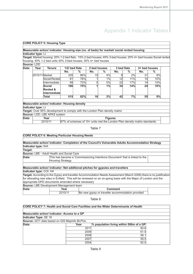#### **CORE POLICY 5: Housing Type**

#### **Measurable action/ indicator: Housing size (no. of beds) for market/ social rented housing Indicator type:** LI

**Target:** Market housing: 20% 1-2 bed flats; 15% 2-bed houses; 45% 3-bed houses; 20% 4+ bed houses Social rented housing: 40% 1-2 bed units 30% 3-bed houses; 30% 4+ bed houses **Source:** LDD

| Data:<br>Year |                | Tenure                               | 1/2/ bed flats |            | 2 bed houses |    | 3 bed flats |      | 3+ bed houses |            |
|---------------|----------------|--------------------------------------|----------------|------------|--------------|----|-------------|------|---------------|------------|
|               |                |                                      | No.            | %          | No.          | %  | No.         | $\%$ | No.           | %          |
|               | 2010/11 Market |                                      | 335            | 86%        | 15           | 4% |             | 2%   | 31            | 8%         |
|               |                | Social Rented                        | 81             | 78%        |              | 1% | 12          | 11%  | 10            | <b>10%</b> |
|               |                | Intermediate                         | 99             | <b>73%</b> |              | 0% | 22          | 17%  | 14            | 10%        |
|               |                | Social<br>Rented &<br>lintermediatel | 180            | 75%        |              | 1% | 34          | 14%  | 24            | 10%        |
|               |                | Total                                | 515            | 82%        | 16           | 2% | 42          | 7%   | 55            | 9%         |

## **Indicator type:** LI

**Target:** Over 95% development to comply with the London Plan density matrix **Source:** LDD, LBE APAS system<br>Data: **Year Data: Year Figures**<br>**Property Property** *Figures* **Figures Figures Property** *FIGNA FIGNA FIGNA FIGNA FIGNA FIGNA FIGNA FIGNA FIGNA FIGNA FIGNA FIGNA FIGNA*

67% of schemes of 10+ units met the London Plan density matrix standards.

#### Table 7

### **CORE POLICY 6: Meeting Particular Housing Needs**

**Measurable action/ indicator: Completion of the Council's Vulnerable Adults Accommodation Strategy Indicator type:** N/A

**Target:**

#### **Source:** LBE - Adult Health and Social Care

This has become a 'Commissioning Intentions Document' that is linked to the Housing Strategy. **Data:**

|                         | Measurable action/ indicator: Net additional pitches for gypsies and travellers |                                                                                                                                                                                                                                         |  |  |  |
|-------------------------|---------------------------------------------------------------------------------|-----------------------------------------------------------------------------------------------------------------------------------------------------------------------------------------------------------------------------------------|--|--|--|
| Indicator type: COI: H4 |                                                                                 |                                                                                                                                                                                                                                         |  |  |  |
|                         | appropriate DPD documents amended where necessary                               | Target: According to the Gypsy and traveller Accommodation Needs Assessment (March 2008), there is no justification<br>for allocating new sites in Enfield. This will be reviewed on an on-going basis with the Major of London and the |  |  |  |
|                         | <b>Source: LBE Development Management team</b>                                  |                                                                                                                                                                                                                                         |  |  |  |
| Data:                   | Year                                                                            | <b>Comment</b>                                                                                                                                                                                                                          |  |  |  |
|                         | 2010/11                                                                         | No new gypsy or traveller accommodation provided                                                                                                                                                                                        |  |  |  |

|                                              |      | <b>CORE POLICY 7: Health and Social Care Facilities and the Wider Determinants of Health</b> |  |
|----------------------------------------------|------|----------------------------------------------------------------------------------------------|--|
| Measurable action/ indicator: Access to a GP |      |                                                                                              |  |
| Indicator Type: SE 18                        |      |                                                                                              |  |
| Source: 2011 data based on GIS MapInfo BLPUs |      |                                                                                              |  |
| Data:                                        | Year | $\%$ population living within 500m of a GP                                                   |  |
|                                              | 2011 | 60.6                                                                                         |  |
|                                              | 2009 | 61.5                                                                                         |  |
|                                              | 2008 | 58.1                                                                                         |  |
|                                              | 2007 | 59.5                                                                                         |  |
|                                              | 2004 | 62.0                                                                                         |  |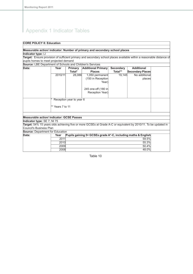#### **CORE POLICY 8: Education**

#### **Measurable action/ indicator: Number of primary and secondary school places**

**Indicator type:** LI

**Target:** Ensure provision of sufficient primary and secondary school places available within a reasonable distance of pupils homes to meet projected demand

**Source:** LBE Department of Schools and Children's Services **Additional** al<sup>\*\*</sup> Secondary Places<br>19.145 No additional **Secondary Total\*\* Additional Primary Places Primary Total\* Data: Year** No additional places 1,050 permanent (150 in Reception Year) 2010/11 28,086 245 one-off (180 in Reception Year) Reception year to year 6 \*\* Years 7 to 11 **Measurable action/ indicator: GCSE Passes Indicator type:** SE 7; NI 75 **Target:** 54% 15 years olds achieving five or more GCSEs at Grade A-C or equivalent by 2010/11. To be updated in Council's Business Plan **Source:** Department for Education **Data: Year Pupils gaining 5+ GCSEs grade A\*-C, including maths & English**  $2011$  59.5%  $2010$  55.3% 2009 50.4%

Table 10

2008 48.0%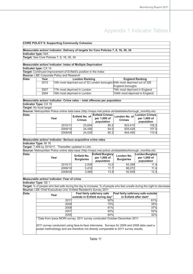#### **CORE POLICY 9: Supporting Community Cohesion Measurable action/ indicator: Delivery of targets for Core Policies 7, 8, 16, 30, 34 Indicator type:** N/A **Target:** See Core Policies 7, 8, 16, 30, 34 **Measurable action/ indicator: Index of Multiple Deprivation Indicator type:** CX 14 **Target:** Continued improvement of Enfield's position in the Index **Source:** LBE Corporate Policy and Research<br> **Data: Pear Londo Data: Year London Ranking England Ranking** 2010 |10th most deprived out of 32 London boroughs 64th most deprived out of 326 England boroughs 2007 17th most deprived in London 74th most deprived in England 2004 16th most deprived in London 104th most deprived in England **Measurable action/ indicator: Crime rates – total offences per population Indicator Type:** CX 16 **Target:** No local target **Source:** Metropolitan Police online data base (http://maps.met.police.uk/datatables/borough\_monthly.xls) **London Crimes per 1,000 of population London No. of Crimes Enfield Crimes per 1,000 of population Enfield No. of Crimes Year Data:** 2010/11 23,654 80.2 823,410 105.2 2009/10 24,456 84.0 829,429 107.0 2008/09 24,530 85.3 844,495 110.9 **Measurable action/ indicator: Serious acquisitive crime rates Indicator Type:** NI 16 **Target:** 7,486 by 2010/11. Thereafter updated in LAA **Source:** Metropolitan Police online data base (http://maps.met.police.uk/datatables/borough\_monthly.xls) **London Burglary per 1,000 of population London No. Burglaries Enfield Burglary per 1,000 of population Enfield No. Pear Burglaries Data:** 2010/11 2,939 10.0 93,399 11.9 2009/10 3,410 11.7 88,272 11.4 2008/09 3,985 13.9 93,559 12.3 **Measurable action/ indicator: Fear of crime Indicator Type:** SE 1 **Target:** % of people who feel safe during the day to increase; % of people who feel unsafe during the night to decrease **Source:** LBE Chief Executives Unit, Enfield Resident's Survey 2011 **Feel fairly safe/very safe outside in Enfield after dark\* Feel fairly safe/very safe outside in Enfield during day\* Year Data:** 2011 92% 61% 2009 75% 35% 2008 81% 37% 2007 52% 52% 2005 84% 32% Data from Ipsos MORI survey. 2011 survey conducted October-December 2011. 2011 survey conducted using face-to-face interviews. Surveys for 2009 and 2008 data used a postal methodology and are therefore not directly comparable to 2011 survey results.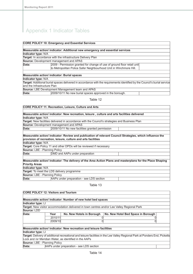### **CORE POLICY 10: Emergency and Essential Services**

|                                                                                                                           | Measurable action/ indicator: Additional new emergency and essential services |  |  |  |
|---------------------------------------------------------------------------------------------------------------------------|-------------------------------------------------------------------------------|--|--|--|
| Indicator type: N/A                                                                                                       |                                                                               |  |  |  |
|                                                                                                                           | Target: In accordance with the infrastructure Delivery Plan                   |  |  |  |
|                                                                                                                           | Source: Development management and APAS                                       |  |  |  |
| Data:                                                                                                                     | 2009 - Permission granted for change of use of ground floor retail unit       |  |  |  |
|                                                                                                                           | to Metropolitan Police Safer Neighbourhood Unit in Winchmore Hill.            |  |  |  |
|                                                                                                                           |                                                                               |  |  |  |
|                                                                                                                           | <b>Measurable action/ indicator: Burial spaces</b>                            |  |  |  |
| Indicator type: N/A                                                                                                       |                                                                               |  |  |  |
| Target: Additional burial spaces delivered in accordance with the requirements identified by the Council's burial service |                                                                               |  |  |  |
| and the Infrastructure Plan                                                                                               |                                                                               |  |  |  |
|                                                                                                                           | <b>Source:</b> LBE Development Management team and APAS                       |  |  |  |
| Data:                                                                                                                     | 2009/10/11 No new burial spaces approved in the borough.                      |  |  |  |

#### Table 12

## **CORE POLICY 11: Recreation, Leisure, Culture and Arts Measurable action/ indicator: New recreation, leisure , culture and arts facilities delivered Indicator type:** N/A **Target:** New facilities delivered in accordance with the Council's strategies and Business Plan **Source:** Development management and APAS **Data:** 2009/10/11 No new facilities granted permission **Measurable action/ indicator: Review and publication of relevant Council Strategies, which influence the provision of recreation, leisure, culture and arts facilities Indicator type:** N/A **Target:** Core Policy 11 and other DPDs will be reviewed if necessary **Source:** LBE - Planning Policy **Data: DMD** and AAPs under preparation **Measurable action/ indicator: The delivery of the Area Action Plans and masterplans for the Place Shaping Priority Areas Indicator type:** N/A **Target:** To meet the LDS delivery programme **Source:** LBE - Planning Policy<br>**Data:** AAPs un **Data:** AAPs under preparation - see LDS section

| <b>CORE POLICY 12: Visitors and Tourism</b> |         |                                                                                                    |                                                                                                                             |  |
|---------------------------------------------|---------|----------------------------------------------------------------------------------------------------|-----------------------------------------------------------------------------------------------------------------------------|--|
|                                             |         |                                                                                                    |                                                                                                                             |  |
|                                             |         | Measurable action/ indicator: Number of new hotel bed spaces                                       |                                                                                                                             |  |
| Indicator type: LI                          |         |                                                                                                    |                                                                                                                             |  |
|                                             |         | <b>Target:</b> New visitor accommodation delivered in town centres and/or Lee Valley Regional Park |                                                                                                                             |  |
| Source: LDD                                 |         |                                                                                                    |                                                                                                                             |  |
| Data:                                       | Year    | No. New Hotels in Borough                                                                          | No. New Hotel Bed Space in Borough                                                                                          |  |
|                                             | 2010/11 |                                                                                                    |                                                                                                                             |  |
|                                             | 2009/10 |                                                                                                    |                                                                                                                             |  |
|                                             |         |                                                                                                    |                                                                                                                             |  |
|                                             |         | Measurable action/ indicator: New recreation and leisure facilities                                |                                                                                                                             |  |
| Indicator type: LI                          |         |                                                                                                    |                                                                                                                             |  |
|                                             |         |                                                                                                    | Target: Delivery of additional recreational and leisure facilities in the Lee Valley Regional Park at Ponders End, Picketts |  |
|                                             |         | Lock and /or Meridian Water, as identified in the AAPs                                             |                                                                                                                             |  |
| Source: LBE - Planning Policy               |         |                                                                                                    |                                                                                                                             |  |
| Data:                                       |         | AAPs under preparation - see LDS section                                                           |                                                                                                                             |  |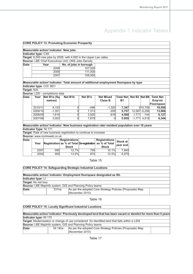|             |                        |                                        | <b>CORE POLICY 13: Promoting Economic Prosperity</b>               |                 |                                                                                                 |                         |       |                  |                  |
|-------------|------------------------|----------------------------------------|--------------------------------------------------------------------|-----------------|-------------------------------------------------------------------------------------------------|-------------------------|-------|------------------|------------------|
|             |                        |                                        |                                                                    |                 |                                                                                                 |                         |       |                  |                  |
|             |                        | Measurable action/ indicator: New jobs |                                                                    |                 |                                                                                                 |                         |       |                  |                  |
|             | Indicator type: CX6    |                                        |                                                                    |                 |                                                                                                 |                         |       |                  |                  |
|             |                        |                                        | Target: 6,000 new jobs by 2026, with 4,000 in the Upper Lee valley |                 |                                                                                                 |                         |       |                  |                  |
|             |                        |                                        | Source: LBE Chief Executives Unit; ONS Jobs Density                |                 |                                                                                                 |                         |       |                  |                  |
| Data:       |                        | Year                                   | No. of jobs in borough                                             |                 |                                                                                                 |                         |       |                  |                  |
|             |                        | 2009                                   |                                                                    | 107,000         |                                                                                                 |                         |       |                  |                  |
|             |                        | 2008                                   |                                                                    | 111,000         |                                                                                                 |                         |       |                  |                  |
|             |                        | 2007                                   |                                                                    | 108,000         |                                                                                                 |                         |       |                  |                  |
|             |                        |                                        |                                                                    |                 |                                                                                                 |                         |       |                  |                  |
|             |                        | Indicator type: COI: BD1               |                                                                    |                 | Measurable action/ indicator: Total amount of additional employment floorspace by type          |                         |       |                  |                  |
| Target: N/A |                        |                                        |                                                                    |                 |                                                                                                 |                         |       |                  |                  |
|             |                        | Source: LDD - completions data         |                                                                    |                 |                                                                                                 |                         |       |                  |                  |
| Data:       | Year                   | Net B1a (Sq                            | Net B1b                                                            | Net B1c         | <b>Net Mixed</b>                                                                                | Total Net Net B2 Net B8 |       |                  | <b>Total Net</b> |
|             |                        | metres)                                |                                                                    |                 | Class B                                                                                         | B1                      |       |                  | Emp'mt           |
|             |                        |                                        |                                                                    |                 |                                                                                                 |                         |       |                  | Floorspace       |
|             | 2010/11                | 9,153                                  | 0                                                                  | $-486$          | $-1.320$                                                                                        | 7,347                   |       | 0 10,709         | 18,056           |
|             | 2009/10                | $-1,351$                               | 0                                                                  | 7,313           | $-205$                                                                                          | 5,757                   |       | $12,587 - 5,258$ | 13,086           |
|             | 2008/09                | 1,618                                  | 0                                                                  | 3,500           | $-618$                                                                                          | 4,500                   | 1,771 | $-144$           | 6,127            |
|             | 2007/08                | 3,003                                  | 0                                                                  | 7,879           | 0                                                                                               | 5.955                   |       | $-1,771$ 4,518   | 6,344            |
|             |                        |                                        |                                                                    |                 |                                                                                                 |                         |       |                  |                  |
|             |                        |                                        |                                                                    |                 | Measurable action/ indicator: New business registration rate/ resident population over 16 years |                         |       |                  |                  |
|             | Indicator Type: NI 171 |                                        |                                                                    |                 |                                                                                                 |                         |       |                  |                  |
|             |                        |                                        | Target: Rate of new business registration to continue to increase  |                 |                                                                                                 |                         |       |                  |                  |
|             |                        | Source: www.nomisweb.co.uk             |                                                                    |                 |                                                                                                 |                         |       |                  |                  |
| Data:       |                        |                                        | <b>Registrations</b>                                               |                 | <b>Registrations</b>                                                                            | Stock at                |       |                  |                  |
|             | Year                   |                                        |                                                                    |                 | Registration as % of Total De-registration as % of Total                                        | year end                |       |                  |                  |
|             |                        |                                        | <b>Stock</b>                                                       |                 | <b>Stock</b>                                                                                    |                         |       |                  |                  |
|             | 2007                   | 995                                    | 12.7%                                                              | 795             | 10.1%                                                                                           | 7,840                   |       |                  |                  |
|             | 2004                   | 905                                    | 13.0%                                                              | 870             | 12.5%                                                                                           | 6,975                   |       |                  |                  |
|             |                        |                                        |                                                                    |                 | Table 15                                                                                        |                         |       |                  |                  |
|             |                        |                                        |                                                                    |                 |                                                                                                 |                         |       |                  |                  |
|             |                        |                                        | <b>CORE POLICY 14: Safeguarding Strategic Industrial Locations</b> |                 |                                                                                                 |                         |       |                  |                  |
|             |                        |                                        |                                                                    |                 |                                                                                                 |                         |       |                  |                  |
|             |                        |                                        |                                                                    |                 | Measurable action/ indicator: Employment floorspace designated as SIL                           |                         |       |                  |                  |
|             | Indicator type: LI     |                                        |                                                                    |                 |                                                                                                 |                         |       |                  |                  |
|             | Target: No net loss    |                                        |                                                                    |                 |                                                                                                 |                         |       |                  |                  |
|             |                        |                                        | Source: LBE MapInfo system, GIS and Planning Policy teams          |                 |                                                                                                 |                         |       |                  |                  |
| Data:       |                        | 331ha                                  |                                                                    |                 | As per the adopted Core Strategy Policies (Proposals) Map                                       |                         |       |                  |                  |
|             |                        |                                        |                                                                    | (November 2010) |                                                                                                 |                         |       |                  |                  |
|             |                        |                                        |                                                                    |                 |                                                                                                 |                         |       |                  |                  |

Table 16

### **CORE POLICY 15: Locally Significant Industrial Locations** Measurable action/ indicator: Previously developed land that has been vacant or derelict for more than 5 years **Indicator type:** NI 170 **Target:** Modernisation or change of use considered for identified land that falls within a LSIS **Source:** LBE MapInfo system, GIS and Planning Policy teams As per the adopted Core Strategy Policies (Proposals) Map (November 2010) **Data:** 34.14ha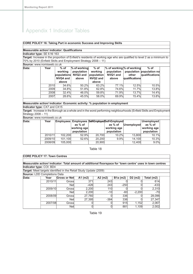### **CORE POLICY 16: Taking Part in economic Success and Improving Skills**

#### **Measurable action/ indicator: Qualifications**

#### **Indicator type:** SE 6 NI 163

**Target:** Increase in the proportion of Enfield's residents of working age who are qualified to level 2 as a minimum to 70% by 2010 (Enfield Skills and Employment Strategy 2008 – 11)

**Source:** www.nomisweb.co.uk

| Data: | Year | $%$ of   | $%$ of working       | $%$ of               | % of working % of working |                | $%$ of                   |
|-------|------|----------|----------------------|----------------------|---------------------------|----------------|--------------------------|
|       |      | working  | population           | working              | population                |                | population population no |
|       |      |          | populations NVQ3 and | population           | NVQ1 and                  | other          | qualifications           |
|       |      | NVQ4 and | above                | NVQ <sub>2</sub> and | above                     | qualifications |                          |
|       |      | above    |                      | above                |                           |                |                          |
|       | 2010 | 34.6%    | 50.2%                | 63.2%                | 77.1%                     | 12.5%          | 10.5%                    |
|       | 2009 | 34.8%    | 51.8%                | 62.8%                | 74.6%                     | 11.7%          | 13.8%                    |
|       | 2008 | 32.4%    | 46.0%                | 59.8%                | 71.9%                     | 13.7%          | 14.4%                    |
|       | 2007 | 28.6%    | 45.5%                | 58.0%                | 69.9%                     | 15.4%          | 13.8%                    |

### **Measurable action/ indicator: Economic activity: % population in employment Indicator type:** CX7 and CX15

**Target:** Increase in the Borough as a whole and in the worst performing neighbourhoods (Enfield Skills and Employment Strategy 2008 – 11)

**Source:** www.nomisweb.co.uk

| Data: | Year    |         | as % of                   |        | <b>Employees Employees Self-Employed Self-Employed</b><br>as % of | Unemployed | Unemployed<br>as % of     |
|-------|---------|---------|---------------------------|--------|-------------------------------------------------------------------|------------|---------------------------|
|       |         |         | working age<br>population |        | working age<br>population                                         |            | working age<br>population |
|       | 2010/11 | 102.200 | 52.9%                     | 20,700 | 10.2%                                                             | 13.800     | 10.1%                     |
|       | 2009/10 | 101.100 | 52.6%                     | 20,200 | 9.9%                                                              | 14.100     | 10.3%                     |
|       | 2008/09 | 105,000 |                           | 20,900 |                                                                   | 12.400     | 9.0%                      |

### Table 18

### **CORE POLICY 17: Town Centres**

|                                     |                          |                     | Measurable action/ indicator: Total amount of additional floorspace for 'town centre' uses in town centres |           |            |           |            |  |  |  |
|-------------------------------------|--------------------------|---------------------|------------------------------------------------------------------------------------------------------------|-----------|------------|-----------|------------|--|--|--|
|                                     | Indicator type: COI: BD4 |                     |                                                                                                            |           |            |           |            |  |  |  |
|                                     |                          |                     | Target: Meet targets identified in the Retail Study Update (2009)                                          |           |            |           |            |  |  |  |
| <b>Source: LDD Completions Data</b> |                          |                     |                                                                                                            |           |            |           |            |  |  |  |
| Data:                               | Year                     | <b>Gross or Net</b> | $A1$ (m2)                                                                                                  | $A2$ (m2) | $B1a$ (m2) | $D2$ (m2) | Total (m2) |  |  |  |
|                                     | 2010/11                  | Grossi              | 371                                                                                                        | 243       |            |           | 614        |  |  |  |
|                                     |                          | <b>Net</b>          | -426                                                                                                       | 243       | $-250$     |           | $-433$     |  |  |  |
|                                     | 2009/10                  | Grossl              | 2,200                                                                                                      | 110       |            |           | 2.310      |  |  |  |
|                                     |                          | <b>Net</b>          | 2.200                                                                                                      | $-10$     | -60        | $-2,200$  | -70        |  |  |  |
|                                     | 2008/09                  | Grossi              | 27,760                                                                                                     |           | 336        |           | 28,096     |  |  |  |
|                                     |                          | <b>Net</b>          | 27,395                                                                                                     | $-384$    | 336        |           | 27,347     |  |  |  |
|                                     | 2007/08                  | Gross               |                                                                                                            |           | 915        | 1.152     | 2,067      |  |  |  |
|                                     |                          | <b>Net</b>          |                                                                                                            |           | 881        | 1.109     | 2.002      |  |  |  |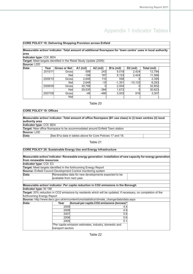### **CORE POLICY 18: Delivering Shopping Provision across Enfield**

**Measurable action/ indicator: Total amount of additional floorspace for 'town centre' uses in local authority area**

### **Indicator type:** COI: BD4

**Target:** Meet targets identified in the Retail Study Update (2009)

**Source:** LDD

| Data: | Year    | Gross or Net | $A1$ (m2) | $A2$ (m2) | $B1a$ (m2) | $D2$ (m2) | Total (m2) |
|-------|---------|--------------|-----------|-----------|------------|-----------|------------|
|       | 2010/11 | Grossl       | 599       | 243       | 9,518      | 2.424     | 12,784     |
|       |         | <b>Net</b>   | $-198$    | 187       | 9.153      | 2,424     | 11,566     |
|       | 2009/10 | Grossl       | 2,648     | 110       | 558        |           | 2,395      |
|       |         | <b>Net</b>   | 2,648     | $-10$     | $-1,351$   | $-10,133$ | $-9,283$   |
|       | 2008/09 | Grossl       | 30.798    |           | 2.004      |           | 32,802     |
|       |         | <b>Net</b>   | 29,535    | $-384$    | 1,672      |           | 30,823     |
|       | 2007/08 | Grossl       | $-46$     | $-466$    | 3,003      | 816       | 3,307      |
|       |         | <b>Net</b>   |           |           |            |           |            |

#### Table 20

### **CORE POLICY 19: Offices**

| Measurable action/ indicator: Total amount of office floorspace (B1 use class) in (i) town centres (ii) local<br>authority area |                                                                              |  |  |  |  |  |  |  |
|---------------------------------------------------------------------------------------------------------------------------------|------------------------------------------------------------------------------|--|--|--|--|--|--|--|
| Indicator type: COI: BD4                                                                                                        |                                                                              |  |  |  |  |  |  |  |
|                                                                                                                                 | Target: New office floorspace to be accommodated around Enfield Town station |  |  |  |  |  |  |  |
| Source: LDD                                                                                                                     |                                                                              |  |  |  |  |  |  |  |
| Data:                                                                                                                           | See B1a data in tables above for Core Policies 17 and 18.                    |  |  |  |  |  |  |  |

### Table 21

### **CORE POLICY 20: Sustainable Energy Use and Energy Infrastructure**

|                           |                           | Measurable action/indicator: Renewable energy generation: installation of new capacity for energy generation         |  |
|---------------------------|---------------------------|----------------------------------------------------------------------------------------------------------------------|--|
| from renewable resources  |                           |                                                                                                                      |  |
| Indicator type: COI: E3   |                           |                                                                                                                      |  |
|                           |                           | <b>Target:</b> Meet targets identified in the forthcoming Energy Report                                              |  |
|                           |                           | <b>Source:</b> Enfield Council Development Control monitoring system                                                 |  |
| Data:                     |                           | Renewables data for new developments expected to be                                                                  |  |
|                           | available from next year. |                                                                                                                      |  |
|                           |                           |                                                                                                                      |  |
|                           |                           | Measurable action/ indicator: Per capita reduction in CO2 emissions in the Borough                                   |  |
| Indicator type: NI 186    |                           |                                                                                                                      |  |
|                           |                           | <b>Target:</b> 20% reduction in CO2 emissions by residents which will be updated, if necessary, on completion of the |  |
| forthcoming Energy Report |                           |                                                                                                                      |  |
|                           |                           | Source: http://www.decc.gov.uk/en/content/cms/statistics/climate_change/data/data.aspx                               |  |
| Data:                     | Year                      | Annual per capita CO2 emissions (tonnes)*                                                                            |  |
|                           | 2009                      | 4.4                                                                                                                  |  |
|                           | 2008                      | 4.9                                                                                                                  |  |
|                           | 2007                      | 5.6                                                                                                                  |  |
|                           | 2006                      | 5.6                                                                                                                  |  |
|                           | 2005                      | 5.1                                                                                                                  |  |
|                           |                           | *Per capita emission estimates, industry, domestic and                                                               |  |
|                           | transport sectors         |                                                                                                                      |  |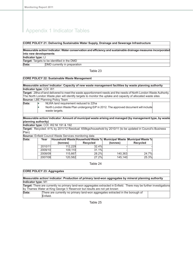#### **CORE POLICY 21: Delivering Sustainable Water Supply, Drainage and Sewerage Infrastructure**

#### **Measurable action/ indicator: Water conservation and efficiency and sustainable drainage measures incorporated into new developments**

**Indicator type:** LI

**Target:** Targets to be identified in the DMD

**Data: DMD** currently in preparation

#### Table 23

#### **CORE POLICY 22: Sustainable Waste Management**

**Measurable action/ indicator: Capacity of new waste management facilities by waste planning authority Indicator type:** COI: W1

**Target:** 28ha of land delivered to meet the waste apportionment needs and the needs of North London Waste Authority. The North London Waste plan will identify targets to monitor the uptake and capacity of allocated waste sites **Source:** LBE Planning Policy Team

- **Data: NLWA** land requirement reduced to 22ha
	- North London Waste Plan undergoing EiP in 2012. The approved document will include waste targets.

**Measurable action/ indicator: Amount of municipal waste arising and managed (by management type, by waste planning authority)**

**Indicator type:** COI: W2 NI 191 & 192

**Target:** Recycled: 41% by 2011/12 Residual: 658kgs/household by 2010/11 (to be updated in Council's Business Plan)

**Source:** Enfield Council Waste Services monitoring data

| Data: | Year    | (tonnes) | Household Waste Household Waste %  Municipal Waste Municipal Waste % <br><b>Recycled</b> | (tonnes) | <b>Recycled</b> |
|-------|---------|----------|------------------------------------------------------------------------------------------|----------|-----------------|
|       | 2010/11 | 112.229  | 32.4%                                                                                    |          |                 |
|       | 2009/10 | 109.110  | 31.1%                                                                                    |          |                 |
|       | 2008/09 | 115.667  | 28.2%                                                                                    | 140.363  | 24.7%           |
|       | 2007/08 | 120,582  | 27.2%                                                                                    | 145.140  | 25.3%           |

Table 24

**CORE POLICY 23: Aggregates**

#### **Measurable action/ indicator: Production of primary land-won aggregates by mineral planning authority Indicator type:** M1

**Target:** There are currently no primary land-won aggregates extracted in Enfield. There may be further investigations by Thames Water at King George V Reservoir but results are not yet known There are currently no primary land-won aggregates extracted in the borough of **Data:**

Enfield.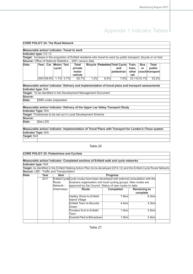| <b>CORE POLICY 24: The Road Network</b>      |                                                                 |  |                       |  |                                                                 |      |      |                                                                                                                    |        |             |                |  |
|----------------------------------------------|-----------------------------------------------------------------|--|-----------------------|--|-----------------------------------------------------------------|------|------|--------------------------------------------------------------------------------------------------------------------|--------|-------------|----------------|--|
|                                              |                                                                 |  |                       |  |                                                                 |      |      |                                                                                                                    |        |             |                |  |
| Measurable action/ indicator: Travel to work |                                                                 |  |                       |  |                                                                 |      |      |                                                                                                                    |        |             |                |  |
| Indicator type: CX 13                        |                                                                 |  |                       |  |                                                                 |      |      |                                                                                                                    |        |             |                |  |
|                                              |                                                                 |  |                       |  |                                                                 |      |      | Target: Increase in the proportion of Enfield residents who travel to work by public transport, bicycle or on foot |        |             |                |  |
|                                              | <b>Source:</b> Office of National Statistics - 2001 census data |  |                       |  |                                                                 |      |      |                                                                                                                    |        |             |                |  |
| Data:                                        |                                                                 |  | Year Car Motor Taxi   |  | Total                                                           |      |      | <b>Bicycle Pedestrian Total Cycle</b>                                                                              | Train, | <b>Bus</b>  | <b>Total</b>   |  |
|                                              |                                                                 |  | cycle                 |  | private                                                         |      |      | and                                                                                                                | tram,  | or          | public         |  |
|                                              |                                                                 |  |                       |  | motor                                                           |      |      | pedestrian                                                                                                         | other  |             | coachtransport |  |
|                                              |                                                                 |  |                       |  | vehicle                                                         |      |      |                                                                                                                    | rail   |             |                |  |
|                                              |                                                                 |  | 2001 48.9% 1.1% 0.7%  |  | 50.7%                                                           | 1.2% | 6.5% | 7.6%                                                                                                               |        | 23.1% 10.1% | 33.2%          |  |
|                                              |                                                                 |  |                       |  |                                                                 |      |      |                                                                                                                    |        |             |                |  |
|                                              |                                                                 |  |                       |  |                                                                 |      |      | Measurable action/ indicator: Delivery and implementation of travel plans and transport assessments                |        |             |                |  |
| Indicator type: N/A                          |                                                                 |  |                       |  |                                                                 |      |      |                                                                                                                    |        |             |                |  |
|                                              |                                                                 |  |                       |  | Target: To be identified in the Development Management Document |      |      |                                                                                                                    |        |             |                |  |
| Source:                                      |                                                                 |  |                       |  |                                                                 |      |      |                                                                                                                    |        |             |                |  |
| Data:                                        |                                                                 |  | DMD under preparation |  |                                                                 |      |      |                                                                                                                    |        |             |                |  |
|                                              |                                                                 |  |                       |  |                                                                 |      |      |                                                                                                                    |        |             |                |  |
|                                              |                                                                 |  |                       |  |                                                                 |      |      | Measurable action/ indicator: Delivery of the Upper Lee Valley Transport Study                                     |        |             |                |  |
| <b>Indicator Type: N/A</b>                   |                                                                 |  |                       |  |                                                                 |      |      |                                                                                                                    |        |             |                |  |
|                                              |                                                                 |  |                       |  | Target: Timeframes to be set out in Local Development Scheme    |      |      |                                                                                                                    |        |             |                |  |
| Source:                                      |                                                                 |  |                       |  |                                                                 |      |      |                                                                                                                    |        |             |                |  |
| Data:                                        | See LDS                                                         |  |                       |  |                                                                 |      |      |                                                                                                                    |        |             |                |  |
|                                              |                                                                 |  |                       |  |                                                                 |      |      |                                                                                                                    |        |             |                |  |
|                                              |                                                                 |  |                       |  |                                                                 |      |      | Measurable action/ indicator: Implementation of Travel Plans with Transport for London's iTrace system             |        |             |                |  |
| Indicator Type: N/A                          |                                                                 |  |                       |  |                                                                 |      |      |                                                                                                                    |        |             |                |  |
| Target: N/A                                  |                                                                 |  |                       |  |                                                                 |      |      |                                                                                                                    |        |             |                |  |
|                                              |                                                                 |  |                       |  |                                                                 |      |      |                                                                                                                    |        |             |                |  |
|                                              |                                                                 |  |                       |  |                                                                 |      |      |                                                                                                                    |        |             |                |  |

#### Table 26

### **CORE POLICY 25: Pedestrians and Cyclists**

### **Measurable action/ indicator: Completed sections of Enfield walk and cycle networks Indicator type:** N/A

**Target:** As identified in the Enfield Walking Action Plan (to be developed 2010-12) and the Enfield Cycle Route Network. **Source:** LBE - Traffic and Transportation

| Data: | Year      | <b>Item</b> |                                                                                    | <b>Progress</b>  |                     |
|-------|-----------|-------------|------------------------------------------------------------------------------------|------------------|---------------------|
|       | 2011      |             | Enfield Cycle Cycle routes have been developed with external consultation with the |                  |                     |
|       |           | Route       | Sustrans organisation and local cycling groups. New routes are                     |                  |                     |
|       |           | Network -   | approved by the Council. Status of new routes to date:                             |                  |                     |
|       | Greenways |             | Route                                                                              | <b>Completed</b> | <b>Remaining to</b> |
|       |           |             |                                                                                    |                  | complete            |
|       |           |             | Hadley Wood to Enfield<br>Island Village                                           | 7.9kml           | 6.3kml              |
|       |           |             | <b>Enfield Town to Bounds</b><br>Green                                             | $4.4$ km         | $4.3$ km            |
|       |           |             | Ponders End to Enfield<br>Town                                                     | $1.0$ km         | $3.5$ km            |
|       |           |             | Durants Park to Brimsdown                                                          | 1.0kml           | 3.4km               |
|       |           |             |                                                                                    |                  |                     |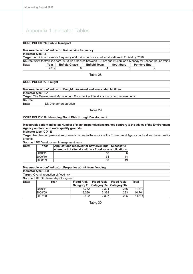### **CORE POLICY 26: Public Transport**

| Measurable action/ indicator: Rail service frequency |      |                      |                                                                                                              |           |                    |  |  |  |  |  |
|------------------------------------------------------|------|----------------------|--------------------------------------------------------------------------------------------------------------|-----------|--------------------|--|--|--|--|--|
| Indicator type: LI                                   |      |                      |                                                                                                              |           |                    |  |  |  |  |  |
|                                                      |      |                      | Target: A minimum service frequency of 4 trains per hour at all local stations in Enfield by 2026            |           |                    |  |  |  |  |  |
|                                                      |      |                      | Source: www.thetrainline.com 09.03.12. Checked between 8.00am and 9.00am on a Monday for London-bound trains |           |                    |  |  |  |  |  |
| Data:                                                | Year | <b>Enfield Chase</b> | <b>Enfield Town</b>                                                                                          | Southbury | <b>Ponders End</b> |  |  |  |  |  |
|                                                      | 2012 |                      |                                                                                                              |           |                    |  |  |  |  |  |

#### Table 28

#### **CORE POLICY 27: Freight**

| Measurable action/ indicator: Freight movement and associated facilities. |                                                                                            |  |  |
|---------------------------------------------------------------------------|--------------------------------------------------------------------------------------------|--|--|
| Indicator type: N/A                                                       |                                                                                            |  |  |
|                                                                           | <b>Target:</b> The Development Management Document will detail standards and requirements. |  |  |
| Source:                                                                   |                                                                                            |  |  |
| Data:                                                                     | DMD under preparation                                                                      |  |  |

Table 29

### **CORE POLICY 28: Managing Flood Risk through Development**

**Measurable action/ indicator: Number of planning permissions granted contrary to the advice of the Environment Agency on flood and water quality grounds**

**Indicator type:** COI: E1

**Target:** No planning permissions granted contrary to the advice of the Environment Agency on flood and water quality grounds

#### **Source:** LBE Development Management team

| Data: | Year    | Applications received for new dwellings Successful<br>where part of site falls within a flood zone applications |                 |
|-------|---------|-----------------------------------------------------------------------------------------------------------------|-----------------|
|       | 2010/11 | 18                                                                                                              | 61              |
|       | 2009/10 | 34                                                                                                              | 14              |
|       | 2008/09 | 50                                                                                                              | 19 <sup>l</sup> |

### **Measurable action/ indicator: Properties at risk from flooding**

**Indicator type:** SE8

**Target:** Overall reduction of flood risk

**Source:** LBE GIS team Mapinfo system

| Data: | Year    | Flood Risk | Flood Risk   Flood Risk                |     | Total  |
|-------|---------|------------|----------------------------------------|-----|--------|
|       |         |            | Category 2   Category 3a   Category 3b |     |        |
|       | 2010/11 | 8.752      | 2.324                                  | 236 | 11.312 |
|       | 2008/09 | 8.080      | 2.388                                  | 233 | 10.701 |
|       | 2007/08 | 8.492      | 2.387                                  | 235 | 11.114 |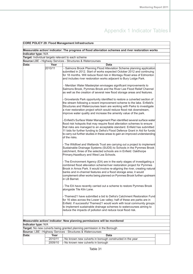| <b>CORE POLICY 29: Flood Management Infrastructure</b> |                                                                                                                                                                                                                     |                                                                                                                                                                                                                                                                                                                                                                                                                    |  |  |  |  |
|--------------------------------------------------------|---------------------------------------------------------------------------------------------------------------------------------------------------------------------------------------------------------------------|--------------------------------------------------------------------------------------------------------------------------------------------------------------------------------------------------------------------------------------------------------------------------------------------------------------------------------------------------------------------------------------------------------------------|--|--|--|--|
|                                                        |                                                                                                                                                                                                                     |                                                                                                                                                                                                                                                                                                                                                                                                                    |  |  |  |  |
|                                                        |                                                                                                                                                                                                                     | Measurable action/ indicator: The progress of flood alleviation schemes and river restoration works                                                                                                                                                                                                                                                                                                                |  |  |  |  |
| Indicator type: N/A                                    |                                                                                                                                                                                                                     |                                                                                                                                                                                                                                                                                                                                                                                                                    |  |  |  |  |
|                                                        |                                                                                                                                                                                                                     | Target: Individual targets relevant to each scheme                                                                                                                                                                                                                                                                                                                                                                 |  |  |  |  |
|                                                        |                                                                                                                                                                                                                     | Source:LBE - Highway Services - Structures & Watercourses                                                                                                                                                                                                                                                                                                                                                          |  |  |  |  |
| Data:                                                  | Year                                                                                                                                                                                                                | Data                                                                                                                                                                                                                                                                                                                                                                                                               |  |  |  |  |
|                                                        | 2010/11                                                                                                                                                                                                             | - Salmons Brook Planning Flood Alleviation Scheme planning application<br>submitted in 2012. Start of works expected October 2012 and continuing                                                                                                                                                                                                                                                                   |  |  |  |  |
|                                                        |                                                                                                                                                                                                                     | for 18 months. Will reduce flood risk in Montagu Road area of Edmonton                                                                                                                                                                                                                                                                                                                                             |  |  |  |  |
|                                                        |                                                                                                                                                                                                                     | and includes river restoration works adjacent to Bury Lodge Park.                                                                                                                                                                                                                                                                                                                                                  |  |  |  |  |
|                                                        |                                                                                                                                                                                                                     |                                                                                                                                                                                                                                                                                                                                                                                                                    |  |  |  |  |
|                                                        | - Meridian Water Masterplan envisages significant improvements to<br>Salmons Brook, Pymmes Brook and the River Lee Flood Relief Channel<br>as well as the creation of several new flood storage areas and features. |                                                                                                                                                                                                                                                                                                                                                                                                                    |  |  |  |  |
|                                                        |                                                                                                                                                                                                                     | Grovelands Park opportunity identified to restore a culverted section of<br>the stream following a recent improvement scheme to the lake. Enfield's<br>Structures and Watercourses team are working with Parks to investigate<br>a river restoration project which would reduce flood risk downstream,<br>improve water quality and increase the amenity value of the park.                                        |  |  |  |  |
|                                                        |                                                                                                                                                                                                                     | - Enfield's Surface Water Management Plan identified several surface water<br>flood risk hotspots that may require flood alleviation schemes to ensure<br>that risks are managed to an acceptable standard. Enfield has submitted<br>11 bids for further funding to Defra's Flood Defence Grant in Aid for funds<br>to carry out further studies in these areas to gain an improved understanding<br>of the risks. |  |  |  |  |
|                                                        |                                                                                                                                                                                                                     | - The Wildfowl and Wetlands Trust are carrying out a project to implement<br>Sustainable Drainage Systems (SUDS) to Schools in the Pymmes Brook<br>catchment, three of the selected schools are in Enfield: Oakthorpe<br>Primary, Hazelbury and West Lea Schools.                                                                                                                                                  |  |  |  |  |
|                                                        |                                                                                                                                                                                                                     | The Environment Agency (EA) are in the early stages of investigating a<br>combined flood alleviation scheme/river restoration project for Pymmes<br>Brook in Arnos Park. It would involve re-aligning the river, creating natural<br>banks and in-channel features and a flood storage area; it would<br>complement other works being planned on Pymmes Brook further upstream<br>in LB Barnet.                    |  |  |  |  |
|                                                        |                                                                                                                                                                                                                     | - The EA have recently carried out a scheme to restore Pymmes Brook<br>alongside Tile Kiln Lane.                                                                                                                                                                                                                                                                                                                   |  |  |  |  |
|                                                        |                                                                                                                                                                                                                     | - Thames21 have submitted a bid to Defra's Catchment Restoration Fundl<br>for 16 sites across the Lower Lee valley; half of these are parks are in<br>Enfield. If successful Thames21 would work with local community groups<br>to implement sustainable drainage schemes to watercourses aiming to<br>reduce the impacts of pollution and reduce local flood risk.                                                |  |  |  |  |
|                                                        |                                                                                                                                                                                                                     |                                                                                                                                                                                                                                                                                                                                                                                                                    |  |  |  |  |
|                                                        |                                                                                                                                                                                                                     | Measurable action/ indicator: New planning permissions will be monitored                                                                                                                                                                                                                                                                                                                                           |  |  |  |  |
| Indicator type: N/A                                    |                                                                                                                                                                                                                     |                                                                                                                                                                                                                                                                                                                                                                                                                    |  |  |  |  |
|                                                        |                                                                                                                                                                                                                     | Target: No new culverts being granted planning permission in the Borough                                                                                                                                                                                                                                                                                                                                           |  |  |  |  |
|                                                        |                                                                                                                                                                                                                     | Source: LBE - Highway Services - Structures & Watercourses                                                                                                                                                                                                                                                                                                                                                         |  |  |  |  |
| Data:                                                  | Year                                                                                                                                                                                                                | Data                                                                                                                                                                                                                                                                                                                                                                                                               |  |  |  |  |
|                                                        | 2010/11                                                                                                                                                                                                             | No known new culverts in borough constructed in the year                                                                                                                                                                                                                                                                                                                                                           |  |  |  |  |
|                                                        | 2009/10                                                                                                                                                                                                             | No known new culverts in borough                                                                                                                                                                                                                                                                                                                                                                                   |  |  |  |  |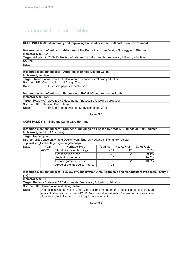|                                           | CORE POLICY 30: Maintaining and Improving the Quality of the Built and Open Environment              |
|-------------------------------------------|------------------------------------------------------------------------------------------------------|
|                                           |                                                                                                      |
|                                           | Measurable action/ indicator: Adoption of the Council's Urban Design Strategy and Charter            |
| Indicator type: N/A                       |                                                                                                      |
|                                           | <b>Target:</b> Adoption in 2009/10. Review of relevant DPD documents if necessary following adoption |
| Source:                                   |                                                                                                      |
| Data:                                     |                                                                                                      |
|                                           |                                                                                                      |
|                                           | Measurable action/ indicator: Adoption of Enfield Design Guide                                       |
| Indicator type: N/A                       |                                                                                                      |
|                                           | <b>Target:</b> Review of relevant DPD documents if necessary following adoption                      |
|                                           | <b>Source: LBE - Conservation and Design Team</b>                                                    |
| Data:                                     | First topic papers expected 2013                                                                     |
|                                           |                                                                                                      |
|                                           | Measurable action/ indicator: Extension of Enfield Characterisation Study                            |
| <b>Indicator type: N/A</b>                |                                                                                                      |
|                                           | <b>Target:</b> Review of relevant DPD documents if necessary following publication                   |
| <b>Source: LBE - Planning Policy Team</b> |                                                                                                      |
| Data:                                     | Enfield Characterisation Study completed 2011                                                        |

|                                 |         | <b>CORE POLICY 31: Built and Landscape Heritage</b>                                                    |           |                    |            |  |
|---------------------------------|---------|--------------------------------------------------------------------------------------------------------|-----------|--------------------|------------|--|
|                                 |         |                                                                                                        |           |                    |            |  |
|                                 |         | Measurable action/ indicator: Number of buildings on English Heritage's Buildings at Risk Register     |           |                    |            |  |
| Indicator type: LI (HAR update) |         |                                                                                                        |           |                    |            |  |
| <b>Target:</b> No net gain      |         |                                                                                                        |           |                    |            |  |
|                                 |         | Source: LBE Conservation and Design team; English Heritage online at risk register -                   |           |                    |            |  |
|                                 |         | http://risk.english-heritage.org.uk/register.aspx                                                      |           |                    |            |  |
| Data:                           | Year    | <b>Heritage Type</b>                                                                                   | Total No. | <b>No. At Risk</b> | %. At Risk |  |
|                                 | 2010/11 | <b>Statutorily Listed buildings</b>                                                                    | 451       | 12                 | 2.7%       |  |
|                                 |         | Conservation areas                                                                                     | 22        |                    | 9.1%       |  |
|                                 |         | Ancient monuments                                                                                      |           |                    | 20.0%      |  |
|                                 |         | Historic gardens & parks                                                                               |           | 2                  | 40.0%      |  |
|                                 |         | Areas of archaeological interest                                                                       | 25        |                    |            |  |
|                                 |         |                                                                                                        |           |                    |            |  |
|                                 |         | Measurable action/ indicator: Review of Conservation Area Appraisals and Management Proposals (every 5 |           |                    |            |  |
| yrs)<br>Indicator type: LI      |         |                                                                                                        |           |                    |            |  |
|                                 |         |                                                                                                        |           |                    |            |  |
|                                 |         | Target: Review of relevant DPD documents if necessary following publication                            |           |                    |            |  |
|                                 |         | <b>Source:</b> LBE Conservation and Design team                                                        |           |                    |            |  |
| Data:                           |         | Update to 16 Conservation Areas Appraisal and management proposal documents through                    |           |                    |            |  |
|                                 |         | local voluntary sector completed 2012. Most recently designated 6 conservation areas have              |           |                    |            |  |
|                                 |         | plans that remain live and do not require updating yet.                                                |           |                    |            |  |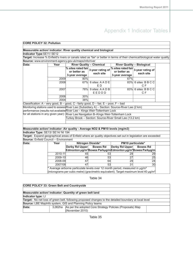| <b>CORE POLICY 32: Pollution</b>                                                                                             |         |                                                                    |                                                                                         |                                                      |                                                                                                  |  |
|------------------------------------------------------------------------------------------------------------------------------|---------|--------------------------------------------------------------------|-----------------------------------------------------------------------------------------|------------------------------------------------------|--------------------------------------------------------------------------------------------------|--|
|                                                                                                                              |         |                                                                    |                                                                                         |                                                      |                                                                                                  |  |
| Measurable action/ indicator: River quality chemical and biological                                                          |         |                                                                    |                                                                                         |                                                      |                                                                                                  |  |
| Indicator Type:SE11/SE12                                                                                                     |         |                                                                    |                                                                                         |                                                      |                                                                                                  |  |
| Target: Increase % Enfield's rivers or canals rated as 'fair' or better in terms of their chemical/biological water quality. |         |                                                                    |                                                                                         |                                                      |                                                                                                  |  |
| Source: www.environment-agency.gov.uk/maps/info/river                                                                        |         |                                                                    |                                                                                         |                                                      |                                                                                                  |  |
| Data:<br><b>River Quality - Chemical</b><br>Year<br><b>River Quality - Biological</b>                                        |         |                                                                    |                                                                                         |                                                      |                                                                                                  |  |
|                                                                                                                              |         | $\frac{1}{\%}$ sites rated fair 3-year rating of<br>3-year average | each site                                                                               | % sites rated fair<br>or better as<br>3-year average | 3-year rating of<br>each site                                                                    |  |
|                                                                                                                              | 2009    | 80%                                                                |                                                                                         | 67%                                                  |                                                                                                  |  |
|                                                                                                                              | 2008    |                                                                    | 67% 6 sites: A A D E<br>ED                                                              |                                                      | 83% 6 sites: B B C C<br>C <sub>F</sub>                                                           |  |
|                                                                                                                              | 2007    |                                                                    | 78% 9 sites: A A D B<br>EEDDD                                                           |                                                      | 83% 6 sites: B B C C<br>C F                                                                      |  |
|                                                                                                                              | 2006    | 30%                                                                |                                                                                         |                                                      |                                                                                                  |  |
|                                                                                                                              | 2004    | 38%                                                                |                                                                                         |                                                      |                                                                                                  |  |
| Classification: A - very good, B - good, C - fairly good, D - fair, E - poor, F - bad                                        |         |                                                                    |                                                                                         |                                                      |                                                                                                  |  |
| Monitoring stations used to assess River Lee (Subsidiary A) - Section: Source-River Lee (2 km)                               |         |                                                                    |                                                                                         |                                                      |                                                                                                  |  |
| performance (results not available River Lee - Kings Weir-Tottenham Lock                                                     |         |                                                                    |                                                                                         |                                                      |                                                                                                  |  |
| for all stations in any given year): River Lee Navigation B-Kings Weir-Tottenham Lock                                        |         |                                                                    |                                                                                         |                                                      |                                                                                                  |  |
|                                                                                                                              |         |                                                                    | Turkey Brook - Section: Source-River Small Lee (13.2 km)                                |                                                      |                                                                                                  |  |
|                                                                                                                              |         |                                                                    |                                                                                         |                                                      |                                                                                                  |  |
|                                                                                                                              |         |                                                                    |                                                                                         |                                                      |                                                                                                  |  |
| Measurable action/ indicator: Air quality - Average NO2 & PM10 levels (mg/m3)                                                |         |                                                                    |                                                                                         |                                                      |                                                                                                  |  |
| Indicator Type: SE13/ SE14/ NI 194                                                                                           |         |                                                                    |                                                                                         |                                                      |                                                                                                  |  |
| Target: Expand geographical areas of Enfield where air quality objectives set out in legislation are exceeded                |         |                                                                    |                                                                                         |                                                      |                                                                                                  |  |
| Source: Enfield Council - Environment                                                                                        |         |                                                                    |                                                                                         |                                                      |                                                                                                  |  |
| Data:                                                                                                                        | Year    |                                                                    | Nitrogen Dioxide*                                                                       |                                                      | PM10 particulate*                                                                                |  |
|                                                                                                                              |         | <b>Derby Rd Upper</b>                                              | <b>Bowes Rd</b>                                                                         | <b>Derby Rd Upper</b>                                | <b>Bowes Rd</b>                                                                                  |  |
|                                                                                                                              |         |                                                                    |                                                                                         |                                                      | Edmonton µg/m <sup>3</sup> Bowes Parkµg/mEdmonton µg/m <sup>3</sup> Bowes Parkµg/m               |  |
|                                                                                                                              | 2010-11 | 45                                                                 | 53                                                                                      | 29                                                   | 29                                                                                               |  |
|                                                                                                                              | 2009-10 | 46                                                                 | 53                                                                                      | $\overline{27}$                                      | 25                                                                                               |  |
|                                                                                                                              | 2008-09 | 47                                                                 | 64                                                                                      | 29                                                   | 24                                                                                               |  |
|                                                                                                                              | 2007/08 | 47                                                                 | 53                                                                                      | $\overline{31}$                                      | 30                                                                                               |  |
|                                                                                                                              |         |                                                                    | Average airborne particulate levels over 12 month period, measured in µg/m <sup>3</sup> |                                                      | (micrograms per cubic metre) (gravimetric equivalent). Target maximum level 40 µg/m <sup>a</sup> |  |
|                                                                                                                              |         |                                                                    |                                                                                         |                                                      |                                                                                                  |  |

Table 34

| <b>CORE POLICY 33: Green Belt and Countryside</b>                          |  |                                                                                                       |  |  |
|----------------------------------------------------------------------------|--|-------------------------------------------------------------------------------------------------------|--|--|
|                                                                            |  |                                                                                                       |  |  |
|                                                                            |  | Measurable action/ indicator: Quantity of green belt land                                             |  |  |
| Indicator type: LI                                                         |  |                                                                                                       |  |  |
|                                                                            |  | Target: No net loss of green belt, following proposed changes to the detailed boundary at local level |  |  |
| Source: LBE MapInfo system, GIS and Planning Policy teams                  |  |                                                                                                       |  |  |
| 3,062ha As per the adopted Core Strategy Policies (Proposals) Map<br>Data: |  |                                                                                                       |  |  |
|                                                                            |  | (November 2010)                                                                                       |  |  |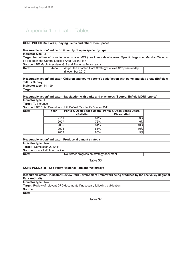|                                          |                                          | <b>CORE POLICY 34: Parks, Playing Fields and other Open Spaces</b> |                                                                                                                  |  |  |
|------------------------------------------|------------------------------------------|--------------------------------------------------------------------|------------------------------------------------------------------------------------------------------------------|--|--|
|                                          |                                          |                                                                    |                                                                                                                  |  |  |
|                                          |                                          | Measurable action/ indicator: Quantity of open space (by type)     |                                                                                                                  |  |  |
| Indicator type: LI                       |                                          |                                                                    |                                                                                                                  |  |  |
|                                          |                                          |                                                                    | Target: No net loss of protected open space (MOL) due to new development. Specific targets for Meridian Water to |  |  |
|                                          |                                          | be set out in the Central Leeside Area Action Plan                 |                                                                                                                  |  |  |
|                                          |                                          | Source: LBE MapInfo system, GIS and Planning Policy teams          |                                                                                                                  |  |  |
| Data:                                    | 544ha                                    | (November 2010)                                                    | As per the adopted Core Strategy Policies (Proposals) Map                                                        |  |  |
|                                          |                                          |                                                                    |                                                                                                                  |  |  |
|                                          |                                          |                                                                    | Measurable action/ indicator: Children and young people's satisfaction with parks and play areas (Enfield's      |  |  |
| <b>Tell Us Survey)</b>                   |                                          |                                                                    |                                                                                                                  |  |  |
| Indicator type: NI 199                   |                                          |                                                                    |                                                                                                                  |  |  |
| <b>Target</b>                            |                                          |                                                                    |                                                                                                                  |  |  |
|                                          |                                          |                                                                    |                                                                                                                  |  |  |
|                                          |                                          |                                                                    | Measurable action/ indicator: Satisfaction with parks and play areas (Source: Enfield MORI reports)              |  |  |
| Indicator type: LI                       |                                          |                                                                    |                                                                                                                  |  |  |
| Target: To increase                      |                                          |                                                                    |                                                                                                                  |  |  |
|                                          |                                          | Source: LBE Chief Executives Unit, Enfield Resident's Survey 2011  |                                                                                                                  |  |  |
| Data:                                    | Year                                     |                                                                    | Parks & Open Space Users Parks & Open Space Users -                                                              |  |  |
|                                          |                                          | - Satisfied                                                        | <b>Dissatisfied</b>                                                                                              |  |  |
|                                          | 2011                                     | 84%                                                                | 9%                                                                                                               |  |  |
|                                          | 2007                                     | 76%                                                                | 6%                                                                                                               |  |  |
|                                          | 2005                                     | 84%                                                                | 10%                                                                                                              |  |  |
|                                          | 2004                                     | 81%                                                                | 10%                                                                                                              |  |  |
|                                          | 2002                                     | 80%                                                                | 9%                                                                                                               |  |  |
|                                          |                                          |                                                                    |                                                                                                                  |  |  |
| Indicator type: N/A                      |                                          | Measurable action/ indicator: Produce allotment strategy           |                                                                                                                  |  |  |
| Target: Completion 2010-11               |                                          |                                                                    |                                                                                                                  |  |  |
| <b>Source: Council allotment officer</b> |                                          |                                                                    |                                                                                                                  |  |  |
| Data:                                    | No further progress on strategy document |                                                                    |                                                                                                                  |  |  |
|                                          |                                          |                                                                    |                                                                                                                  |  |  |
|                                          |                                          | Table 36                                                           |                                                                                                                  |  |  |
|                                          |                                          |                                                                    |                                                                                                                  |  |  |
|                                          |                                          | <b>CORE POLICY 35: Lee Valley Regional Park and Waterways</b>      |                                                                                                                  |  |  |
|                                          |                                          |                                                                    |                                                                                                                  |  |  |
| <b>Park Authority</b>                    |                                          |                                                                    | Measurable action/indicator: Review Park Development Framework being produced by the Lee Valley Regional         |  |  |

| <b>Fain Authority</b>      |                                                                                    |
|----------------------------|------------------------------------------------------------------------------------|
| <b>Indicator type: N/A</b> |                                                                                    |
|                            | <b>Target:</b> Review of relevant DPD documents if necessary following publication |
| Source:                    |                                                                                    |
| Data:                      |                                                                                    |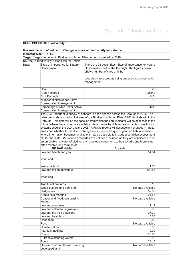| <b>CORE POLICY 36: Biodiversity</b> |                                                                                |                                                                                                   |  |  |
|-------------------------------------|--------------------------------------------------------------------------------|---------------------------------------------------------------------------------------------------|--|--|
|                                     |                                                                                |                                                                                                   |  |  |
|                                     | Measurable action/ indicator: Change in areas of biodiversity importance       |                                                                                                   |  |  |
| Indicator type: COI: E2             |                                                                                |                                                                                                   |  |  |
|                                     | Target: Targets to be set in Biodiversity Action Plan, to be completed by 2010 |                                                                                                   |  |  |
|                                     | Source: A Biodiversity Action Plan for Enfield                                 |                                                                                                   |  |  |
| Data:                               | Sites of Importance for Nature                                                 | There are 25 Local Sites (Sites of Importance for Nature                                          |  |  |
|                                     | Conservation                                                                   | Conservation) within the Borough. The figures below                                               |  |  |
|                                     |                                                                                | shows number of sites and the                                                                     |  |  |
|                                     |                                                                                |                                                                                                   |  |  |
|                                     |                                                                                | proportion assessed as being under active conservation                                            |  |  |
|                                     |                                                                                | management.                                                                                       |  |  |
|                                     |                                                                                |                                                                                                   |  |  |
|                                     | Count                                                                          | 25                                                                                                |  |  |
|                                     | Area Hectares                                                                  | 1,362ha                                                                                           |  |  |
|                                     | % of Borough                                                                   | 17%                                                                                               |  |  |
|                                     | Number of sites under Active                                                   | 10                                                                                                |  |  |
|                                     | Conservation Management                                                        |                                                                                                   |  |  |
|                                     | Percentage of sites under Active                                               | 40%                                                                                               |  |  |
|                                     | Conservation Management                                                        |                                                                                                   |  |  |
|                                     |                                                                                | The GLA undertook a survey of habitats in open spaces across the Borough in 2006. The             |  |  |
|                                     |                                                                                | table below shows the habitat area of UK Biodiversity Action Plan (BAP) Habitats within the       |  |  |
|                                     |                                                                                | Borough. This data will be the baseline from which the core indicator will be assessed in the     |  |  |
|                                     |                                                                                | future. Where there is no data available this is due to the differences in habitat classification |  |  |
|                                     |                                                                                | systems used by the GLA and the UKBAP. Future reports will describe any changes in habitat        |  |  |
|                                     |                                                                                | areas and whether this is due to changes in survey technique or genuine habitat creation,         |  |  |
|                                     |                                                                                | where information becomes available it may be possible to include a condition assessment          |  |  |
|                                     |                                                                                | of BAP habitats. BAP species records have not been included as they are considered to be          |  |  |
|                                     |                                                                                | an unreliable indicator of biodiversity (species surveys tend to be sporadic and there is not     |  |  |
|                                     | often reliable long term data).                                                |                                                                                                   |  |  |
|                                     | <b>UK BAP Habitat</b>                                                          | <b>Area Ha</b>                                                                                    |  |  |
|                                     | Lowland beech and yew                                                          | 54.64                                                                                             |  |  |
|                                     |                                                                                |                                                                                                   |  |  |
|                                     | woodland                                                                       |                                                                                                   |  |  |
|                                     |                                                                                |                                                                                                   |  |  |
|                                     | Wet woodland                                                                   | 1.33                                                                                              |  |  |
|                                     | Lowland mixed deciduous                                                        | 199.86                                                                                            |  |  |
|                                     |                                                                                |                                                                                                   |  |  |
|                                     | woodland                                                                       |                                                                                                   |  |  |
|                                     |                                                                                |                                                                                                   |  |  |
|                                     | Traditional orchards                                                           | 2.10                                                                                              |  |  |
|                                     | Wood-pasture and parkland                                                      | No data available                                                                                 |  |  |
|                                     | <b>Hedgerows</b>                                                               | 52.89                                                                                             |  |  |
|                                     | Arable field margins                                                           | 24.83                                                                                             |  |  |
|                                     | Coastal and floodplain grazing                                                 | No data available                                                                                 |  |  |
|                                     | lmarsh                                                                         |                                                                                                   |  |  |
|                                     | Lowland meadows                                                                | 11.19                                                                                             |  |  |
|                                     | Lowland calcareous grassland                                                   | 0.05                                                                                              |  |  |
|                                     | Lowland dry acid grassland                                                     | 27.79                                                                                             |  |  |
|                                     | Lowland heathland                                                              | 0.00                                                                                              |  |  |
|                                     | Reedbeds                                                                       | 0.89                                                                                              |  |  |
|                                     | Fens                                                                           | No data available                                                                                 |  |  |
|                                     | Coastal saltmarch                                                              | 0.00                                                                                              |  |  |
|                                     | Intertidal mudflats                                                            | 0.00                                                                                              |  |  |
|                                     | Rivers                                                                         | 28.60                                                                                             |  |  |
|                                     |                                                                                |                                                                                                   |  |  |
|                                     | Eutrophic standing waters                                                      | 0.00                                                                                              |  |  |
|                                     | Ponds                                                                          | 24.10                                                                                             |  |  |
|                                     | Open mosaic habitats on previously                                             | No data available                                                                                 |  |  |
|                                     | developed land                                                                 |                                                                                                   |  |  |
|                                     |                                                                                |                                                                                                   |  |  |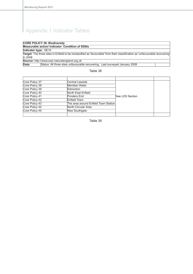|                      | <b>CORE POLICY 36: Biodiversity</b>                                                                                          |  |
|----------------------|------------------------------------------------------------------------------------------------------------------------------|--|
|                      | Measurable action/ indicator: Condition of SSSIs                                                                             |  |
| Indicator type: SE10 |                                                                                                                              |  |
|                      | Target: The three sites in Enfield to be reclassified as 'favourable' from their classification as 'unfavourable recovering' |  |
| lin 2008             |                                                                                                                              |  |
|                      | Source: http://www.sssi.naturalengland.org.uk                                                                                |  |
| Data:                | Status: All three sites unfavourable recovering. Last surveyed January 2008                                                  |  |
|                      |                                                                                                                              |  |

Table 38

| Core Policy 37 | lCentral Leeside                     |                 |  |
|----------------|--------------------------------------|-----------------|--|
| Core Policy 38 | Meridian Water                       |                 |  |
| Core Policy 39 | Edmonton                             |                 |  |
| Core Policy 40 | North East Enfield                   |                 |  |
| Core Policy 41 | Ponders End                          | See LDS Section |  |
| Core Policy 42 | Enfield Town                         |                 |  |
| Core Policy 43 | The area around Enfield Town Station |                 |  |
| Core Policy 44 | North Circular Area                  |                 |  |
| Core Policy 45 | New Southgate                        |                 |  |
|                |                                      |                 |  |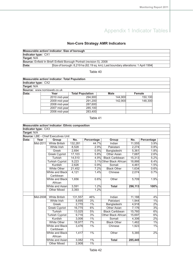## **Non-Core Strategy AMR Indicators**

|                     | Measurable action/ indicator: Size of borough                                     |
|---------------------|-----------------------------------------------------------------------------------|
| Indicator type: CX1 |                                                                                   |
| Target: N/A         |                                                                                   |
|                     | <b>Source:</b> Enfield In Brief\ Enfield Borough Portrait (revision 5), 2008      |
| Data:               | Size of borough: 8,219 ha (82.19 sq. km); Last boundary alterations: 1 April 1994 |
|                     |                                                                                   |

### Table 40

|                     | <b>Measurable action/ indicator: Total Population</b> |                         |             |         |  |  |  |
|---------------------|-------------------------------------------------------|-------------------------|-------------|---------|--|--|--|
| Indicator type: CX2 |                                                       |                         |             |         |  |  |  |
| Target: N/A         |                                                       |                         |             |         |  |  |  |
|                     | Source: www.nomisweb.co.uk                            |                         |             |         |  |  |  |
| Data:               | Year                                                  | <b>Total Population</b> | <b>Male</b> | Female  |  |  |  |
|                     | 2010 mid-year                                         | 294,900                 | 144.900     | 150,100 |  |  |  |
|                     | 2009 mid-year                                         | 291,200                 | 142.900     | 148,300 |  |  |  |
|                     | 2008 mid-year                                         | 287,600                 |             |         |  |  |  |
|                     | 2007 mid-year                                         | 285,100                 |             |         |  |  |  |
|                     | 2006 mid-year                                         | 283,400                 |             |         |  |  |  |

|             |                     | <b>Measurable action/ indicator: Ethnic composition</b> |         |            |                            |         |            |
|-------------|---------------------|---------------------------------------------------------|---------|------------|----------------------------|---------|------------|
|             | Indicator type: CX3 |                                                         |         |            |                            |         |            |
| Target: N/A |                     |                                                         |         |            |                            |         |            |
|             |                     | <b>Source: LBE - Chief Executives Unit</b>              |         |            |                            |         |            |
| Data:       | Year                | Group                                                   | No.     | Percentage | Group                      | No.     | Percentage |
|             | Mid-2011            | <b>White British</b>                                    | 132,281 | 44.7%      | Indian                     | 11,555  | 3.9%       |
|             |                     | White Irish                                             | 8,528   | 2.9%       | Pakistani                  | 2,274   | 0.8%       |
|             |                     | Greek                                                   | 2,694   | 0.9%       | Bangladeshi                | 5,361   | 1.8%       |
|             |                     | Greek Cypriot                                           | 17,103  | 5.8%       | Other Asian                | 7,687   | 2.6%       |
|             |                     | <b>Turkish</b>                                          | 14,510  | 4.9%       | <b>Black Caribbean</b>     | 15,313  | 5.2%       |
|             |                     | <b>Turkish Cypriot</b>                                  | 9,223   |            | 3.1% Other Black African   | 18,866  | 6.4%       |
|             |                     | Kurdish                                                 | 2,626   | 0.9%       | Somali                     | 4,461   | 1.5%       |
|             |                     | <b>White Other</b>                                      | 21,452  | 7.2%       | <b>Black Other</b>         | 1,634   | 0.6%       |
|             |                     | <b>White and Black</b>                                  | 4,121   | 1.4%       | Chinese                    | 2,074   | 0.7%       |
|             |                     | Caribbean                                               |         |            |                            |         |            |
|             |                     | <b>White and Black</b>                                  | 1,656   | 0.6%       | Other                      | 5,709   | 1.9%       |
|             |                     | African                                                 |         |            |                            |         |            |
|             |                     | White and Asian                                         | 3,591   | 1.2%       | <b>Total</b>               | 296,113 | 100%       |
|             |                     | <b>Other Mixed</b>                                      | 3,393   | 1.2%       |                            |         |            |
|             |                     |                                                         |         |            |                            |         |            |
|             | Mid-2008            | <b>White British</b>                                    | 131,557 | 46%        | Indian                     | 11,188  | 4%         |
|             |                     | White Irish                                             | 8,695   | 3%         | Pakistani                  | 1,944   | 1%         |
|             |                     | Greek                                                   | 2,770   | 1%         | Bangladeshi                | 4,918   | 2%         |
|             |                     | <b>Greek Cypriot</b>                                    | 16,775  | 6%         | <b>Other Asian</b>         | 7,176   | 3%         |
|             |                     | <b>Turkish</b>                                          | 13,025  | 5%         | <b>Black Caribbean</b>     | 15,760  | 6%         |
|             |                     | <b>Turkish Cypriot</b>                                  | 9,716   | 3%         | <b>Other Black African</b> | 15,697  | 6%         |
|             |                     | Kurdish                                                 | 3,006   | 1%         | Somali                     | 4,306   | 2%         |
|             |                     | <b>White Other</b>                                      | 18,977  | 7%         | <b>Black Other</b>         | 1,462   | 1%         |
|             |                     | <b>White and Black</b>                                  | 3,476   | 1%         | Chinese                    | 1,923   | 1%         |
|             |                     | Caribbean                                               |         |            |                            |         |            |
|             |                     | <b>White and Black</b>                                  | 1,417   | 1%         | Other                      | 5,385   | 2%         |
|             |                     | African                                                 |         |            |                            |         |            |
|             |                     | White and Asian                                         | 3,082   | 1%         | <b>Total</b>               | 285,445 |            |
|             |                     | Other Mixed                                             | 2,908   | $1\%$      |                            |         |            |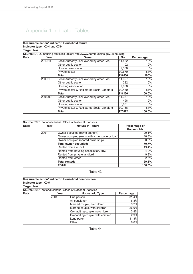## **Measurable action/ indicator: Household tenure**

|       |         | <b>Source:</b> DCLG housing statistics tables: http://www.communities.gov.uk/housing |         |            |
|-------|---------|--------------------------------------------------------------------------------------|---------|------------|
| Data: | Year    | Owner                                                                                | No.     | Percentage |
|       | 2010/11 | ocal Authority (incl. owned by other LAs)                                            | 11,482  | 10%        |
|       |         | Other public sector                                                                  | 102     | 0%         |
|       |         | Housing association                                                                  | 7,350   | 6%         |
|       |         | Private sector                                                                       | 99,670  | 84%        |
|       |         | Total                                                                                | 118,600 | 100%       |
|       | 2009/10 | Local Authority (incl. owned by other LAs)                                           | 11,327  | 10%        |
|       |         | Other public sector                                                                  | 282     | 0%         |
|       |         | Housing association                                                                  | 7,058   | 6%         |
|       |         | Private sector & Registered Social Landlord                                          | 99,480  | 84%        |
|       |         | Total                                                                                | 118,150 | 100.0%     |
|       | 2008/09 | ocal Authority (incl. owned by other LAs)                                            | 11,357  | 10%        |
|       |         | Other public sector                                                                  | 498     | 0%         |
|       |         | Housing association                                                                  | 6,881   | 6%         |
|       |         | Private sector & Registered Social Landlord                                          | 99,136  | 84%        |
|       |         | <b>Total</b>                                                                         | 117,872 | 100.0%     |

| Data: | Year | <b>Nature of Tenure</b>                       | Percentage of<br><b>Households</b> |
|-------|------|-----------------------------------------------|------------------------------------|
|       | 2001 | Owner occupied (owns outright)                | 29.1%                              |
|       |      | Owner occupied (owns with a mortgage or loan) | 40.8%                              |
|       |      | Owner occupied (shared ownership)             | 0.8%                               |
|       |      | <b>Total owner-occupied:</b>                  | 70.7%                              |
|       |      | Rented from Council                           | 13.4%                              |
|       |      | Rented from housing association/ RSL          | 4.0%                               |
|       |      | Rented from private landlord                  | 9.3%                               |
|       |      | Rented from other                             | 2.6%                               |
|       |      | Total rented:                                 | 29.3%                              |
|       |      | <b>TOTAL</b>                                  | 100.0%                             |

Table 43

|                     |      | Measurable action/ indicator: Household composition                |            |
|---------------------|------|--------------------------------------------------------------------|------------|
| Indicator type: CX5 |      |                                                                    |            |
| Target: N/A         |      |                                                                    |            |
|                     |      | <b>Source:</b> 2001 national census. Office of National Statistics |            |
| Data:               | Year | <b>Household Type</b>                                              | Percentage |
|                     | 2001 | One person                                                         | 31.4%      |
|                     |      | All pensioner                                                      | 6.8%       |
|                     |      | Married couple, no children                                        | 9.2%       |
|                     |      | Married couple, with children                                      | 26.0%      |
|                     |      | Co-habiting couple, no children                                    | 3.8%       |
|                     |      | Co-habiting couple, with children                                  | 2.9%       |
|                     |      | Lone parent                                                        | 11.3%      |
|                     |      | Other                                                              | 8.6%       |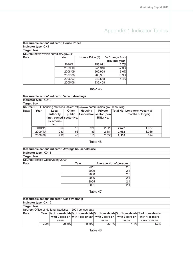| <b>Measurable action/ indicator: House Prices</b> |         |                 |                 |
|---------------------------------------------------|---------|-----------------|-----------------|
| Indicator type: CX8                               |         |                 |                 |
| Target: N/A                                       |         |                 |                 |
| Source: http://www.landregistry.gov.uk/           |         |                 |                 |
| Data:                                             | Year    | House Price (£) | $%$ Change from |
|                                                   |         |                 | previous year   |
|                                                   | 2010/11 | 258,071         | 6.7%            |
|                                                   | 2009/10 | 241,916         | $-7.3%$         |
|                                                   | 2008/09 | 260,958         | $-3.0%$         |
|                                                   | 2007/08 | 268,961         | 10.9%           |
|                                                   | 2006/07 | 242,588         | 4.4%            |
|                                                   | 2005/06 | 232,458         |                 |

## Table 45

|             |                      | <b>Measurable action/ indicator: Vacant dwellings</b>                                |                        |                |                                                        |       |                                                     |  |
|-------------|----------------------|--------------------------------------------------------------------------------------|------------------------|----------------|--------------------------------------------------------|-------|-----------------------------------------------------|--|
|             | Indicator type: CX10 |                                                                                      |                        |                |                                                        |       |                                                     |  |
| Target: N/A |                      |                                                                                      |                        |                |                                                        |       |                                                     |  |
|             |                      | <b>Source:</b> DCLG housing statistics tables: http://www.communities.gov.uk/housing |                        |                |                                                        |       |                                                     |  |
| Data:       | Year                 | Local<br>authority<br>(incl. owned sector No.<br>by others)<br>No.                   | <b>Other</b><br>public | <b>Housing</b> | <b>Private</b><br>Association sector (non)<br>RSL) No. |       | Total No. Long-term vacant (6)<br>months or longer) |  |
|             | 2010/11              | 354                                                                                  | 16 <sup>1</sup>        | 124            | 2,028                                                  | 2,522 | 1.057                                               |  |
|             | 2009/10              | 233                                                                                  | 56                     | 89             | 2,184                                                  | 2,562 | 1.015                                               |  |
|             | 2008/09              | 292                                                                                  | 45                     | 115            | 2.056                                                  | 2.508 | 894                                                 |  |

## Table 46

|                                  | Measurable action/ indicator: Average household size |                        |  |
|----------------------------------|------------------------------------------------------|------------------------|--|
| Indicator type: CX11             |                                                      |                        |  |
| Target: N/A                      |                                                      |                        |  |
| Source: Enfield Observatory 2009 |                                                      |                        |  |
| Data:                            | Year                                                 | Average No. of persons |  |
|                                  | 2011                                                 | 2.5                    |  |
|                                  | 2009                                                 | 2.4                    |  |
|                                  | 2008                                                 | 2.5                    |  |
|                                  | 2006                                                 | 2.4                    |  |
|                                  | 2005                                                 | 2.4                    |  |
|                                  | 2001                                                 | 2.4                    |  |

## Table 47

|                       |      | Measurable action/ indicator: Car ownership |                                                                                             |       |      |                                                                                   |  |
|-----------------------|------|---------------------------------------------|---------------------------------------------------------------------------------------------|-------|------|-----------------------------------------------------------------------------------|--|
| Indicator type: CX 12 |      |                                             |                                                                                             |       |      |                                                                                   |  |
| Target: N/A           |      |                                             |                                                                                             |       |      |                                                                                   |  |
|                       |      |                                             | <b>Source:</b> Office of National Statistics - 2001 census data                             |       |      |                                                                                   |  |
| Data:                 |      |                                             |                                                                                             |       |      | Year % of households% of households% of households% of households % of households |  |
|                       |      |                                             | with 0 cars or with 1 car or van with 2 cars or $\mid$ with 3 cars or $\mid$ with 4 or more |       |      |                                                                                   |  |
|                       |      | vans                                        |                                                                                             | vans  | vans | cars or vans                                                                      |  |
|                       | 2001 | 28.5%                                       | 45.5%                                                                                       | 20.7% | 4.1% | 1.2%                                                                              |  |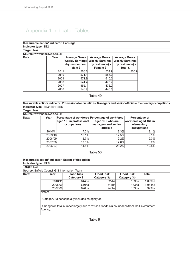| <b>Measurable action/ indicator: Earnings</b> |      |                                          |                                                                                    |                                                                    |  |
|-----------------------------------------------|------|------------------------------------------|------------------------------------------------------------------------------------|--------------------------------------------------------------------|--|
| Indicator type: SE2                           |      |                                          |                                                                                    |                                                                    |  |
| Target: N/A                                   |      |                                          |                                                                                    |                                                                    |  |
| Source: www.nomisweb.co.uk                    |      |                                          |                                                                                    |                                                                    |  |
| Data:                                         | Year | <b>Average Gross</b><br>(by residence) - | <b>Average Gross</b><br><b>Weekly Earnings Weekly Earnings</b><br>(by residence) - | <b>Average Gross</b><br><b>Weekly Earnings</b><br>(by residence) - |  |
|                                               |      | Male £                                   | Female £                                                                           | <b>Total £</b>                                                     |  |
|                                               | 2011 | 586.8                                    | 534.9                                                                              | 560.9                                                              |  |
|                                               | 2010 | 571.1                                    | 555.0                                                                              |                                                                    |  |
|                                               | 2009 | 571.9                                    | 510.0                                                                              |                                                                    |  |
|                                               | 2008 | 541.4                                    | 473.7                                                                              |                                                                    |  |
|                                               | 2007 | 555.1                                    | 476.2                                                                              |                                                                    |  |
|                                               | 2006 | 543.2                                    | 446.0                                                                              |                                                                    |  |

### Table 49

**Measurable action/ indicator: Professional occupations/ Managers and senior officials / Elementary occupations Indicator type:** SE3/ SE4/ SE5

| Target: N/A                |         |                                         |                                                                                            |                                                      |  |
|----------------------------|---------|-----------------------------------------|--------------------------------------------------------------------------------------------|------------------------------------------------------|--|
| Source: www.nomisweb.co.uk |         |                                         |                                                                                            |                                                      |  |
| Data:                      | Year    | aged 16+ in professional<br>occupations | Percentage of workforce Percentage of workforce<br>aged 16+ who are<br>managers and senior | Percentage of<br>workforce aged 16+ in<br>elementary |  |
|                            |         |                                         | officials                                                                                  | occupations                                          |  |
|                            | 2010/11 | 17.0%                                   | 18.3%                                                                                      | 9.1%                                                 |  |
|                            | 2009/10 | 16.1%                                   | 17.5%                                                                                      | 9.1%                                                 |  |
|                            | 2008/09 | 12.7%                                   | 19.2%                                                                                      | 9.3%                                                 |  |
|                            | 2007/08 | 13.0%                                   | 17.6%                                                                                      | 8.2%                                                 |  |
|                            | 2006/07 | 14.5%                                   | 21.2%                                                                                      | 12.5%                                                |  |

### Table 50

|                     | Measurable action/ indicator: Extent of floodplain  |                                                 |                                                                                             |                   |              |
|---------------------|-----------------------------------------------------|-------------------------------------------------|---------------------------------------------------------------------------------------------|-------------------|--------------|
| Indicator type: SE9 |                                                     |                                                 |                                                                                             |                   |              |
| Target: N/A         |                                                     |                                                 |                                                                                             |                   |              |
|                     | <b>Source:</b> Enfield Council GIS Information Team |                                                 |                                                                                             |                   |              |
| Data:               | Year                                                | <b>Flood Risk</b>                               | <b>Flood Risk</b>                                                                           | <b>Flood Risk</b> | <b>Total</b> |
|                     |                                                     | <b>Category 2</b>                               | Category 3a                                                                                 | Category 3b       |              |
|                     | 2010/11                                             | 644hal                                          | 322hal                                                                                      | 133hal            | 1,099ha      |
|                     | 2008/09                                             | 610hal                                          | 341ha                                                                                       | 133hal            | 1.084ha      |
|                     | 2007/08                                             | 620hal                                          | 240ha                                                                                       | 133hal            | 993ha        |
|                     | Notes:                                              |                                                 |                                                                                             |                   |              |
|                     | Agency.                                             | - Category 3a conceptually includes category 3b | - Changes in total number largely due to revised floodplain boundaries from the Environment |                   |              |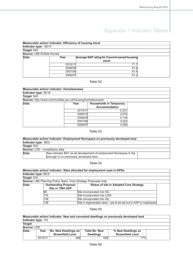| Measurable action/ indicator: Efficiency of housing stock |         |                                              |  |
|-----------------------------------------------------------|---------|----------------------------------------------|--|
| Indicator type: SE15                                      |         |                                              |  |
| Target: N/A                                               |         |                                              |  |
| Source: LBE Enfield Homes                                 |         |                                              |  |
| Data:                                                     | Year    | Average SAP rating for Council-owned housing |  |
|                                                           |         | stock                                        |  |
|                                                           | 2010/11 | 71.7                                         |  |
|                                                           | 2008/09 | 61.8                                         |  |
|                                                           | 2007/08 | 61.6                                         |  |
|                                                           | 2006/07 | 61.2                                         |  |

## Table 52

| <b>Measurable action/ indicator: Homelessness</b>           |         |                                                        |  |
|-------------------------------------------------------------|---------|--------------------------------------------------------|--|
| Indicator type: SE16                                        |         |                                                        |  |
| Target: N/A                                                 |         |                                                        |  |
| Source: http://www.communities.gov.uk/housing/homelessness/ |         |                                                        |  |
| Data:                                                       | Year    | <b>Households in Temporary</b><br><b>Accommodation</b> |  |
|                                                             | 2010/11 | 2,221                                                  |  |
|                                                             | 2009/10 | 2,672                                                  |  |
|                                                             | 2008/09 | 3.134                                                  |  |
|                                                             | 2007/08 | 3,222                                                  |  |
|                                                             | 2006/07 | 3,295                                                  |  |

## Table 53

|                                       | Measurable action/ indicator: Employment floorspace on previously developed land |  |
|---------------------------------------|----------------------------------------------------------------------------------|--|
| Indicator type: BD2                   |                                                                                  |  |
| Target: N/A                           |                                                                                  |  |
| <b>Source:</b> LDD - completions data |                                                                                  |  |
| Data:                                 | See indicator BD1 as all development of employment floorspace in the             |  |
|                                       | borough is on previously developed land.                                         |  |

## Table 54

|                      |                                                                      | Measurable action/ indicator: Sites allocated for employment uses in DPDs |  |
|----------------------|----------------------------------------------------------------------|---------------------------------------------------------------------------|--|
| Indicator type: BD3i |                                                                      |                                                                           |  |
| Target: N/A          |                                                                      |                                                                           |  |
|                      | <b>Source:</b> LBE Planning Policy Team, Core Strategy Proposals map |                                                                           |  |
| Data:                | <b>Outstanding Proposal</b>                                          | <b>Status of site in Adopted Core Strategy</b>                            |  |
|                      | Site in 1994 UDP                                                     |                                                                           |  |
|                      | 9Ε                                                                   | Site incorporated into SIL                                                |  |
|                      | 11E                                                                  | Site incorporated into LSIS                                               |  |
|                      | 12E                                                                  | Site incorporated into SIL                                                |  |
|                      | 13E                                                                  | Site in regeneration area - use to be set out in AAP or masterplan        |  |

|                    |         |                        |                      | Measurable action/ indicator: New and converted dwellings on previously developed land |  |
|--------------------|---------|------------------------|----------------------|----------------------------------------------------------------------------------------|--|
| Indicator type: H3 |         |                        |                      |                                                                                        |  |
| Target:            |         |                        |                      |                                                                                        |  |
| Source: LDD        |         |                        |                      |                                                                                        |  |
| Data:              | Year    | No. New Dwellings on   | <b>Total No. New</b> | % New Dwellings on                                                                     |  |
|                    |         | <b>Brownfield Land</b> | <b>Dwellings</b>     | <b>Brownfield Land</b>                                                                 |  |
|                    | 2010/11 | 486                    | 628                  | 77%                                                                                    |  |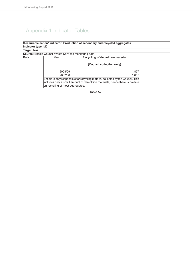|                    |                                                               | Measurable action/ indicator: Production of secondary and recycled aggregates     |  |
|--------------------|---------------------------------------------------------------|-----------------------------------------------------------------------------------|--|
| Indicator type: M2 |                                                               |                                                                                   |  |
| Target: N/A        |                                                               |                                                                                   |  |
|                    | <b>Source:</b> Enfield Council Waste Services monitoring data |                                                                                   |  |
| Data:              | Year                                                          | Recycling of demolition material                                                  |  |
|                    |                                                               | (Council collection only)                                                         |  |
|                    | 2008/09                                                       | 1,857                                                                             |  |
|                    | 2007/08                                                       | 1,655                                                                             |  |
|                    |                                                               | Enfield is only responsible for recycling material collected by the Council. This |  |
|                    | on recycling of most aggregates.                              | includes only a small amount of demolition materials, hence there is no data      |  |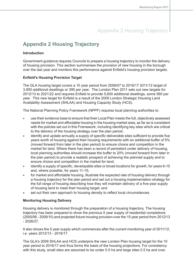# **Appendix 2 Housing Trajectory**

## **Introduction**

Government guidance requires Councils to prepare a housing trajectory to monitor the delivery of housing provision. This section summarises the provision of new housing in the borough over the last year and monitors this performance against Enfield's housing provision targets.

## **Enfield's Housing Provision Target**

The GLA housing target covers a 10 year period from 2006/07 to 2016/17 2011/12 target of 3,950 additional dwellings or 395 per year. The London Plan 2011 sets out new targets for 2012/13 to 2021/22 and requires Enfield to provide 5,600 additional dwellings, some 560 per year. This new target for Enfield is a result of the 2009 London Strategic Housing Land Availability Assessment (SHLAA) and Housing Capacity Study (HCS).

The National Planning Policy Framework (NPPF) requires local planning authorities to:

- use their evidence base to ensure that their Local Plan meets the full, objectively assessed needs for market and affordable housing in the housing market area, as far as is consistent with the policies set out in this Framework, including identifying key sites which are critical to the delivery of the housing strategy over the plan period;
- identify and update annually a supply of specific deliverable sites sufficient to provide five  $\bullet$ years worth of housing against their housing requirements with an additional buffer of 5% (moved forward from later in the plan period) to ensure choice and competition in the market for land. Where there has been a record of persistent under delivery of housing, local planning authorities should increase the buffer to 20% (moved forward from later in the plan period) to provide a realistic prospect of achieving the planned supply and to ensure choice and competition in the market for land;
- identify a supply of specific, developable sites or broad locations for growth, for years 6-10  $\bullet$ and, where possible, for years 11-15;
- for market and affordable housing, illustrate the expected rate of housing delivery through  $\blacksquare$ a housing trajectory for the plan period and set out a housing implementation strategy for the full range of housing describing how they will maintain delivery of a five-year supply of housing land to meet their housing target; and
- set out their own approach to housing density to reflect local circumstances.

## **Monitoring Housing Delivery**

Housing delivery is monitored through the preparation of a housing trajectory. The housing trajectory has been prepared to show the previous 5 year supply of residential completions (2005/06 - 2009/10) and projected future housing provision over the 15 year period from 2012/13 - 2026/27.

It also shows the 5 year supply which commences after the current monitoring year of 2011/12, i.e. years 2012/13 - 2016/17.

The GLA's 2009 SHLAA and HCS underpins the new London Plan housing target for the 10 year period to 2016/17 and thus forms the basis of the housing projections. For consistency with this study, small sites are assumed to be under 0.5 ha and large sites 0.5 ha and over.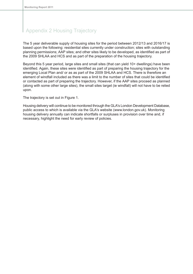The 5 year deliverable supply of housing sites for the period between 2012/13 and 2016/17 is based upon the following: residential sites currently under construction; sites with outstanding planning permissions; AAP sites; and other sites likely to be developed, as identified as part of the 2009 SHLAA and HCS and as part of the preparation of the housing trajectory.

Beyond this 5 year period, large sites and small sites (that can yield 10+ dwellings) have been identified. Again, these sites were identified as part of preparing the housing trajectory for the emerging Local Plan and/ or as as part of the 2009 SHLAA and HCS. There is therefore an element of windfall included as there was a limit to the number of sites that could be identified or contacted as part of preparing the trajectory. However, if the AAP sites proceed as planned (along with some other large sites), the small sites target (ie windfall) will not have to be relied upon.

The trajectory is set out in Figure 1.

Housing delivery will continue to be monitored through the GLA's London Development Database, public access to which is available via the GLA's website (www.london.gov.uk). Monitoring housing delivery annually can indicate shortfalls or surpluses in provision over time and, if necessary, highlight the need for early review of policies.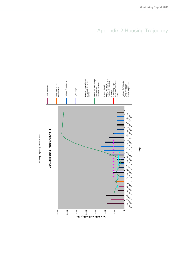

Page 1

Housing Trajectory Graph2010-11 Housing Trajectory Graph2010-11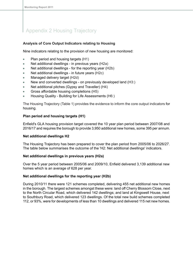## **Analysis of Core Output Indicators relating to Housing**

Nine indicators relating to the provision of new housing are monitored:

- Plan period and housing targets (H1)  $\bullet$
- Net additional dwellings in previous years (H2a)  $\bullet$
- Net additional dwellings for the reporting year (H2b) ó
- Net additional dwellings in future years (H2c)
- Managed delivery target (H2d)
- New and converted dwellings on previously developed land (H3:)
- Net additional pitches (Gypsy and Traveller) (H4)
- Gross affordable housing completions (H5)
- Housing Quality Building for Life Assessments (H6:)

The Housing Trajectory (Table 1) provides the evidence to inform the core output indicators for housing.

## **Plan period and housing targets (H1)**

Enfield's GLA housing provision target covered the 10 year plan period between 2007/08 and 2016/17 and requires the borough to provide 3,950 additional new homes, some 395 per annum.

### **Net additional dwellings H2**

The Housing Trajectory has been prepared to cover the plan period from 2005/06 to 2026/27. The table below summarises the outcome of the 'H2: Net additional dwellings' indicators.

### **Net additional dwellings in previous years (H2a)**

Over the 5 year period between 2005/06 and 2009/10, Enfield delivered 3,139 additional new homes which is an average of 628 per year.

### **Net additional dwellings for the reporting year (H2b)**

During 2010/11 there were 121 schemes completed, delivering 455 net additional new homes in the borough. The largest schemes amongst these were: land off Cherry Blossom Close, next to the North Circular Road, which delivered 142 dwellings; and land at Kingswell House, next to Southbury Road, which delivered 123 dwellings. Of the total new build schemes completed 112, or 93%, were for developments of less than 10 dwellings and delivered 115 net new homes.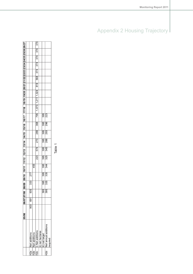|               |                                         | <b>05/06</b> | 06/07 07/08 |                  | 8/09             | 09/10 10/11 |     | 11/12            |     | 12/13 13/14 14/15 15/16 16/17 |     |     |     | 17/18 |                   |     | 18/19 19/20 20/21 21/22 22/23 23/24 24/25 25/26 26/27 |     |     |     |            |  |
|---------------|-----------------------------------------|--------------|-------------|------------------|------------------|-------------|-----|------------------|-----|-------------------------------|-----|-----|-----|-------|-------------------|-----|-------------------------------------------------------|-----|-----|-----|------------|--|
|               |                                         |              |             |                  |                  |             |     |                  |     |                               |     |     |     |       |                   |     |                                                       |     |     |     |            |  |
| .<br>2a       | Net additions                           | 903          | 691         | 935              | ೫                | 277         |     |                  |     |                               |     |     |     |       |                   |     |                                                       |     |     |     |            |  |
| $\frac{1}{2}$ | Net additions                           |              |             |                  |                  |             | 455 |                  |     |                               |     |     |     |       |                   |     |                                                       |     |     |     |            |  |
| $\frac{1}{2}$ | ) Net additions                         |              |             |                  |                  |             |     | 23               | 574 | 273                           | 289 | 368 | 795 |       | 1,073 1,211 1,024 | 819 | 568                                                   | 374 | 374 | 374 | 374<br>374 |  |
|               | net hectares                            |              |             |                  |                  |             |     |                  |     |                               |     |     |     |       |                   |     |                                                       |     |     |     |            |  |
|               | iii) net target<br>Net annual additions |              |             | 395              | 395              | 395         | 395 | 395              | 395 | 395                           | 395 | 395 | 395 |       |                   |     |                                                       |     |     |     |            |  |
| n<br>72d      |                                         |              |             | $\overline{395}$ | $\overline{335}$ | 335         | 344 | $\overline{325}$ | 345 | 288                           | 293 | 296 | 23  |       |                   |     |                                                       |     |     |     |            |  |
|               | equired                                 |              |             |                  |                  |             |     |                  |     |                               |     |     |     |       |                   |     |                                                       |     |     |     |            |  |
|               |                                         |              |             |                  |                  |             |     |                  |     |                               |     |     |     |       |                   |     |                                                       |     |     |     |            |  |

Table 1

# Appendix 2 Housing Trajectory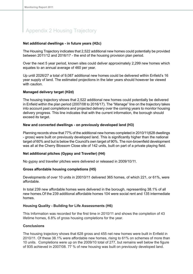### **Net additional dwellings - in future years (H2c)**

The Housing Trajectory indicates that 2,522 additional new homes could potentially be provided between 2011/12 and 2016/17 - the end of the housing provision plan period.

Over the next 5 year period, known sites could deliver approximately 2,299 new homes which equates to an annual average of 460 per year.

Up until 2026/27 a total of 9,087 additional new homes could be delivered within Enfield's 16 year supply of land. The estimated projections in the later years should however be viewed with caution.

### **Managed delivery target (H2d)**

The housing trajectory shows that 2,522 additional new homes could potentially be delivered in Enfield within the plan period (2007/08 to 2016/17). The "Manage" line on the trajectory takes into account past completions and projected delivery over the coming years to monitor housing delivery progress. This line indicates that with the current information, the borough should exceed its target.

## **New and converted dwellings - on previously developed land (H3)**

Planning records show that 77% of the additional new homes completed in 2010/11(628 dwellings - gross) were built on previously developed land. This is significantly higher than the national target of 60% and but is below the Council's own target of 90%. The non-brownfield development was all at the Cherry Blossom Close site of 142 units, built on part of a private playing field.

## **Net additional pitches (Gypsy and Traveller) (H4)**

No gypsy and traveller pitches were delivered or released in 2009/10/11.

### **Gross affordable housing completions (H5)**

Developments of over 10 units in 20010/11 delivered 365 homes, of which 221, or 61%, were affordable.

In total 239 new affordable homes were delivered in the borough, representing 38.1% of all new homes.Of the 239 additional affordable homes 104 were social rent and 135 intermediate homes.

### **Housing Quality - Building for Life Assessments (H6)**

This Information was recorded for the first time in 2010/11 and shows the completion of 43 lifetime homes, 6.8% of gross housing completions for the year.

### **Conclusions**

The housing trajectory shows that 628 gross and 455 net new homes were built in Enfield in 2010/11. Of these 38.1% were affordable new homes, rising to 61% on schemes of more than 10 units. Completions were up on the 2009/10 total of 277, but remains well below the figure of 935 achieved in 2007/08. 77 % of new housing was built on previously developed land.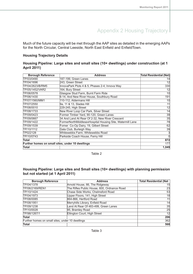#### Appendix 2 Housing Trajectory

Much of the future capacity will be met through the AAP sites as detailed in the emerging AAPs for the North Circular, Central Leeside, North East Enfield and EnfieldTown.

#### **Housing Trajectory Details**

| Housing Pipeline: Large sites and small sites (10+ dwellings) under construction (at 1 |  |  |
|----------------------------------------------------------------------------------------|--|--|
| <b>April 2011)</b>                                                                     |  |  |

| <b>Borough Reference</b>                         | <b>Address</b>                                            | <b>Total Residential (Net)</b> |
|--------------------------------------------------|-----------------------------------------------------------|--------------------------------|
| TP/03/0490                                       | 187-199, Green Lanes                                      | 14                             |
| TP/04/1696                                       | 243, Green Street                                         | 12                             |
| TP/04/2623/B/RM5                                 | InnovaPark Plots 4 & 5, Phases 2-4, Innova Way            | 330                            |
| TP/05/1452/VAR2                                  | 164, Bury Street                                          | 12                             |
| TP/06/0578                                       | Glasgow Stud Farm, Burnt Farm Ride                        | 10                             |
| TP/06/1430                                       | 6-14, And New River House, Southbury Road                 | 191                            |
| TP/07/1560/MM1                                   | 110-112, Aldermans Hill                                   | 10                             |
| TP/07/2550                                       | 9a, 11 & 13, Slades Hill                                  | 11                             |
| TP/08/0010                                       | 229-245, High Street                                      | 12                             |
| TP/08/1733                                       | New River Loop Car Park, Silver Street                    | $\overline{14}$                |
| TP/09/0423                                       | Former Timber Yard, 90-120, Green Lanes                   | 39                             |
| TP/09/0667                                       | 34 And Land At Rear Of 2-32, New River Crescent           | 35                             |
| TP/09/1422                                       | FormerNorthMiddlesexHospital Housing Site, Watermill Lane | 78                             |
| TP/09/1539                                       | Forner Co-Op Dairy, 19, Gilbert Street                    | 62                             |
| TP/10/1112                                       | Gala Club, Burleigh Way                                   | 39                             |
| TP022128                                         | Whitewebbs Farm, Whitewebbs Road                          |                                |
| TP/10/0743                                       | Parkside Coach House, Ferny Hill                          | $\mathbf{0}$                   |
| <b>Total</b>                                     |                                                           | 872                            |
| Further homes on small sites, under 10 dwellings |                                                           | 177                            |
| Total                                            |                                                           | 1,049                          |

Table 2

#### **Housing Pipeline: Large sites and Small sites (10+ dwellings) with planning permission but not started (at 1 April 2011)**

| <b>Borough Reference</b>                         | <b>Address</b>                              | <b>Total Residential (Net  </b> |
|--------------------------------------------------|---------------------------------------------|---------------------------------|
| TP/04/1378                                       | Arnold House, 66, The Ridgeway              | 15                              |
| TP/06/2169/REN1                                  | The Rifles Public House, 600, Ordnance Road | 23                              |
| TP/10/1424                                       | Chase Side Works, Chelmsford Road           | 53                              |
| TP/04/1973                                       | Upper Floors, 141, High Street              | 18                              |
| TP/08/0085                                       | 864-866, Hertford Road                      | 11                              |
| TP/08/1951                                       | Merryhills Library, Enfield Road            | 14                              |
| TP/09/1238                                       | Land At Rear Of 483-499, Green Lanes        | 35                              |
| TP/10/0028                                       | 95, Bramley Road                            | 25                              |
| TP/98/1267/1                                     | Ellington Court, High Street                | 12                              |
| Total                                            |                                             | 206                             |
| Further homes on small sites, under 10 dwellings |                                             | 362                             |
| Total                                            |                                             | 568                             |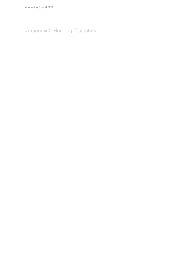# Appendix 2 Housing Trajectory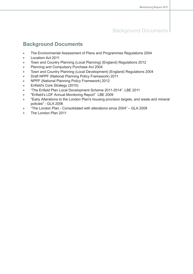#### Background Documents

#### **Background Documents**

- The Environmental Assessment of Plans and Programmes Regulations 2004  $\bullet$
- Localism Act 2011  $\bullet$
- Town and Country Planning (Local Planning) (England) Regulations 2012  $\bullet$
- Planning and Compulsory Purchase Act 2004  $\blacksquare$
- Town and Country Planning (Local Development) (England) Regulations 2004  $\bullet$
- Draft NPPF (National Planning Policy Framework) 2011  $\bullet$
- NPPF (National Planning Policy Framework) 2012  $\bullet$
- Enfield's Core Strategy (2010)  $\bullet$
- "The Enfield Plan Local Development Scheme 2011-2014", LBE 2011  $\bullet$
- "Enfield's LDF Annual Monitoring Report" LBE 2009  $\bullet$
- "Early Alterations to the London Plan's housing provision targets, and waste and mineral  $\bullet$ policies" - GLA 2006
- "The London Plan Consolidated with alterations since 2004" GLA 2008  $\bullet$
- The London Plan 2011  $\bullet$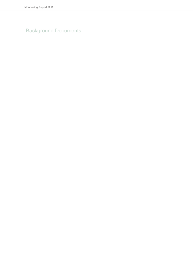# Background Documents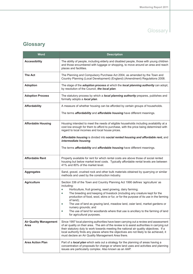| <b>Word</b>                           | <b>Description</b>                                                                                                                                                                                                                                                                                                                                                                                                              |
|---------------------------------------|---------------------------------------------------------------------------------------------------------------------------------------------------------------------------------------------------------------------------------------------------------------------------------------------------------------------------------------------------------------------------------------------------------------------------------|
| <b>Accessibility</b>                  | The ability of people, including elderly and disabled people, those with young children<br>and those encumbered with luggage or shopping, to move around an area and reach<br>places and facilities.                                                                                                                                                                                                                            |
| <b>The Act</b>                        | The Planning and Compulsory Purchase Act 2004, as amended by the Town and<br>Country Planning (Local Development) (England) (Amendment) Regulations 2008.                                                                                                                                                                                                                                                                       |
| <b>Adoption</b>                       | The stage of the <i>adoption process</i> at which the <i>local planning authority</i> can adopt,<br>by resolution of the Council, the local plan.                                                                                                                                                                                                                                                                               |
| <b>Adoption Process</b>               | The statutory process by which a <i>local planning authority</i> prepares, publishes and<br>formally adopts a local plan.                                                                                                                                                                                                                                                                                                       |
| <b>Affordability</b>                  | A measure of whether housing can be afforded by certain groups of households.                                                                                                                                                                                                                                                                                                                                                   |
|                                       | The terms <i>affordability</i> and <i>affordable housing</i> have different meanings.                                                                                                                                                                                                                                                                                                                                           |
| <b>Affordable Housing</b>             | Housing intended to meet the needs of eligible households including availability at a<br>cost low enough for them to afford to purchase, with the price being determined with<br>regard to local incomes and local house prices.                                                                                                                                                                                                |
|                                       | Affordable housing is divided into social rented housing and affordable rent, and<br>intermediate housing.                                                                                                                                                                                                                                                                                                                      |
|                                       | The terms <i>affordability</i> and <i>affordable housing</i> have different meanings.                                                                                                                                                                                                                                                                                                                                           |
| <b>Affordable Rent</b>                | Property available for rent for which rental costs are above those of social rented<br>housing but below market level costs. Typically affordable rental levels are between<br>41% and 80% of the market level.                                                                                                                                                                                                                 |
| <b>Aggregates</b>                     | Sand, gravel, crushed rock and other bulk materials obtained by quarrying or similar<br>methods and used by the construction industry.                                                                                                                                                                                                                                                                                          |
| <b>Agriculture</b>                    | Section 336 of the Town and Country Planning Act 1990 defines 'agriculture' as<br>including:                                                                                                                                                                                                                                                                                                                                    |
|                                       | Horticulture, fruit growing, seed growing, dairy farming;<br>۰                                                                                                                                                                                                                                                                                                                                                                  |
|                                       | The breeding and keeping of livestock (including any creature kept for the<br>۰<br>production of food, wool, skins or fur, or for the purpose of its use in the farming                                                                                                                                                                                                                                                         |
|                                       | of land);                                                                                                                                                                                                                                                                                                                                                                                                                       |
|                                       | The use of land as grazing land, meadow land, osier land, market gardens or<br>٠<br>nursery grounds; and                                                                                                                                                                                                                                                                                                                        |
|                                       | The use of land for woodlands where that use is ancillary to the farming of land<br>for agricultural purposes.                                                                                                                                                                                                                                                                                                                  |
| <b>Air Quality Management</b><br>Area | Since 1997 local planning authorities have been carrying out a review and assessment<br>of air quality on their area. The aim of the review is to assist authorities in carrying out<br>their statutory duty to work towards meeting the national air quality objectives. If a<br>local authority finds any places where the objectives are not likely to be achieved, it<br>must declare an Air Quality Management Area there. |
| <b>Area Action Plan</b>               | Part of a local plan which sets out a strategy for the planning of areas having a<br>concentration of proposals for change or where land uses and activities and planning<br>issues are particularly complex. Also known as an AAP.                                                                                                                                                                                             |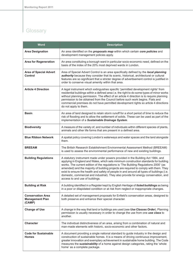| Word                                                         | <b>Description</b>                                                                                                                                                                                                                                                                                                                                                                                                                                                                                                                                                                 |
|--------------------------------------------------------------|------------------------------------------------------------------------------------------------------------------------------------------------------------------------------------------------------------------------------------------------------------------------------------------------------------------------------------------------------------------------------------------------------------------------------------------------------------------------------------------------------------------------------------------------------------------------------------|
| <b>Area Designation</b>                                      | An area identified on the <i>proposals map</i> within which certain core policies and<br>development management policies apply.                                                                                                                                                                                                                                                                                                                                                                                                                                                    |
| <b>Area for Regeneration</b>                                 | An area constituting a borough ward in particular socio-economic need, defined on the<br>basis of the index of the 20% most deprived wards in London.                                                                                                                                                                                                                                                                                                                                                                                                                              |
| <b>Area of Special Advert</b><br><b>Control</b>              | Area of Special Advert Control is an area specifically defined by the local planning<br>authority because they consider that its scenic, historical, architectural or cultural<br>features are so significant that a stricter degree of advertisement control is justified in<br>order to conserve visual amenity within that area.                                                                                                                                                                                                                                                |
| <b>Article 4 Direction</b>                                   | A legal instrument which extinguishes specific 'permitted development rights' from<br>residential buildings within a defined area i.e. the right to do some types of minor works<br>without planning permission. The effect of an article 4 direction is to require planning<br>permission to be obtained from the Council before such work begins. Flats and<br>commercial premises do not have permitted development rights so article 4 directions<br>do not apply to them.                                                                                                     |
| <b>Basin</b>                                                 | An area of land designed to retain storm runoff for a short period of time to reduce the<br>risk of flooding and to allow the settlement of solids. These can be used as part of the<br>implementation of a Sustainable Drainage System.                                                                                                                                                                                                                                                                                                                                           |
| <b>Biodiversity</b>                                          | A measure of the variety of, and number of individuals within different species of plants,<br>animals and other life forms that are present in a defined area.                                                                                                                                                                                                                                                                                                                                                                                                                     |
| <b>Blue Ribbon Network</b>                                   | A spatial policy covering London's waterways and water spaces and the land alongside<br>them.                                                                                                                                                                                                                                                                                                                                                                                                                                                                                      |
| <b>BREEAM</b>                                                | The British Research Establishment Environmental Assessment Method (BREEAM)<br>is used to assess the environmental performance of new and existing buildings.                                                                                                                                                                                                                                                                                                                                                                                                                      |
| <b>Building Regulations</b>                                  | A statutory instrument made under powers provided in the Building Act 1984, and<br>applying in England and Wales, which sets minimum construction standards for building<br>works. The current edition of the regulations is 'The Building Regulations 2000' (as<br>amended) and the majority of building projects are required to comply with them. They<br>exist to ensure the health and safety of people in and around all types of buildings (i.e.<br>domestic, commercial and industrial). They also provide for energy conservation, and<br>access to and use of buildings. |
| <b>Building at Risk</b>                                      | A building identified in a Register kept by English Heritage of listed buildings as being<br>in a poor or dilapidated condition or at risk from neglect or inappropriate changes.                                                                                                                                                                                                                                                                                                                                                                                                  |
| <b>Conservation Area</b><br><b>Management Plan</b><br>(CAMP) | A detailed set of management proposals for Enfield's conservation areas, designed to<br>both preserve and enhance their special character.                                                                                                                                                                                                                                                                                                                                                                                                                                         |
| <b>Change of Use</b>                                         | A change in the way that land or buildings are used (see Use Classes Order). Planning<br>permission is usually necessary in order to change the use from one use class to<br>another.                                                                                                                                                                                                                                                                                                                                                                                              |
| <b>Character</b>                                             | The individual distinctiveness of an area, arising from a combination of natural and<br>man-made elements with historic, socio-economic and other factors.                                                                                                                                                                                                                                                                                                                                                                                                                         |
| <b>Code for Sustainable</b><br><b>Homes</b>                  | A document providing a single national standard to guide industry in the design and<br>construction of sustainable homes. It is a means of driving continuous improvement,<br>greater innovation and exemplary achievement in sustainable home building. The Code<br>measures the sustainability of a home against design categories, rating the 'whole<br>home' as a complete package.                                                                                                                                                                                            |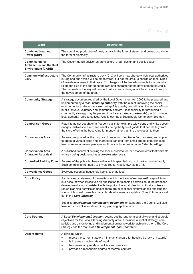| <b>Word</b>                                                                             | <b>Description</b>                                                                                                                                                                                                                                                                                                                                                                                                                                                                                                                                                                                                                |
|-----------------------------------------------------------------------------------------|-----------------------------------------------------------------------------------------------------------------------------------------------------------------------------------------------------------------------------------------------------------------------------------------------------------------------------------------------------------------------------------------------------------------------------------------------------------------------------------------------------------------------------------------------------------------------------------------------------------------------------------|
| <b>Combined Heat and</b><br>Power (CHP)                                                 | The combined production of heat, usually in the form of steam, and power, usually in<br>the form of electricity.                                                                                                                                                                                                                                                                                                                                                                                                                                                                                                                  |
| <b>Commission for</b><br><b>Architecture and the Built</b><br><b>Environment (CABE)</b> | The Government's advisor on architecture, urban design and public space.                                                                                                                                                                                                                                                                                                                                                                                                                                                                                                                                                          |
| <b>Community Infrastructure</b><br>Levy                                                 | The Community Infrastructure Levy (CIL) will be a new charge which local authorities<br>in England and Wales will be empowered, but not required, to charge on most types<br>of new development in their area. CIL charges will be based on simple formulae which<br>relate the size of the charge to the size and character of the development paying it.<br>The proceeds of the levy will be spent on local and sub-regional infrastructure to support<br>the development of the area.                                                                                                                                          |
| <b>Community Strategy</b>                                                               | A strategy document required by the Local Government Act 2000 to be prepared and<br>implemented by a local planning authority with the aim of improving the social,<br>environmental and economic well being of its area by co-ordinating the actions of local<br>public, private, voluntary and community sectors. Responsibility for producing a<br>community strategy may be passed to a <b>local strategic partnership</b> , which include<br>local authority representatives. Also known as a Sustainable Community Strategy.                                                                                                |
| <b>Comparison Goods</b>                                                                 | Retail items not bought on a frequent basis, for example televisions and white goods<br>(fridges, dishwashers etc, and usually being the type of goods that people buy from<br>the store offering the best value for money rather than the one closest to them.                                                                                                                                                                                                                                                                                                                                                                   |
| <b>Conservation Area</b>                                                                | An area designated for the purpose of protecting the <i>character</i> of an area, and applied<br>to areas of various sizes and characters, ranging from small groups of buildings to<br>town squares or even open spaces. It may include one or more listed buildings.                                                                                                                                                                                                                                                                                                                                                            |
| <b>Conservation Area</b><br><b>Character Appraisal</b>                                  | A published document defining the special architectural or historic interest that warrants<br>an area being designated as a conservation area.                                                                                                                                                                                                                                                                                                                                                                                                                                                                                    |
| <b>Controlled Parking Zone</b>                                                          | An area of the public highway within which specified hours of parking control apply.<br>Such controls do not apply to private roads. Also known as a CPZ.                                                                                                                                                                                                                                                                                                                                                                                                                                                                         |
| <b>Convenience Goods</b>                                                                | Everyday essential household items, such as food.                                                                                                                                                                                                                                                                                                                                                                                                                                                                                                                                                                                 |
| <b>Core Policy</b>                                                                      | A short clear statement of the matters which the local planning authority will take<br>into account when it receives an application for planning permission. If the proposed<br>development is not consistent with the policy, the local planning authority is likely to<br>refuse planning permission unless there are exceptional circumstances affecting the<br>site, which would make this particular development acceptable. Core Policies are set<br>out in the Core Strategy.<br>See also development management document for standards the Council will also<br>take into account when determining planning applications. |
| <b>Core Strategy</b>                                                                    | A Local Development Document setting out the long-term spatial vision and strategic<br>objectives for the Local Planning Authority area. It includes a spatial strategy, core<br>policies and a monitoring and implementation framework for achieving them. The Core<br>Strategy has the status of a Development Plan Document.                                                                                                                                                                                                                                                                                                   |
| <b>Decent Home</b>                                                                      | A dwelling which:<br>meets the current statutory minimum standard for housing (ie lack of hazards)<br>$\bullet$<br>is in a reasonable state of repair<br>$\bullet$<br>has reasonably modern facilities and services<br>$\bullet$<br>provides a reasonable degree of thermal comfort.<br>$\bullet$                                                                                                                                                                                                                                                                                                                                 |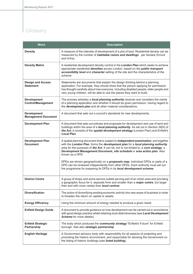| <b>Word</b>                                      | <b>Description</b>                                                                                                                                                                                                                                                                                                                                                       |
|--------------------------------------------------|--------------------------------------------------------------------------------------------------------------------------------------------------------------------------------------------------------------------------------------------------------------------------------------------------------------------------------------------------------------------------|
| <b>Density</b>                                   | A measure of the intensity of development of a plot of land. Residential density can be<br>measured by the number of habitable rooms and dwellings per hectare (hr/unit<br>and hr/ha).                                                                                                                                                                                   |
| <b>Density Matrix</b>                            | A residential development density control in the London Plan which seeks to achieve<br>appropriate residential densities across London, based on the public transport<br>accessibility level and character setting of the site and the characteristics of the<br>scheme.                                                                                                 |
| <b>Design and Access</b><br><b>Statement</b>     | Statements are documents that explain the design thinking behind a planning<br>application. For example, they should show that the person applying for permission<br>has thought carefully about how everyone, including disabled people, older people and<br>very young children, will be able to use the places they want to build.                                    |
| <b>Development</b><br><b>Control/Management</b>  | The process whereby a <i>local planning authority</i> receives and considers the merits<br>of a planning application and whether it should be given permission, having regard to<br>the development plan and all other material considerations.                                                                                                                          |
| <b>Development</b><br><b>Management Document</b> | A document that sets out a council's standards for new developments.                                                                                                                                                                                                                                                                                                     |
| <b>Development Plan</b>                          | A document that sets out policies and proposals for development and use of land and<br>buildings within the area of a local planning authority. As set out in Section 38(6) of<br>the Act, it consists of the spatial development strategy (London Plan) and Enfield's<br><b>Local Plan.</b>                                                                             |
| <b>Development Plan</b><br><b>Document</b>       | A spatial planning document that is subject to <i>independent examination</i> , and together<br>with the London Plan, forms the development plan for a local planning authority<br>area for the purposes of the Act. It can be, but is not limited to, a core strategy, a<br>Development Management Document, site schedule or area action plan. Also<br>known as a DPD. |
|                                                  | DPDs are shown geographically on a <i>proposals map</i> . Individual DPDs or parts of a<br>DPD can be reviewed independently from other DPDs. Each authority must set out<br>the programme for preparing its DPDs in its local development scheme.                                                                                                                       |
| <b>District Centre</b>                           | A group of shops and some service outlets serving part of an urban area and providing<br>a geographic focus for it, separate from and smaller than a <i>major centre</i> , but larger<br>than and with more variety than local centres.                                                                                                                                  |
| <b>Diversification</b>                           | The action of diversifying existing economic activity into new areas of business in order<br>to broaden the return on capital or assets.                                                                                                                                                                                                                                 |
| <b>Energy Efficiency</b>                         | Using the minimum amount of energy needed to produce a given result.                                                                                                                                                                                                                                                                                                     |
| <b>Enfield Design Guide</b>                      | A document to provide guidance on how development can be carried out in accordance<br>with good design practice whilst retaining local distinctiveness (see Local Development<br>Scheme for more details).                                                                                                                                                               |
| <b>Enfield Strategic</b><br>Partnership          | The body which produced the community strategy "Enfield's Future" for Enfield<br>borough. See also strategic partnership.                                                                                                                                                                                                                                                |
| <b>English Heritage</b>                          | A Government advisory body with responsibility for all aspects of protecting and<br>promoting the historic environment, and responsible for advising the Government on<br>the listing of historic buildings (see listed building).                                                                                                                                       |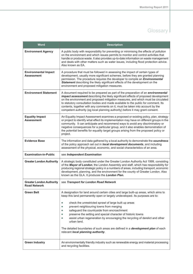| <b>Word</b>                                            | <b>Description</b>                                                                                                                                                                                                                                                                                                                                                                                                                                                                                                                                                                                                                                               |
|--------------------------------------------------------|------------------------------------------------------------------------------------------------------------------------------------------------------------------------------------------------------------------------------------------------------------------------------------------------------------------------------------------------------------------------------------------------------------------------------------------------------------------------------------------------------------------------------------------------------------------------------------------------------------------------------------------------------------------|
| <b>Environment Agency</b>                              | A public body with responsibility for preventing or minimising the effects of pollution<br>on the environment and which issues permits to monitor and control activities that<br>handle or produce waste. It also provides up-to-date information on waste management<br>and deals with other matters such as water issues, including flood protection advice.<br>Also known as EA.                                                                                                                                                                                                                                                                              |
| <b>Environmental Impact</b><br>Assessment              | A procedure that must be followed in assessing the impact of certain types of<br>development, usually more significant schemes, before they are granted planning<br>permission. The procedure requires the developer to compile an <i>Environmental</i><br>Statement describing the likely significant effects of the development on the<br>environment and proposed mitigation measures.                                                                                                                                                                                                                                                                        |
| <b>Environment Statement</b>                           | A document required to be prepared as part of the preparation of an <i>environmental</i><br>impact assessment describing the likely significant effects of proposed development<br>on the environment and proposed mitigation measures, and which must be circulated<br>to statutory consultation bodies and made available to the public for comment. Its<br>contents, together with any comments on it, must be taken into account by the<br>competent authority (eg local planning authority) before it may grant consent.                                                                                                                                    |
| <b>Equality Impact</b><br><b>Assessment</b>            | An Equality Impact Assessment examines a proposed or existing policy, plan, strategy<br>or project to identify what effect its implementation may have on different groups in the<br>community. It can anticipate and recommend ways to avoid any discriminatory or<br>negative consequences for a particular group, and it also enables demonstration of<br>the potential benefits for equality target groups arising from the proposed policy or<br>project.                                                                                                                                                                                                   |
| <b>Evidence Base</b>                                   | The information and data gathered by a local authority to demonstrate the soundness<br>of the policy approach set out in local development documents, and including<br>assessment of the physical, economic, and social characteristics of an area.                                                                                                                                                                                                                                                                                                                                                                                                              |
| <b>Examination-in-Public</b>                           | see Independent Examination                                                                                                                                                                                                                                                                                                                                                                                                                                                                                                                                                                                                                                      |
| <b>Greater London Authority</b>                        | A strategic body constituted under the Greater London Authority Act 1999, consisting<br>of the Mayor of London, the London Assembly and staff, which has responsibility for<br>producing regional strategic policy in a numbers of areas, including transport, economic<br>development, planning, and the environment for the county of Greater London. Also<br>known as the GLA. It produces the London Plan.                                                                                                                                                                                                                                                   |
| <b>Greater London Authority</b><br><b>Road Network</b> | see Transport for London Road Network                                                                                                                                                                                                                                                                                                                                                                                                                                                                                                                                                                                                                            |
| <b>Green Belt</b>                                      | A designation for land around certain cities and large built-up areas, which aims to<br>keep this land permanently open or largely undeveloped. Its purposes are to:<br>check the unrestricted sprawl of large built up areas<br>$\bullet$<br>prevent neighbouring towns from merging<br>$\bullet$<br>safeguard the countryside from encroachment<br>۰<br>preserve the setting and special character of historic towns<br>۰<br>assist urban regeneration by encouraging the recycling of derelict and other<br>$\bullet$<br>urban land.<br>The detailed boundaries of such areas are defined in a development plan of each<br>relevant local planning authority. |
| <b>Green Industry</b>                                  | An environmentally friendly industry such as renewable energy and material processing<br>and recycling facilities.                                                                                                                                                                                                                                                                                                                                                                                                                                                                                                                                               |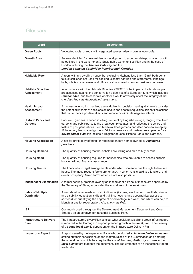| <b>Word</b>                                    | <b>Description</b>                                                                                                                                                                                                                                                                                                                                                                                                                     |
|------------------------------------------------|----------------------------------------------------------------------------------------------------------------------------------------------------------------------------------------------------------------------------------------------------------------------------------------------------------------------------------------------------------------------------------------------------------------------------------------|
| <b>Green Roofs</b>                             | Vegetated roofs, or roofs with vegetated spaces. Also known as eco-roofs.                                                                                                                                                                                                                                                                                                                                                              |
| <b>Growth Area</b>                             | An area identified for new residential development to accommodate population growth,<br>as outlined in the Government's Sustainable Communities Plan and in the case of<br>London including the Thames Gateway and the<br>London-Stansted-Cambridge-Peterborough Corridor.                                                                                                                                                             |
| <b>Habitable Room</b>                          | A room within a dwelling house, but excluding kitchens less than 13 m <sup>2</sup> ; bathrooms;<br>toilets; sculleries not used for cooking; closets; pantries and storerooms; landings;<br>halls; lobbies or recesses and offices or shops used solely for business purposes.                                                                                                                                                         |
| <b>Habitats Directive</b><br><b>Assessment</b> | In accordance with the Habitats Directive 92/43/EEC the impacts of a land-use plan<br>are assessed against the conservation objectives of a European Site, which includes<br>Ramsar sites, and to ascertain whether it would adversely affect the integrity of that<br>site. Also know as Appropriate Assessment.                                                                                                                      |
| <b>Health Impact</b><br><b>Assessment</b>      | A process for ensuring that land use and planning decision making at all levels consider<br>the potential impacts of decisions on health and health inequalities. It identifies actions<br>that can enhance positive effects and reduce or eliminate negative effects.                                                                                                                                                                 |
| <b>Historic Parks and</b><br><b>Gardens</b>    | Parks and gardens included in a Register kept by English Heritage, ranging from town<br>gardens and public parks to the great country estates, and reflecting the styles and<br>tastes of past generations, from Medieval knot gardens and deer parks to sweeping<br>18th-century landscaped gardens, Victorian exotica and post-war examples. A local<br>development plan can include a Register of Local Historic Parks and Gardens. |
| <b>Housing Association</b>                     | A not-for-profit body offering for rent independent homes owned by registered<br>providers.                                                                                                                                                                                                                                                                                                                                            |
| <b>Housing Demand</b>                          | The quantity of housing that households are willing and able to buy or rent.                                                                                                                                                                                                                                                                                                                                                           |
| <b>Housing Need</b>                            | The quantity of housing required for households who are unable to access suitable<br>housing without financial assistance.                                                                                                                                                                                                                                                                                                             |
| <b>Housing Tenure</b>                          | The financial and legal arrangements under which someone has the right to live in a<br>house. The most frequent forms are tenancy, in which rent is paid to a landlord, and<br>owner occupancy. Mixed forms of tenure are also possible.                                                                                                                                                                                               |
| <b>Independent Examination</b>                 | A formal hearing, presided over by an Inspector or a Panel of Inspectors appointed by<br>the Secretary of State, to consider the soundness of the local plan.                                                                                                                                                                                                                                                                          |
| <b>Index of Multiple</b><br><b>Deprivation</b> | A ward-level index made up of six indicators (income, employment, health deprivation<br>and disability, education, skills and training, housing and geographical access to<br>services) for quantifying the degree of disadvantage in a ward, and which can help to<br>identify areas for regeneration. Also known as IMD.                                                                                                             |
| <b>IBP</b>                                     | Commonly used throughout the Development Management Document and Core<br>Strategy as an acronym for Industrial Business Park.                                                                                                                                                                                                                                                                                                          |
| <b>Infrastructure Delivery</b><br>Plan         | The Infrastructure Delivery Plan sets out what social, physical and green infrastructure<br>is required in the Borough to support planned growth in the local plan. The delivery<br>of a sound local plan is dependent on the Infrastructure Delivery Plan.                                                                                                                                                                            |
| <b>Inspector's Report</b>                      | A report issued by the Inspector or Panel who conducted an <i>independent examination</i> ,<br>setting out their conclusions on the matters raised at the Examination and detailing<br>the amendments which they require the Local Planning Authority to make to the<br>local plan before it adopts the document. The requirements of an Inspector's Report<br>are binding.                                                            |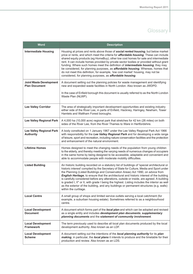| <b>Word</b>                                            | <b>Description</b>                                                                                                                                                                                                                                                                                                                                                                                                                                                                                                                                                                                                                                                                                  |
|--------------------------------------------------------|-----------------------------------------------------------------------------------------------------------------------------------------------------------------------------------------------------------------------------------------------------------------------------------------------------------------------------------------------------------------------------------------------------------------------------------------------------------------------------------------------------------------------------------------------------------------------------------------------------------------------------------------------------------------------------------------------------|
| <b>Intermediate Housing</b>                            | Housing at prices and rents above those of social rented housing, but below market<br>price or rents, and which meet the criteria for <b>affordable housing</b> . These can include<br>shared equity products (eg HomeBuy), other low cost homes for sale and intermediate<br>rent. It can include homes provided by private sector bodies or provided without grant<br>funding. Where such homes meet the definition of <i>intermediate housing</i> , they may<br>be considered, for planning purposes, as affordable housing. Whereas, homes that<br>do not meet this definition, for example, 'low cost market' housing, may not be<br>considered, for planning purposes, as affordable housing. |
| <b>Joint Waste Development</b><br><b>Plan Document</b> | A document setting out the planning policies for waste management and identifying<br>new and expanded waste facilities in North London. Also known as JWDPD.<br>In the case of Enfield borough this document is usually referred to as the North London<br>Waste Plan (NLWP).                                                                                                                                                                                                                                                                                                                                                                                                                       |
| <b>Lee Valley Corridor</b>                             | The area of strategically important development opportunities and existing industry<br>either side of the River Lee, in parts of Enfield, Hackney, Haringey, Newham, Tower<br>Hamlets and Waltham Forest boroughs.                                                                                                                                                                                                                                                                                                                                                                                                                                                                                  |
| <b>Lee Valley Regional Park</b>                        | A 4,000 ha (10,000 acre) regional park that stretches for 42 km (26 miles) on both<br>sides of the River Lee, from the River Thames to Ware in Hertfordshire.                                                                                                                                                                                                                                                                                                                                                                                                                                                                                                                                       |
| <b>Lee Valley Regional Park</b><br><b>Authority</b>    | A body constituted on 1 January 1967 under the Lee Valley Regional Park Act 1966<br>with responsibility for the Lee Valley Regional Park and for developing a wide range<br>of leisure, sport and recreation, including nature conservation facilities and the protection<br>and enhancement of the natural environment.                                                                                                                                                                                                                                                                                                                                                                            |
| <b>Lifetime Homes</b>                                  | Homes designed to meet the changing needs of the population from young children<br>to the elderly, and thereby meeting the varying needs of numerous changes of occupiers<br>in the same home by being designed to be accessible, adaptable and convenient and<br>able to accommodate people with moderate mobility difficulties.                                                                                                                                                                                                                                                                                                                                                                   |
| <b>Listed Building</b>                                 | An historic building recorded on a statutory list of buildings of 'special architectural or<br>historic interest' compiled by the Secretary of State for Culture, Media and Sport under<br>the Planning (Listed Buildings and Conservation Areas) Act 1990, on advice from<br>English Heritage, to ensure that the architectural and historic interest of the building<br>is carefully considered before any alterations, outside or inside, are agreed. A building<br>is graded I, II* or II, with grade I being the highest. Listing includes the interior as well<br>as the exterior of the building, and any buildings or permanent structures (e.g. walls)<br>within the curtilage.            |
| <b>Local Centre</b>                                    | A small group of shops and limited service outlets serving a local catchment (for<br>example, a suburban housing estate). Sometimes referred to as a neighbourhood<br>centre.                                                                                                                                                                                                                                                                                                                                                                                                                                                                                                                       |
| <b>Local Development</b><br><b>Document</b>            | A document which forms part of the <i>local plan</i> and which can be adopted and revised<br>as a single entity and includes development plan documents, supplementary<br>planning documents and the statement of community involvement.                                                                                                                                                                                                                                                                                                                                                                                                                                                            |
| <b>Local Development</b><br><b>Framework</b>           | The term previously used to describe all local plan documents produced by the local<br>development authority. Also known as an LDF.                                                                                                                                                                                                                                                                                                                                                                                                                                                                                                                                                                 |
| <b>Local Development</b><br><b>Scheme</b>              | A document setting out the intentions of the local planning authority for its plan<br>making, in particular, the local plans it intends to produce and the timetable for their<br>production and review. Also known as an LDS.                                                                                                                                                                                                                                                                                                                                                                                                                                                                      |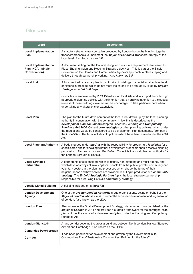| <b>Word</b>                                                        | <b>Description</b>                                                                                                                                                                                                                                                                                                                                                                                                                                                                                                        |
|--------------------------------------------------------------------|---------------------------------------------------------------------------------------------------------------------------------------------------------------------------------------------------------------------------------------------------------------------------------------------------------------------------------------------------------------------------------------------------------------------------------------------------------------------------------------------------------------------------|
| <b>Local Implementation</b><br>Plan                                | A statutory strategic transport plan produced by London boroughs bringing together<br>transport proposals to implement the Mayor of London's Transport Strategy at the<br>local level. Also known as an LIP.                                                                                                                                                                                                                                                                                                              |
| <b>Local Implementation</b><br>Plan (HCA - Single<br>Conversation) | A document setting out the Council's long term resource requirements to deliver its<br>Place Shaping vision and Housing Strategy objectives. This is part of the Single<br>Conversation the Homes and Communities Agency's approach to placeshaping and<br>delivery through partnership working. Also known as LIP.                                                                                                                                                                                                       |
| <b>Local List</b>                                                  | A list compiled by a local planning authority of buildings of special local architectural<br>or historic interest but which do not meet the criteria to be statutorily listed by English<br>Heritage as listed buildings.                                                                                                                                                                                                                                                                                                 |
|                                                                    | Councils are empowered by PPG 15 to draw up local lists and to support them through<br>appropriate planning policies with the intention that, by drawing attention to the special<br>interest of these buildings, owners will be encouraged to take particular care when<br>undertaking any alterations or extensions.                                                                                                                                                                                                    |
| <b>Local Plan</b>                                                  | The plan for the future development of the local area, drawn up by the local planning<br>authority in consultation with the community. In law this is described as the<br>development plan documents adopted under the Planning and Compulsory<br>Purchase Act 2004. Current core strategies or other planning policies, which under<br>the regulations would be considered to be development plan documents, form part of<br>the Local Plan. The term includes old policies which have been saved under the 2004<br>Act. |
| <b>Local Planning Authority</b>                                    | A body charged under the Act with the responsibility for preparing a local plan for a<br>specific area and for deciding whether development proposals should receive planning<br>permission. Also known as an LPA. Enfield Council is the local planning authority for<br>the London Borough of Enfield.                                                                                                                                                                                                                  |
| <b>Local Strategic</b><br>Partnership                              | A partnership of stakeholders which is usually non-statutory and multi-agency and<br>which develops ways of involving local people from the public, private, community and<br>voluntary sectors in the planning processes which shape the future of their<br>neighbourhood and how services are provided, resulting in production of a community<br>strategy. The Enfield Strategic Partnership is the local strategic partnership<br>responsible for producing Enfield's community strategy.                             |
| <b>Locally Listed Building</b>                                     | A building included on a local list.                                                                                                                                                                                                                                                                                                                                                                                                                                                                                      |
| <b>London Development</b><br><b>Agency</b>                         | One of the Greater London Authority group organisations, acting on behalf of the<br>Mayor of London, whose aim is to further the economic development and regeneration<br>of London. Also known as the LDA.                                                                                                                                                                                                                                                                                                               |
| <b>London Plan</b>                                                 | Also known as the Spatial Development Strategy, this document was published by the<br>Mayor of London in 2011 and provides a strategic framework for the boroughs' local<br>plans. It has the status of a development plan under the Planning and Compulsory<br>Purchase Act.                                                                                                                                                                                                                                             |
| London-Stansted-                                                   | A land corridor covering the areas around and between North London, Harlow, Stansted<br>Airport and Cambridge. Also known as the LSPC.                                                                                                                                                                                                                                                                                                                                                                                    |
| Cambridge-Peterborough<br>Corridor                                 | It has been prioritised for development and growth by the Government in its<br>Communities Plan ("Sustainable Communities: Building for the future").                                                                                                                                                                                                                                                                                                                                                                     |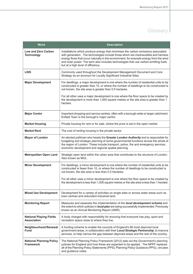| <b>Word</b>                                          | <b>Description</b>                                                                                                                                                                                                                                                                                                                                                                              |
|------------------------------------------------------|-------------------------------------------------------------------------------------------------------------------------------------------------------------------------------------------------------------------------------------------------------------------------------------------------------------------------------------------------------------------------------------------------|
| <b>Low and Zero Carbon</b><br><b>Technology</b>      | Installations which produce energy that minimises the carbon emissions associated<br>with generation. The technologies include those which are inexhaustible and harness<br>energy flows that occur naturally in the environment, for example energy from the wind<br>and solar power. The term also includes technologies that use carbon-emitting fuels<br>but at a high level of efficiency. |
| <b>LSIS</b>                                          | Commonly used throughout the Development Management Document and Core<br>Strategy as an acronym for Locally Significant Industrial Sites.                                                                                                                                                                                                                                                       |
| <b>Major Development</b>                             | For dwellings, a major development is one where the number of residential units to be<br>constructed is greater than 10, or where the number of dwellings to be constructed is<br>not known, the site area is greater than 0.5 hectares.                                                                                                                                                        |
|                                                      | For all other uses a major development is one where the floor space to be created by<br>the development is more than 1,000 square metres or the site area is greater than 1<br>hectare.                                                                                                                                                                                                         |
| <b>Major Centre</b>                                  | Important shopping and service centres, often with a borough-wide or larger catchment.<br>Enfield Town is the borough's major centre.                                                                                                                                                                                                                                                           |
| <b>Market Housing</b>                                | Private housing for rent or for sale, where the price is set in the open market.                                                                                                                                                                                                                                                                                                                |
| <b>Market Rent</b>                                   | The cost of renting housing in the private sector.                                                                                                                                                                                                                                                                                                                                              |
| <b>Mayor of London</b>                               | An elected politician who heads the Greater London Authority and is responsible for<br>budgeting and strategic planning of some governmental functions across the whole of<br>the region of London. These include transport, police, fire and emergency services,<br>economic development and regional spatial planning.                                                                        |
| <b>Metropolitan Open Land</b>                        | Strategic open land within the urban area that contributes to the structure of London.<br>Also known as MOL.                                                                                                                                                                                                                                                                                    |
| <b>Minor Development</b>                             | For dwellings, a minor development is one where the number of residential units to be<br>constructed is fewer than 10, or where the number of dwellings to be constructed is<br>not known, the site area is less than 0.5 hectares.                                                                                                                                                             |
|                                                      | For all other uses a minor development is one where the floor space to be created by<br>the development is less than 1,000 square metres or the site area is less than 1 hectare.                                                                                                                                                                                                               |
| <b>Mixed Use Development</b>                         | Development for a variety of activities on single sites or across wider areas such as<br>town centres and redundant industrial land.                                                                                                                                                                                                                                                            |
| <b>Monitoring Report</b>                             | Measures and assesses the implementation of the local development scheme and<br>the extent to which policies in local plan are being successfully implemented. Previously<br>known as an Annual Monitoring Report (AMR).                                                                                                                                                                        |
| <b>National Playing Fields</b><br><b>Association</b> | A body charged with responsibility for ensuring that everyone has play, sport and<br>recreation space close to where they live.                                                                                                                                                                                                                                                                 |
| <b>Neighbourhood Renewal</b><br><b>Fund</b>          | A funding scheme to enable the councils of England's 88 most deprived local<br>government areas, in collaboration with their Local Strategic Partnership, to improve<br>services, to help narrow the gap between deprived areas and the rest of the country.                                                                                                                                    |
| <b>National Planning Policy</b><br><b>Framework</b>  | The National Planning Policy Framework (2012) sets out the Government's planning<br>policies for England and how these are expected to be applied. The NPPF replaces<br>all of the Planning Policy Statements (PPS), Planning Policy Guidance (PPG), circulars<br>and guidance notes.                                                                                                           |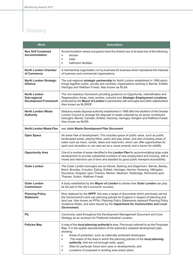| <b>Word</b>                                                         | <b>Description</b>                                                                                                                                                                                                                                                                                                                                                                                                                                                                                                                                               |
|---------------------------------------------------------------------|------------------------------------------------------------------------------------------------------------------------------------------------------------------------------------------------------------------------------------------------------------------------------------------------------------------------------------------------------------------------------------------------------------------------------------------------------------------------------------------------------------------------------------------------------------------|
| <b>Non Self Contained</b><br><b>Accommodation</b>                   | Accommodation where occupants have the shared use of at least one of the following:<br>kitchen<br>$\bullet$<br>toilet<br>$\bullet$<br>bathroom facilities.<br>$\bullet$                                                                                                                                                                                                                                                                                                                                                                                          |
| <b>North London Chamber</b><br>of Commerce                          | A membership organisation run by business for business which represents the interests<br>of business and commercial organisations.                                                                                                                                                                                                                                                                                                                                                                                                                               |
| <b>North London Strategic</b><br><b>Alliance</b>                    | The sub-regional strategic partnership for North London established in 1999 which<br>brings together public, private and voluntary organisations working in Barnet, Enfield,<br>Haringey and Waltham Forest. Also known as NLSA.                                                                                                                                                                                                                                                                                                                                 |
| <b>North London</b><br>Sub-regional<br><b>Development Framework</b> | The non-statutory framework providing guidance on Opportunity, Intensification and<br>Regeneration Areas, town centres, suburbs and Strategic Employment Locations<br>produced by the Mayor of London in partnership with boroughs and other stakeholders<br>Also known as NLSRDF.                                                                                                                                                                                                                                                                               |
| <b>North London Waste</b><br><b>Authority</b>                       | Statutory waste disposal authority established in 1986 after the abolition of the Greater<br>London Council to arrange the disposal of waste collected by its seven constituent<br>boroughs: Barnet, Camden, Enfield, Hackney, Haringey, Islington and Waltham Forest.<br>Also known as NLWA.                                                                                                                                                                                                                                                                    |
| <b>North London Waste Plan</b>                                      | see Joint Waste Development Plan Document                                                                                                                                                                                                                                                                                                                                                                                                                                                                                                                        |
| <b>Open Space</b>                                                   | All areas free of development. This includes space of public value, such as public<br>landscaped areas, playing fields, parks and play areas, and also including areas of<br>water such as rivers, canals, lakes and reservoirs, which can offer opportunities for<br>sport and recreation or can also act as a visual amenity and a haven for wildlife.                                                                                                                                                                                                         |
| <b>Opportunity Area</b>                                             | One of a number of areas identified in the London Plan for accommodating large scale<br>development to provide substantial numbers of new employment and housing, with a<br>mixed and intensive use of land and assisted by good public transport accessibility.                                                                                                                                                                                                                                                                                                 |
| <b>Outer London</b>                                                 | The Outer London boroughs are as follows: Barking and Dagenham, Barnet, Bexley,<br>Brent, Bromley, Croydon, Ealing, Enfield, Haringey, Harrow, Havering, Hillingdon,<br>Hounslow, Kingston upon Thames, Merton, Newham, Redbridge, Richmond upon<br>Thames, Sutton, Waltham Forest.                                                                                                                                                                                                                                                                              |
| <b>Outer London</b><br>Commission                                   | A body established by the Mayor of London to advise how Outer London can play<br>its full part in the city's economic success.                                                                                                                                                                                                                                                                                                                                                                                                                                   |
| <b>Planning Policy</b><br><b>Statement</b>                          | Now replaced by the NPPF, this was a range of documents which previously set out<br>the Government's land use planning policies for England in respect of planning and<br>land use. Also known as PPSs. Planning Policy Statements replaced Planning Policy<br>Guidance Notes, and were issued by the Department for Communities and Local<br>Government.                                                                                                                                                                                                        |
| <b>PIL</b>                                                          | Commonly used throughout the Development Management Document and Core<br>Strategy as an acronym for Preferred Industrial Location.                                                                                                                                                                                                                                                                                                                                                                                                                               |
| <b>Policies Map</b>                                                 | A map of the <i>local planning authority's</i> area. Previously referred to as the Proposals<br>Map. It is the spatial representation of the authority's adopted development plan,<br>showing:<br>Areas of protection, such as nationally protected landscapes.<br>$\bullet$<br>The extent of the area in which the planning policies of the local planning<br>۰<br>authority, that are not borough-wide, apply;<br>Sites for particular future land uses or developments; and<br>$\bullet$<br>Locations of proposed or existing area action plans.<br>$\bullet$ |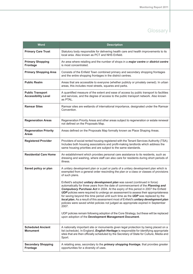| <b>Word</b>                                           | <b>Description</b>                                                                                                                                                                                                                                                                                                                                                                                                                                                                                                                                                                                                                                                                                                                                                                                                                                                                                                                                                                         |
|-------------------------------------------------------|--------------------------------------------------------------------------------------------------------------------------------------------------------------------------------------------------------------------------------------------------------------------------------------------------------------------------------------------------------------------------------------------------------------------------------------------------------------------------------------------------------------------------------------------------------------------------------------------------------------------------------------------------------------------------------------------------------------------------------------------------------------------------------------------------------------------------------------------------------------------------------------------------------------------------------------------------------------------------------------------|
| <b>Primary Care Trust</b>                             | Statutory body responsible for delivering health care and health improvements to its<br>local area. Also known as PCT and NHS Enfield.                                                                                                                                                                                                                                                                                                                                                                                                                                                                                                                                                                                                                                                                                                                                                                                                                                                     |
| <b>Primary Shopping</b><br><b>Frontage</b>            | An area where retailing and the number of shops in a <i>major centre</i> or <i>district centre</i><br>is most concentrated.                                                                                                                                                                                                                                                                                                                                                                                                                                                                                                                                                                                                                                                                                                                                                                                                                                                                |
| <b>Primary Shopping Area</b>                          | Consists of the Enfield Town combined primary and secondary shopping frontages<br>and the entire shopping frontages in the district centres.                                                                                                                                                                                                                                                                                                                                                                                                                                                                                                                                                                                                                                                                                                                                                                                                                                               |
| <b>Public Realm</b>                                   | Areas that are accessible to everyone (whether publicly or privately owned). In urban<br>areas, this includes most streets, squares and parks.                                                                                                                                                                                                                                                                                                                                                                                                                                                                                                                                                                                                                                                                                                                                                                                                                                             |
| <b>Public Transport</b><br><b>Accessibility Level</b> | A quantified measure of the extent and ease of access by public transport to facilities<br>and services, and the degree of access to the public transport network. Also known<br>as PTAL.                                                                                                                                                                                                                                                                                                                                                                                                                                                                                                                                                                                                                                                                                                                                                                                                  |
| <b>Ramsar Sites</b>                                   | Ramsar sites are wetlands of international importance, designated under the Ramsar<br>Convention.                                                                                                                                                                                                                                                                                                                                                                                                                                                                                                                                                                                                                                                                                                                                                                                                                                                                                          |
| <b>Regeneration Areas</b>                             | Regeneration Priority Areas and other areas subject to regeneration or estate renewal<br>not defined on the Proposals Map.                                                                                                                                                                                                                                                                                                                                                                                                                                                                                                                                                                                                                                                                                                                                                                                                                                                                 |
| <b>Regeneration Priority</b><br>Areas                 | Areas defined on the Proposals Map formally known as Place Shaping Areas.                                                                                                                                                                                                                                                                                                                                                                                                                                                                                                                                                                                                                                                                                                                                                                                                                                                                                                                  |
| <b>Registered Provider</b>                            | Providers of social rented housing registered with the Tenant Services Authority (TSA).<br>Includes both housing associations and profit-making landlords which address the<br>same housing priorities and are subject to the same standards.                                                                                                                                                                                                                                                                                                                                                                                                                                                                                                                                                                                                                                                                                                                                              |
| <b>Residential Care Home</b>                          | An establishment which provides personal care assistance to its residents, such as<br>dressing and washing, where staff can also care for residents during short periods of<br>illness.                                                                                                                                                                                                                                                                                                                                                                                                                                                                                                                                                                                                                                                                                                                                                                                                    |
| Saved policy or plan                                  | A unitary development plan or a part or parts of a unitary development plan which is<br>exempted from a general order rescinding the plan or a class or classes of provisions<br>of such plans.<br>Enfield's adopted <i>unitary development plan</i> was saved (continued in force)<br>automatically for three years from the date of commencement of the Planning and<br>Compulsory Purchase Act in 2004. At the expiry of this period in 2007 the Enfield<br><b>UDP</b> policies were required to undergo an assessment to assess their appropriateness<br>for saving beyond this time period until such time as the UDP was replaced by the<br>local plan. As a result of this assessment most of Enfield's unitary development plan<br>policies were saved whilst policies not judged as appropriate expired in September<br>2007.<br>UDP policies remain following adoption of the Core Strategy, but these will be replaced<br>upon adoption of the Development Management Document. |
| <b>Scheduled Ancient</b><br><b>Monument</b>           | A nationally important site or monuments given legal protection by being placed on a<br>list (schedule). In England, <i>English Heritage</i> is responsible for identifying appropriate<br>sites that are then officially scheduled by the Secretary of State for Culture, Media and<br>Sport.                                                                                                                                                                                                                                                                                                                                                                                                                                                                                                                                                                                                                                                                                             |
| <b>Secondary Shopping</b><br><b>Frontage</b>          | A retailing area, secondary to the <i>primary shopping frontage</i> , that provides greater<br>opportunities for a diversity of uses.                                                                                                                                                                                                                                                                                                                                                                                                                                                                                                                                                                                                                                                                                                                                                                                                                                                      |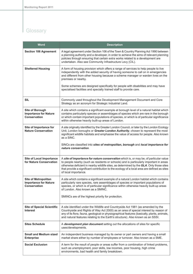| <b>Word</b>                                                                        | <b>Description</b>                                                                                                                                                                                                                                                                                                                                                                                 |
|------------------------------------------------------------------------------------|----------------------------------------------------------------------------------------------------------------------------------------------------------------------------------------------------------------------------------------------------------------------------------------------------------------------------------------------------------------------------------------------------|
| <b>Section 106 Agreement</b>                                                       | A legal agreement under Section 106 of the Town & Country Planning Act 1990 between<br>a planning authority and a developer, in order to achieve the aims of relevant planning<br>policies through ensuring that certain extra works related to a development are<br>undertaken. Also see Community Infrastructure Levy (CIL).                                                                     |
| <b>Sheltered Housing</b>                                                           | A form of housing provision which offers a range of services to help people to live<br>independently with the added security of having someone to call on in emergencies<br>and different from other housing because a scheme manager or warden lives on the<br>premises or nearby.                                                                                                                |
|                                                                                    | Some schemes are designed specifically for people with disabilities and may have<br>specialised facilities and specially trained staff to provide care.                                                                                                                                                                                                                                            |
| <b>SIL</b>                                                                         | Commonly used throughout the Development Management Document and Core<br>Strategy as an acronym for Strategic Industrial Land.                                                                                                                                                                                                                                                                     |
| <b>Site of Borough</b><br><b>Importance for Nature</b><br><b>Conservation</b>      | A site which contains a significant example at borough level of a natural habitat which<br>contains particularly species or assemblages of species which are rare in the borough<br>or which contain important populations of species, or which is of particular significance<br>within otherwise heavily built-up areas of London.                                                                |
| Site of Importance for<br><b>Nature Conservation</b>                               | A site originally identified by the Greater London Council, or later by the London Ecology<br>Unit, London boroughs or Greater London Authority, chosen to represent the most<br>significant wildlife habitats and emphasise the value of access for people. Also known<br>as a SINC.                                                                                                              |
|                                                                                    | SINCs are classified into sites of metropolitan, borough and local importance for<br>nature conservation.                                                                                                                                                                                                                                                                                          |
| <b>Site of Local Importance</b><br>for Nature Conservation                         | A site of importance for nature conservation which is, or may be, of particular value<br>to people nearby (such as residents or schools) and is particularly important in areas<br>otherwise deficient in nearby wildlife sites, as determined by the GLA. Only those sites<br>that provide a significant contribution to the ecology of a local area are defined as sites<br>of local importance. |
| <b>Site of Metropolitan</b><br><b>Importance for Nature</b><br><b>Conservation</b> | A site which contains a significant example of a natural London habitat which contains<br>particularly rare species, rare assemblages of species or important populations of<br>species, or which is of particular significance within otherwise heavily built-up areas<br>of London. Also known as a SMINC.                                                                                       |
|                                                                                    | SMINCs are of the highest priority for protection.                                                                                                                                                                                                                                                                                                                                                 |
| <b>Site of Special Scientific</b><br>Interest                                      | A site identified under the Wildlife and Countryside Act 1981 (as amended by the<br>Countryside and Rights of Way Act 2000) as an area of special interest by reason of<br>any of its flora, fauna, geological or physiographical features (basically, plants, animals,<br>and natural features relating to the Earth's structure). Also known as an SSSI.                                         |
| <b>Sites Schedule</b>                                                              | A development plan document setting out the allocations of sites for specific<br>uses/developments.                                                                                                                                                                                                                                                                                                |
| <b>Small and Medium sized</b><br><b>Enterprise</b>                                 | An independent business managed by its owner or part owners and having a small<br>market share either by number of employees or turnover. Also known as a SME.                                                                                                                                                                                                                                     |
| <b>Social Exclusion</b>                                                            | A term for the result of people or areas suffer from a combination of linked problems,<br>such as unemployment, poor skills, low incomes, poor housing, high crime<br>environments, bad health and family breakdown.                                                                                                                                                                               |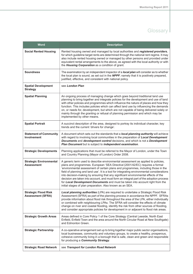| <b>Word</b>                                             | <b>Description</b>                                                                                                                                                                                                                                                                                                                                                                                                                                                                                                                                                                                                                                                                 |
|---------------------------------------------------------|------------------------------------------------------------------------------------------------------------------------------------------------------------------------------------------------------------------------------------------------------------------------------------------------------------------------------------------------------------------------------------------------------------------------------------------------------------------------------------------------------------------------------------------------------------------------------------------------------------------------------------------------------------------------------------|
| <b>Social Rented Housing</b>                            | Rented housing owned and managed by local authorities and registered providers,<br>for which guideline target rents are determined through the national rent regime. It may<br>also include rented housing owned or managed by other persons and provided under<br>equivalent rental arrangements to the above, as agreed with the local authority or with<br>the Housing Corporation as a condition of grant.                                                                                                                                                                                                                                                                     |
| <b>Soundness</b>                                        | The examination by an independent inspector of a local plan will consider as to whether<br>the local plan is sound, as set out in the NPPF; namely that it is positively prepared,<br>justified, effective, and consistent with national policy.                                                                                                                                                                                                                                                                                                                                                                                                                                   |
| <b>Spatial Development</b><br><b>Strategy</b>           | see London Plan                                                                                                                                                                                                                                                                                                                                                                                                                                                                                                                                                                                                                                                                    |
| <b>Spatial Planning</b>                                 | An ongoing process of managing change which goes beyond traditional land use<br>planning to bring together and integrate policies for the development and use of land<br>with other policies and programmes which influence the nature of places and how they<br>function. This includes policies which can affect land use by influencing the demands<br>on, or needs for, development, but which are not capable of being delivered solely or<br>mainly through the granting or refusal of planning permission and which may be<br>implemented by other means.                                                                                                                   |
| <b>Spatial Portrait</b>                                 | A succinct description of the area, designed to portray its individual character, key<br>trends and the current 'drivers for change'.                                                                                                                                                                                                                                                                                                                                                                                                                                                                                                                                              |
| <b>Statement of Community</b><br><b>Involvement</b>     | A document which sets out the standards that a local planning authority will achieve<br>with regard to involving local communities in the preparation of Local Development<br>Documents and development control decisions, and which is not a Development<br>Plan Document but is subject to independent examination.                                                                                                                                                                                                                                                                                                                                                              |
| <b>Strategic Developments</b>                           | Planning applications that must be referred to the Mayor of London, under the Town<br>and Country Planning (Mayor of London) Order 2008.                                                                                                                                                                                                                                                                                                                                                                                                                                                                                                                                           |
| <b>Strategic Environmental</b><br><b>Assessment</b>     | A generic term used to describe environmental assessment as applied to policies,<br>plans and programmes. European 'SEA Directive'(2001/42/EC) requires a formal<br>'environmental assessment of certain plans and programmes, including those in the<br>field of planning and land use'. It is a tool for integrating environmental considerations<br>into decision-making by ensuring that any significant environmental effects of the<br>decision are taken into account, and must form an integral part of the adoption process<br>for Local Development Documents and must be taken into account right from the<br>initial stages of plan preparation. Also known as an SEA. |
| <b>Strategic Flood Risk</b><br><b>Assessment (SFRA)</b> | Local planning authorities (LPA) are required to undertake a Strategic Flood Risk<br>Assessment (SFRA) as part of the planning process in accordance the NPPF. SFRAs<br>provide information about flood risk throughout the area of the LPA, either individually<br>or combined with neighbouring LPAs. The SFRA will consider the effects of climate<br>change on river and coastal flooding, identify the risk from other sources of flooding,<br>and consider appropriate policies for development in or adjacent to flood risk areas.                                                                                                                                          |
| <b>Strategic Growth Areas</b>                           | Areas defined in Core Policy 1 of the Core Strategy (Central Leeside, North East<br>Enfield, Enfield Town and the area around the North Circular Road at New Southgate)<br>and Edmonton Green.                                                                                                                                                                                                                                                                                                                                                                                                                                                                                     |
| <b>Strategic Partnership</b>                            | A co-operative arrangement set up to bring together major public sector organisations,<br>local businesses, community and voluntary groups, to create a healthy, prosperous,<br>cohesive community living in a borough that is safe, clean and green and responsible<br>for producing a Community Strategy.                                                                                                                                                                                                                                                                                                                                                                        |
| <b>Strategic Road Network</b>                           | see Transport for London Road Network                                                                                                                                                                                                                                                                                                                                                                                                                                                                                                                                                                                                                                              |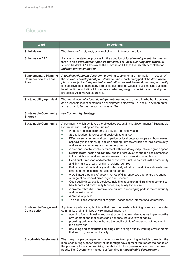| <b>Word</b>                                                             | <b>Description</b>                                                                                                                                                                                                                                                                                                                                                                                                                                                                                                                                                                                                                                                                                                                                                                                                                                                                                                                                                                                                                                                                                                                                                                                                                                                                                                                                                                                                                                                                                                                                                                                                                                            |
|-------------------------------------------------------------------------|---------------------------------------------------------------------------------------------------------------------------------------------------------------------------------------------------------------------------------------------------------------------------------------------------------------------------------------------------------------------------------------------------------------------------------------------------------------------------------------------------------------------------------------------------------------------------------------------------------------------------------------------------------------------------------------------------------------------------------------------------------------------------------------------------------------------------------------------------------------------------------------------------------------------------------------------------------------------------------------------------------------------------------------------------------------------------------------------------------------------------------------------------------------------------------------------------------------------------------------------------------------------------------------------------------------------------------------------------------------------------------------------------------------------------------------------------------------------------------------------------------------------------------------------------------------------------------------------------------------------------------------------------------------|
| <b>Subdivision</b>                                                      | The division of a lot, tract, or parcel of land into two or more lots.                                                                                                                                                                                                                                                                                                                                                                                                                                                                                                                                                                                                                                                                                                                                                                                                                                                                                                                                                                                                                                                                                                                                                                                                                                                                                                                                                                                                                                                                                                                                                                                        |
| <b>Submission DPD</b>                                                   | A stage in the statutory process for the adoption of local development documents<br>that are also development plan documents. The local planning authority must<br>submit the draft DPD, known as the submission DPD, to the Secretary of State for<br>independent examination.                                                                                                                                                                                                                                                                                                                                                                                                                                                                                                                                                                                                                                                                                                                                                                                                                                                                                                                                                                                                                                                                                                                                                                                                                                                                                                                                                                               |
| <b>Supplementary Planning</b><br><b>Document (to the Local</b><br>Plan) | A local development document providing supplementary information in respect of<br>the policies in <i>development plan documents</i> and not forming part of the <i>development</i><br>plan nor subject to independent examination. Instead the local planning authority<br>can approve the document by formal resolution of the Council, but it must be subjected<br>to full public consultation if it is to be accorded any weight in decisions on development<br>proposals. Also known as an SPD.                                                                                                                                                                                                                                                                                                                                                                                                                                                                                                                                                                                                                                                                                                                                                                                                                                                                                                                                                                                                                                                                                                                                                           |
| <b>Sustainability Appraisal</b>                                         | The examination of a <i>local development document</i> to ascertain whether its policies<br>and proposals reflect sustainable development objectives (i.e. social, environmental<br>and economic factors). Also known as an SA.                                                                                                                                                                                                                                                                                                                                                                                                                                                                                                                                                                                                                                                                                                                                                                                                                                                                                                                                                                                                                                                                                                                                                                                                                                                                                                                                                                                                                               |
| <b>Sustainable Community</b><br><b>Strategy</b>                         | see Community Strategy                                                                                                                                                                                                                                                                                                                                                                                                                                                                                                                                                                                                                                                                                                                                                                                                                                                                                                                                                                                                                                                                                                                                                                                                                                                                                                                                                                                                                                                                                                                                                                                                                                        |
| <b>Sustainable Community</b>                                            | A community which achieves the objectives set out in the Government's "Sustainable<br>Communities: Building for the Future":<br>A flourishing local economy to provide jobs and wealth<br>$\bullet$<br>Strong leadership to respond positively to change<br>$\bullet$<br>Effective engagement and participation by local people, groups and businesses,<br>۰<br>especially in the planning, design and long-term stewardship of their community,<br>and an active voluntary and community sector<br>A safe and healthy local environment with well-designed public and green space<br>$\bullet$<br>Sufficient size, scale and <i>density</i> , and the right layout to support basic amenities<br>$\bullet$<br>in the neighbourhood and minimise use of resources (including land)<br>Good public transport and other transport infrastructure both within the community<br>$\bullet$<br>and linking it to urban, rural and regional centres<br>Buildings – both individually and collectively – that can meet different needs over<br>$\bullet$<br>time, and that minimise the use of resources<br>A well-integrated mix of decent homes of different types and tenures to support<br>$\bullet$<br>a range of household sizes, ages and incomes<br>Good quality local public services, including education and training opportunities,<br>health care and community facilities, especially for leisure<br>A diverse, vibrant and creative local culture, encouraging pride in the community<br>$\bullet$<br>and cohesion within it<br>A "sense of place"<br>$\bullet$<br>The right links with the wider regional, national and international community.<br>۰ |
| <b>Sustainable Design and</b><br><b>Construction</b>                    | A philosophy of creating buildings that meet the needs of building users and the wider<br>community and minimises environmental impact by:<br>adopting forms of design and construction that minimise adverse impacts on the<br>$\bullet$<br>environment and that protect and enhance the diversity of nature;<br>providing buildings that enhance the quality of life of everyone both now and in<br>$\bullet$<br>the future; and<br>designing and constructing buildings that are high quality working environments<br>$\bullet$<br>that lead to greater productivity.                                                                                                                                                                                                                                                                                                                                                                                                                                                                                                                                                                                                                                                                                                                                                                                                                                                                                                                                                                                                                                                                                      |
| <b>Sustainable Development</b>                                          | The core principle underpinning contemporary town planning in the UK, based on the<br>ideal of ensuring a better quality of life through development that meets the needs of<br>the present without compromising the ability of future generations to meet their own<br>needs. The Government has set out four aims for sustainable development:                                                                                                                                                                                                                                                                                                                                                                                                                                                                                                                                                                                                                                                                                                                                                                                                                                                                                                                                                                                                                                                                                                                                                                                                                                                                                                              |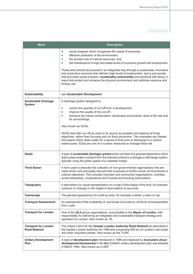| <b>Word</b>                                        | <b>Description</b>                                                                                                                                                                                                                                                                                                                                                  |
|----------------------------------------------------|---------------------------------------------------------------------------------------------------------------------------------------------------------------------------------------------------------------------------------------------------------------------------------------------------------------------------------------------------------------------|
|                                                    | social progress which recognises the needs of everyone;<br>۰<br>effective protection of the environment;<br>$\bullet$<br>the prudent use of natural resources; and,<br>۰<br>the maintenance of high and stable levels of economic growth and employment.<br>۰                                                                                                       |
|                                                    | These aims should be pursued in an integrated way through a sustainable, innovative<br>and productive economy that delivers high levels of employment, and a just society<br>that promotes social inclusion, sustainable communities and personal well being, in<br>ways that protect and enhance the physical environment and optimise resource and<br>energy use. |
| <b>Sustainability</b>                              | see Sustainable Development                                                                                                                                                                                                                                                                                                                                         |
| <b>Sustainable Drainage</b><br><b>System</b>       | A drainage system designed to:<br>control the quantity of run-off from a development;<br>$\bullet$                                                                                                                                                                                                                                                                  |
|                                                    | improve the quality of the run-off;<br>$\bullet$<br>enhance the nature conservation, landscape and amenity value of the site and<br>۰<br>its surroundings.                                                                                                                                                                                                          |
|                                                    | Also known as SUDs.                                                                                                                                                                                                                                                                                                                                                 |
|                                                    | SUDS deal with run-off as close to its source as possible and balance all three<br>objectives, rather than focusing only on flood prevention. Two examples are Swales<br>and basins which retain water for a period of time prior to discharge to a natural<br>watercourse. SUDs are one of a number measures to manage flood risk.                                 |
| <b>Swale</b>                                       | A type of sustainable drainage system which consists of a grassed depression which<br>lead surface water overland from the drained surface to a storage or discharge system,<br>typically using the green space of a roadside margin.                                                                                                                               |
| <b>Third Sector</b>                                | A term used to describe the collection of non-governmental organisations that are<br>value driven and principally reinvest their surpluses to further social, environmental or<br>cultural objectives. This includes voluntary and community organisations, charities,<br>social enterprises, cooperatives and mutuals and housing associations.                    |
| <b>Topography</b>                                  | A description (or visual representation on a map) of the shape of the land, for example,<br>contours or changes in the height of land relative to sea level.                                                                                                                                                                                                        |
| <b>Townscape</b>                                   | The general appearance of a built-up area, for example a street, a town or city.                                                                                                                                                                                                                                                                                    |
| <b>Transport Assessment</b>                        | An assessment of the availability of, and levels of access to, all forms of transportation<br>from a site.                                                                                                                                                                                                                                                          |
| <b>Transport for London</b>                        | One of the GLA group organisations, accountable to the Mayor of London, with<br>responsibility for delivering an integrated and sustainable transport strategy and<br>operation for London. Also known as TfL.                                                                                                                                                      |
| <b>Transport for London</b><br><b>Road Network</b> | The mayor's term for the Greater London Authority Road Network as described in<br>the Greater London Authority Act 1999 and comprising 550 km of London's red routes<br>and other important streets. Also known as the TLRN.                                                                                                                                        |
| <b>Unitary Development</b><br>Plan                 | A type of development plan introduced in 1986 and replaced by local plans (local<br>development frameworks) in the Act. Enfield's unitary development plan was adopted<br>in March 1994. Also known as a UDP.                                                                                                                                                       |